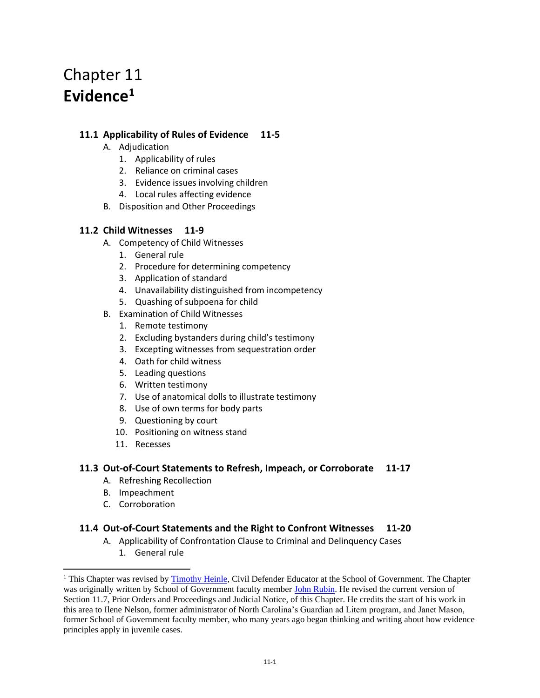# Chapter 11 **Evidence<sup>1</sup>**

# **11.1 Applicability of Rules of Evidence 11-5**

- A. Adjudication
	- 1. Applicability of rules
	- 2. Reliance on criminal cases
	- 3. Evidence issues involving children
	- 4. Local rules affecting evidence
- B. Disposition and Other Proceedings

# **11.2 Child Witnesses 11-9**

- A. Competency of Child Witnesses
	- 1. General rule
	- 2. Procedure for determining competency
	- 3. Application of standard
	- 4. Unavailability distinguished from incompetency
	- 5. Quashing of subpoena for child
- B. Examination of Child Witnesses
	- 1. Remote testimony
	- 2. Excluding bystanders during child's testimony
	- 3. Excepting witnesses from sequestration order
	- 4. Oath for child witness
	- 5. Leading questions
	- 6. Written testimony
	- 7. Use of anatomical dolls to illustrate testimony
	- 8. Use of own terms for body parts
	- 9. Questioning by court
	- 10. Positioning on witness stand
	- 11. Recesses

# **11.3 Out-of-Court Statements to Refresh, Impeach, or Corroborate 11-17**

- A. Refreshing Recollection
- B. Impeachment
- C. Corroboration

# **11.4 Out-of-Court Statements and the Right to Confront Witnesses 11-20**

- A. Applicability of Confrontation Clause to Criminal and Delinquency Cases
	- 1. General rule

<sup>&</sup>lt;sup>1</sup> This Chapter was revised by [Timothy Heinle,](https://www.sog.unc.edu/about/faculty-and-staff/timothy-heinle) Civil Defender Educator at the School of Government. The Chapter was originally written by School of Government faculty member [John Rubin.](https://www.sog.unc.edu/about/faculty-and-staff/john-rubin) He revised the current version of Section 11.7, Prior Orders and Proceedings and Judicial Notice, of this Chapter. He credits the start of his work in this area to Ilene Nelson, former administrator of North Carolina's Guardian ad Litem program, and Janet Mason, former School of Government faculty member, who many years ago began thinking and writing about how evidence principles apply in juvenile cases.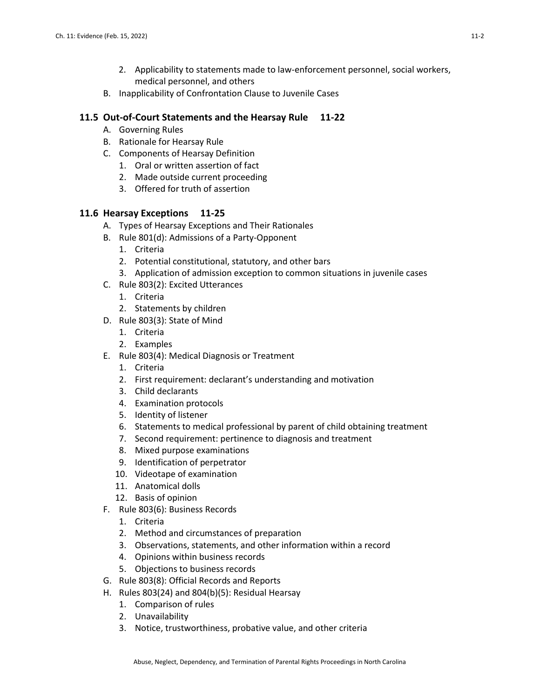- 2. Applicability to statements made to law-enforcement personnel, social workers, medical personnel, and others
- B. Inapplicability of Confrontation Clause to Juvenile Cases

### **11.5 Out-of-Court Statements and the Hearsay Rule 11-22**

- A. Governing Rules
- B. Rationale for Hearsay Rule
- C. Components of Hearsay Definition
	- 1. Oral or written assertion of fact
	- 2. Made outside current proceeding
	- 3. Offered for truth of assertion

#### **11.6 Hearsay Exceptions 11-25**

- A. Types of Hearsay Exceptions and Their Rationales
- B. Rule 801(d): Admissions of a Party-Opponent
	- 1. Criteria
	- 2. Potential constitutional, statutory, and other bars
	- 3. Application of admission exception to common situations in juvenile cases
- C. Rule 803(2): Excited Utterances
	- 1. Criteria
	- 2. Statements by children
- D. Rule 803(3): State of Mind
	- 1. Criteria
	- 2. Examples
- E. Rule 803(4): Medical Diagnosis or Treatment
	- 1. Criteria
	- 2. First requirement: declarant's understanding and motivation
	- 3. Child declarants
	- 4. Examination protocols
	- 5. Identity of listener
	- 6. Statements to medical professional by parent of child obtaining treatment
	- 7. Second requirement: pertinence to diagnosis and treatment
	- 8. Mixed purpose examinations
	- 9. Identification of perpetrator
	- 10. Videotape of examination
	- 11. Anatomical dolls
	- 12. Basis of opinion
- F. Rule 803(6): Business Records
	- 1. Criteria
	- 2. Method and circumstances of preparation
	- 3. Observations, statements, and other information within a record
	- 4. Opinions within business records
	- 5. Objections to business records
- G. Rule 803(8): Official Records and Reports
- H. Rules 803(24) and 804(b)(5): Residual Hearsay
	- 1. Comparison of rules
	- 2. Unavailability
	- 3. Notice, trustworthiness, probative value, and other criteria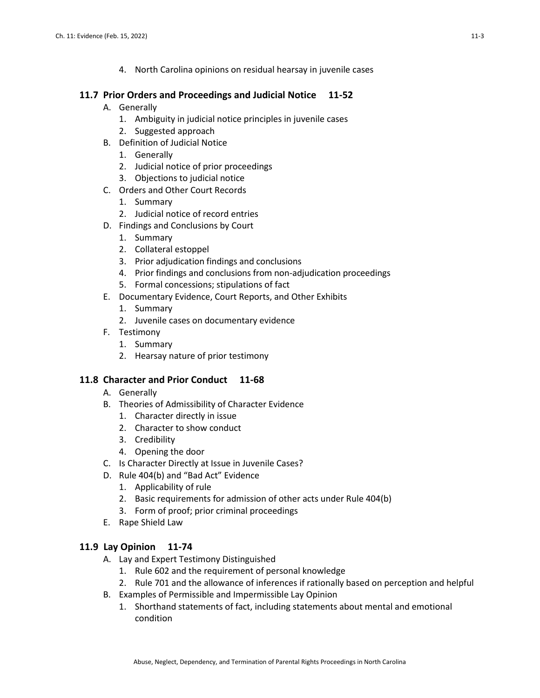4. North Carolina opinions on residual hearsay in juvenile cases

# **11.7 Prior Orders and Proceedings and Judicial Notice 11-52**

- A. Generally
	- 1. Ambiguity in judicial notice principles in juvenile cases
	- 2. Suggested approach
- B. Definition of Judicial Notice
	- 1. Generally
	- 2. Judicial notice of prior proceedings
	- 3. Objections to judicial notice
- C. Orders and Other Court Records
	- 1. Summary
	- 2. Judicial notice of record entries
- D. Findings and Conclusions by Court
	- 1. Summary
	- 2. Collateral estoppel
	- 3. Prior adjudication findings and conclusions
	- 4. Prior findings and conclusions from non-adjudication proceedings
	- 5. Formal concessions; stipulations of fact
- E. Documentary Evidence, Court Reports, and Other Exhibits
	- 1. Summary
	- 2. Juvenile cases on documentary evidence
- F. Testimony
	- 1. Summary
	- 2. Hearsay nature of prior testimony

### **11.8 Character and Prior Conduct 11-68**

- A. Generally
- B. Theories of Admissibility of Character Evidence
	- 1. Character directly in issue
	- 2. Character to show conduct
	- 3. Credibility
	- 4. Opening the door
- C. Is Character Directly at Issue in Juvenile Cases?
- D. Rule 404(b) and "Bad Act" Evidence
	- 1. Applicability of rule
	- 2. Basic requirements for admission of other acts under Rule 404(b)
	- 3. Form of proof; prior criminal proceedings
- E. Rape Shield Law

### **11.9 Lay Opinion 11-74**

- A. Lay and Expert Testimony Distinguished
	- 1. Rule 602 and the requirement of personal knowledge
	- 2. Rule 701 and the allowance of inferences if rationally based on perception and helpful
- B. Examples of Permissible and Impermissible Lay Opinion
	- 1. Shorthand statements of fact, including statements about mental and emotional condition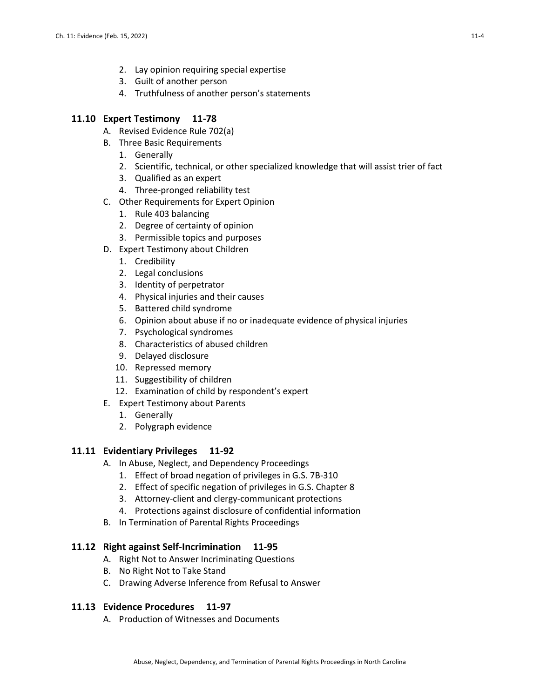- 2. Lay opinion requiring special expertise
- 3. Guilt of another person
- 4. Truthfulness of another person's statements

### **11.10 Expert Testimony 11-78**

- A. Revised Evidence Rule 702(a)
- B. Three Basic Requirements
	- 1. Generally
	- 2. Scientific, technical, or other specialized knowledge that will assist trier of fact
	- 3. Qualified as an expert
	- 4. Three-pronged reliability test
- C. Other Requirements for Expert Opinion
	- 1. Rule 403 balancing
	- 2. Degree of certainty of opinion
	- 3. Permissible topics and purposes
- D. Expert Testimony about Children
	- 1. Credibility
	- 2. Legal conclusions
	- 3. Identity of perpetrator
	- 4. Physical injuries and their causes
	- 5. Battered child syndrome
	- 6. Opinion about abuse if no or inadequate evidence of physical injuries
	- 7. Psychological syndromes
	- 8. Characteristics of abused children
	- 9. Delayed disclosure
	- 10. Repressed memory
	- 11. Suggestibility of children
	- 12. Examination of child by respondent's expert
- E. Expert Testimony about Parents
	- 1. Generally
	- 2. Polygraph evidence

### **11.11 Evidentiary Privileges 11-92**

- A. In Abuse, Neglect, and Dependency Proceedings
	- 1. Effect of broad negation of privileges in G.S. 7B-310
	- 2. Effect of specific negation of privileges in G.S. Chapter 8
	- 3. Attorney-client and clergy-communicant protections
	- 4. Protections against disclosure of confidential information
- B. In Termination of Parental Rights Proceedings

### **11.12 Right against Self-Incrimination 11-95**

- A. Right Not to Answer Incriminating Questions
- B. No Right Not to Take Stand
- C. Drawing Adverse Inference from Refusal to Answer

### **11.13 Evidence Procedures 11-97**

A. Production of Witnesses and Documents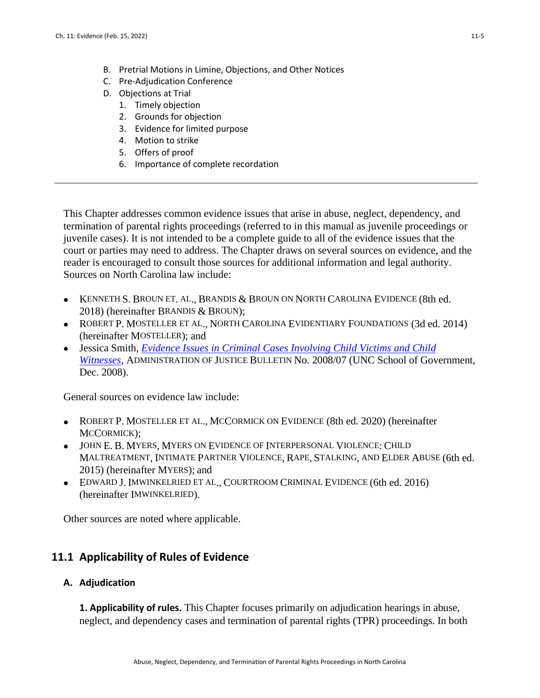- B. Pretrial Motions in Limine, Objections, and Other Notices
- C. Pre-Adjudication Conference
- D. Objections at Trial
	- 1. Timely objection
	- 2. Grounds for objection
	- 3. Evidence for limited purpose
	- 4. Motion to strike
	- 5. Offers of proof
	- 6. Importance of complete recordation

This Chapter addresses common evidence issues that arise in abuse, neglect, dependency, and termination of parental rights proceedings (referred to in this manual as juvenile proceedings or juvenile cases). It is not intended to be a complete guide to all of the evidence issues that the court or parties may need to address. The Chapter draws on several sources on evidence, and the reader is encouraged to consult those sources for additional information and legal authority. Sources on North Carolina law include:

- $\bullet$  KENNETH S. BROUN ET. AL., BRANDIS & BROUN ON NORTH CAROLINA EVIDENCE (8th ed. 2018) (hereinafter BRANDIS & BROUN);
- ROBERT P. MOSTELLER ET AL., NORTH CAROLINA EVIDENTIARY FOUNDATIONS (3d ed. 2014) (hereinafter MOSTELLER); and
- Jessica Smith, *[Evidence Issues in Criminal Cases Involving Child Victims and Child](http://benchbook.sog.unc.edu/evidence/criminal-cases-involving-child-victims-and-child-witnesses)  [Witnesses](http://benchbook.sog.unc.edu/evidence/criminal-cases-involving-child-victims-and-child-witnesses)*, ADMINISTRATION OF JUSTICE BULLETIN No. 2008/07 (UNC School of Government, Dec. 2008).

General sources on evidence law include:

- ROBERT P. MOSTELLER ET AL., MCCORMICK ON EVIDENCE (8th ed. 2020) (hereinafter MCCORMICK);
- JOHN E. B. MYERS, MYERS ON EVIDENCE OF INTERPERSONAL VIOLENCE: CHILD MALTREATMENT, INTIMATE PARTNER VIOLENCE, RAPE, STALKING, AND ELDER ABUSE (6th ed. 2015) (hereinafter MYERS); and
- EDWARD J. IMWINKELRIED ET AL., COURTROOM CRIMINAL EVIDENCE (6th ed. 2016) (hereinafter IMWINKELRIED).

Other sources are noted where applicable.

# **11.1 Applicability of Rules of Evidence**

# **A. Adjudication**

**1. Applicability of rules.** This Chapter focuses primarily on adjudication hearings in abuse, neglect, and dependency cases and termination of parental rights (TPR) proceedings. In both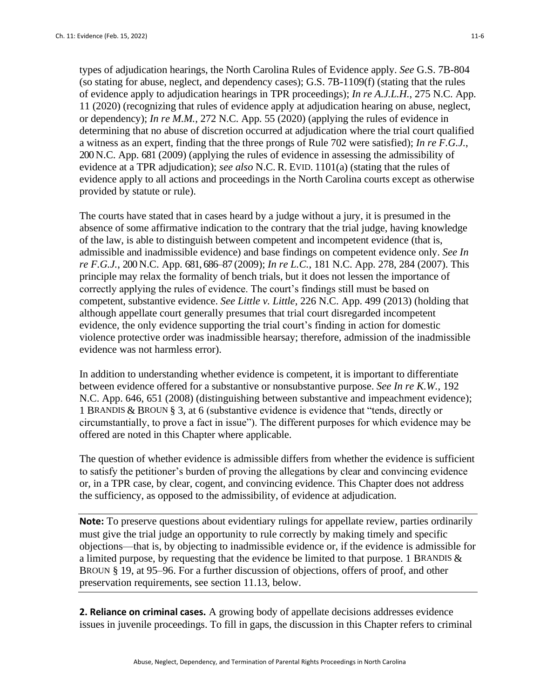types of adjudication hearings, the North Carolina Rules of Evidence apply. *See* G.S. 7B-804 (so stating for abuse, neglect, and dependency cases); G.S. 7B-1109(f) (stating that the rules of evidence apply to adjudication hearings in TPR proceedings); *In re A.J.L.H.*, 275 N.C. App. 11 (2020) (recognizing that rules of evidence apply at adjudication hearing on abuse, neglect, or dependency); *In re M.M.*, 272 N.C. App. 55 (2020) (applying the rules of evidence in determining that no abuse of discretion occurred at adjudication where the trial court qualified a witness as an expert, finding that the three prongs of Rule 702 were satisfied); *In re F.G.J.*, 200 N.C. App. 681 (2009) (applying the rules of evidence in assessing the admissibility of evidence at a TPR adjudication); *see also* N.C. R. EVID. 1101(a) (stating that the rules of evidence apply to all actions and proceedings in the North Carolina courts except as otherwise provided by statute or rule).

The courts have stated that in cases heard by a judge without a jury, it is presumed in the absence of some affirmative indication to the contrary that the trial judge, having knowledge of the law, is able to distinguish between competent and incompetent evidence (that is, admissible and inadmissible evidence) and base findings on competent evidence only. *See In re F.G.J.*, 200 N.C. App. 681, 686–87 (2009); *In re L.C.*, 181 N.C. App. 278, 284 (2007). This principle may relax the formality of bench trials, but it does not lessen the importance of correctly applying the rules of evidence. The court's findings still must be based on competent, substantive evidence. *See Little v. Little*, 226 N.C. App. 499 (2013) (holding that although appellate court generally presumes that trial court disregarded incompetent evidence, the only evidence supporting the trial court's finding in action for domestic violence protective order was inadmissible hearsay; therefore, admission of the inadmissible evidence was not harmless error).

In addition to understanding whether evidence is competent, it is important to differentiate between evidence offered for a substantive or nonsubstantive purpose. *See In re K.W.*, 192 N.C. App. 646, 651 (2008) (distinguishing between substantive and impeachment evidence); 1 BRANDIS & BROUN § 3, at 6 (substantive evidence is evidence that "tends, directly or circumstantially, to prove a fact in issue"). The different purposes for which evidence may be offered are noted in this Chapter where applicable.

The question of whether evidence is admissible differs from whether the evidence is sufficient to satisfy the petitioner's burden of proving the allegations by clear and convincing evidence or, in a TPR case, by clear, cogent, and convincing evidence. This Chapter does not address the sufficiency, as opposed to the admissibility, of evidence at adjudication.

**Note:** To preserve questions about evidentiary rulings for appellate review, parties ordinarily must give the trial judge an opportunity to rule correctly by making timely and specific objections—that is, by objecting to inadmissible evidence or, if the evidence is admissible for a limited purpose, by requesting that the evidence be limited to that purpose. 1 BRANDIS  $\&$ BROUN § 19, at 95–96. For a further discussion of objections, offers of proof, and other preservation requirements, see section 11.13, below.

**2. Reliance on criminal cases.** A growing body of appellate decisions addresses evidence issues in juvenile proceedings. To fill in gaps, the discussion in this Chapter refers to criminal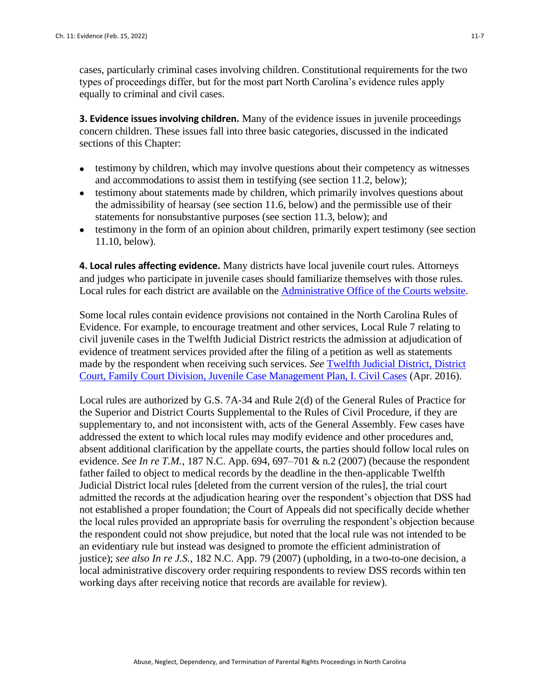cases, particularly criminal cases involving children. Constitutional requirements for the two types of proceedings differ, but for the most part North Carolina's evidence rules apply equally to criminal and civil cases.

**3. Evidence issues involving children.** Many of the evidence issues in juvenile proceedings concern children. These issues fall into three basic categories, discussed in the indicated sections of this Chapter:

- testimony by children, which may involve questions about their competency as witnesses and accommodations to assist them in testifying (see section 11.2, below);
- testimony about statements made by children, which primarily involves questions about the admissibility of hearsay (see section 11.6, below) and the permissible use of their statements for nonsubstantive purposes (see section 11.3, below); and
- testimony in the form of an opinion about children, primarily expert testimony (see section 11.10, below).

**4. Local rules affecting evidence.** Many districts have local juvenile court rules. Attorneys and judges who participate in juvenile cases should familiarize themselves with those rules. Local rules for each district are available on the [Administrative Office of the Courts website.](https://www.nccourts.gov/documents/local-rules-and-forms)

Some local rules contain evidence provisions not contained in the North Carolina Rules of Evidence. For example, to encourage treatment and other services, Local Rule 7 relating to civil juvenile cases in the Twelfth Judicial District restricts the admission at adjudication of evidence of treatment services provided after the filing of a petition as well as statements made by the respondent when receiving such services. *See* [Twelfth Judicial District, District](https://www.nccourts.gov/documents/local-rules-and-forms/family-court-division-juvenile-case-management-plan-civil-and-cases-2016)  [Court, Family Court Division, Juvenile Case Management Plan, I. Civil Cases](https://www.nccourts.gov/documents/local-rules-and-forms/family-court-division-juvenile-case-management-plan-civil-and-cases-2016) (Apr. 2016).

Local rules are authorized by G.S. 7A-34 and Rule 2(d) of the General Rules of Practice for the Superior and District Courts Supplemental to the Rules of Civil Procedure, if they are supplementary to, and not inconsistent with, acts of the General Assembly. Few cases have addressed the extent to which local rules may modify evidence and other procedures and, absent additional clarification by the appellate courts, the parties should follow local rules on evidence. *See In re T.M.*, 187 N.C. App. 694, 697–701  $\&$  n.2 (2007) (because the respondent father failed to object to medical records by the deadline in the then-applicable Twelfth Judicial District local rules [deleted from the current version of the rules], the trial court admitted the records at the adjudication hearing over the respondent's objection that DSS had not established a proper foundation; the Court of Appeals did not specifically decide whether the local rules provided an appropriate basis for overruling the respondent's objection because the respondent could not show prejudice, but noted that the local rule was not intended to be an evidentiary rule but instead was designed to promote the efficient administration of justice); *see also In re J.S.*, 182 N.C. App. 79 (2007) (upholding, in a two-to-one decision, a local administrative discovery order requiring respondents to review DSS records within ten working days after receiving notice that records are available for review).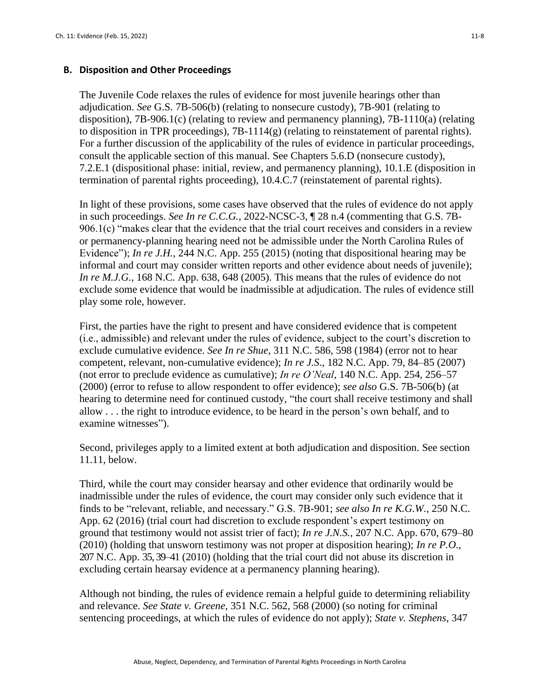### **B. Disposition and Other Proceedings**

The Juvenile Code relaxes the rules of evidence for most juvenile hearings other than adjudication. *See* G.S. 7B-506(b) (relating to nonsecure custody), 7B-901 (relating to disposition), 7B-906.1(c) (relating to review and permanency planning), 7B-1110(a) (relating to disposition in TPR proceedings),  $7B-1114(g)$  (relating to reinstatement of parental rights). For a further discussion of the applicability of the rules of evidence in particular proceedings, consult the applicable section of this manual. See Chapters 5.6.D (nonsecure custody), 7.2.E.1 (dispositional phase: initial, review, and permanency planning), 10.1.E (disposition in termination of parental rights proceeding), 10.4.C.7 (reinstatement of parental rights).

In light of these provisions, some cases have observed that the rules of evidence do not apply in such proceedings. *See In re C.C.G.*, 2022-NCSC-3, ¶ 28 n.4 (commenting that G.S. 7B-906.1(c) "makes clear that the evidence that the trial court receives and considers in a review or permanency-planning hearing need not be admissible under the North Carolina Rules of Evidence"); *In re J.H.*, 244 N.C. App. 255 (2015) (noting that dispositional hearing may be informal and court may consider written reports and other evidence about needs of juvenile); *In re M.J.G.*, 168 N.C. App. 638, 648 (2005). This means that the rules of evidence do not exclude some evidence that would be inadmissible at adjudication. The rules of evidence still play some role, however.

First, the parties have the right to present and have considered evidence that is competent (i.e., admissible) and relevant under the rules of evidence, subject to the court's discretion to exclude cumulative evidence. *See In re Shue*, 311 N.C. 586, 598 (1984) (error not to hear competent, relevant, non-cumulative evidence); *In re J.S*., 182 N.C. App. 79, 84–85 (2007) (not error to preclude evidence as cumulative); *In re O'Neal*, 140 N.C. App. 254, 256–57 (2000) (error to refuse to allow respondent to offer evidence); *see also* G.S. 7B-506(b) (at hearing to determine need for continued custody, "the court shall receive testimony and shall allow . . . the right to introduce evidence, to be heard in the person's own behalf, and to examine witnesses").

Second, privileges apply to a limited extent at both adjudication and disposition. See section 11.11, below.

Third, while the court may consider hearsay and other evidence that ordinarily would be inadmissible under the rules of evidence, the court may consider only such evidence that it finds to be "relevant, reliable, and necessary." G.S. 7B-901; *see also In re K.G.W.*, 250 N.C. App. 62 (2016) (trial court had discretion to exclude respondent's expert testimony on ground that testimony would not assist trier of fact); *In re J.N.S.*, 207 N.C. App. 670, 679–80 (2010) (holding that unsworn testimony was not proper at disposition hearing); *In re P.O.*, 207 N.C. App. 35, 39–41 (2010) (holding that the trial court did not abuse its discretion in excluding certain hearsay evidence at a permanency planning hearing).

Although not binding, the rules of evidence remain a helpful guide to determining reliability and relevance. *See State v. Greene*, 351 N.C. 562, 568 (2000) (so noting for criminal sentencing proceedings, at which the rules of evidence do not apply); *State v. Stephens*, 347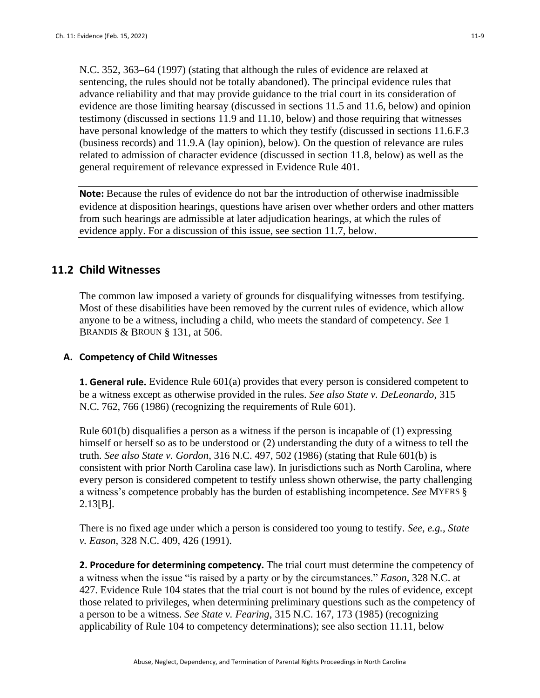N.C. 352, 363–64 (1997) (stating that although the rules of evidence are relaxed at sentencing, the rules should not be totally abandoned). The principal evidence rules that advance reliability and that may provide guidance to the trial court in its consideration of evidence are those limiting hearsay (discussed in sections 11.5 and 11.6, below) and opinion testimony (discussed in sections 11.9 and 11.10, below) and those requiring that witnesses have personal knowledge of the matters to which they testify (discussed in sections 11.6.F.3 (business records) and 11.9.A (lay opinion), below). On the question of relevance are rules related to admission of character evidence (discussed in section 11.8, below) as well as the general requirement of relevance expressed in Evidence Rule 401.

**Note:** Because the rules of evidence do not bar the introduction of otherwise inadmissible evidence at disposition hearings, questions have arisen over whether orders and other matters from such hearings are admissible at later adjudication hearings, at which the rules of evidence apply. For a discussion of this issue, see section 11.7, below.

# **11.2 Child Witnesses**

The common law imposed a variety of grounds for disqualifying witnesses from testifying. Most of these disabilities have been removed by the current rules of evidence, which allow anyone to be a witness, including a child, who meets the standard of competency. *See* 1 BRANDIS & BROUN § 131, at 506.

### **A. Competency of Child Witnesses**

**1. General rule.** Evidence Rule 601(a) provides that every person is considered competent to be a witness except as otherwise provided in the rules. *See also State v. DeLeonardo*, 315 N.C. 762, 766 (1986) (recognizing the requirements of Rule 601).

Rule 601(b) disqualifies a person as a witness if the person is incapable of (1) expressing himself or herself so as to be understood or (2) understanding the duty of a witness to tell the truth. *See also State v. Gordon*, 316 N.C. 497, 502 (1986) (stating that Rule 601(b) is consistent with prior North Carolina case law). In jurisdictions such as North Carolina, where every person is considered competent to testify unless shown otherwise, the party challenging a witness's competence probably has the burden of establishing incompetence. *See* MYERS § 2.13[B].

There is no fixed age under which a person is considered too young to testify. *See, e.g., State v. Eason*, 328 N.C. 409, 426 (1991).

**2. Procedure for determining competency.** The trial court must determine the competency of a witness when the issue "is raised by a party or by the circumstances." *Eason*, 328 N.C. at 427. Evidence Rule 104 states that the trial court is not bound by the rules of evidence, except those related to privileges, when determining preliminary questions such as the competency of a person to be a witness. *See State v. Fearing*, 315 N.C. 167, 173 (1985) (recognizing applicability of Rule 104 to competency determinations); see also section 11.11, below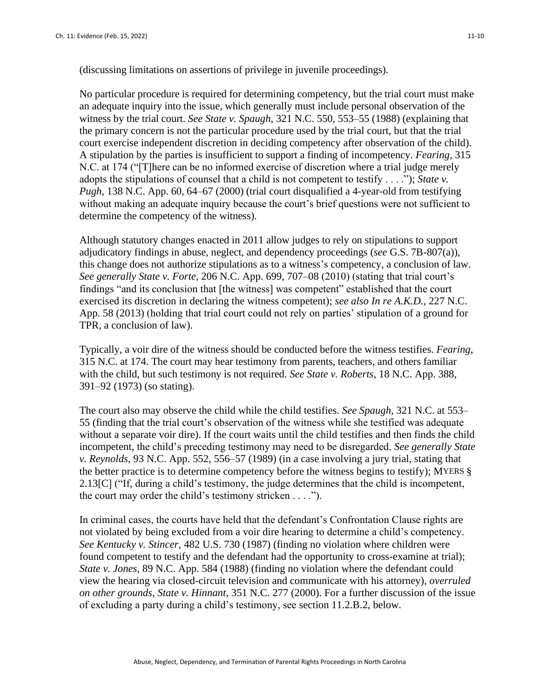(discussing limitations on assertions of privilege in juvenile proceedings).

No particular procedure is required for determining competency, but the trial court must make an adequate inquiry into the issue, which generally must include personal observation of the witness by the trial court. *See State v. Spaugh*, 321 N.C. 550, 553–55 (1988) (explaining that the primary concern is not the particular procedure used by the trial court, but that the trial court exercise independent discretion in deciding competency after observation of the child). A stipulation by the parties is insufficient to support a finding of incompetency. *Fearing*, 315 N.C. at 174 ("[T]here can be no informed exercise of discretion where a trial judge merely adopts the stipulations of counsel that a child is not competent to testify . . . ."); *State v. Pugh,* 138 N.C. App. 60, 64–67 (2000) (trial court disqualified a 4-year-old from testifying without making an adequate inquiry because the court's brief questions were not sufficient to determine the competency of the witness).

Although statutory changes enacted in 2011 allow judges to rely on stipulations to support adjudicatory findings in abuse, neglect, and dependency proceedings (*see* G.S. 7B-807(a)), this change does not authorize stipulations as to a witness's competency, a conclusion of law. *See generally State v. Forte*, 206 N.C. App. 699, 707–08 (2010) (stating that trial court's findings "and its conclusion that [the witness] was competent" established that the court exercised its discretion in declaring the witness competent); *see also In re A.K.D.*, 227 N.C. App. 58 (2013) (holding that trial court could not rely on parties' stipulation of a ground for TPR, a conclusion of law).

Typically, a voir dire of the witness should be conducted before the witness testifies. *Fearing*, 315 N.C. at 174. The court may hear testimony from parents, teachers, and others familiar with the child, but such testimony is not required. *See State v. Roberts*, 18 N.C. App. 388, 391–92 (1973) (so stating).

The court also may observe the child while the child testifies. *See Spaugh*, 321 N.C. at 553– 55 (finding that the trial court's observation of the witness while she testified was adequate without a separate voir dire). If the court waits until the child testifies and then finds the child incompetent, the child's preceding testimony may need to be disregarded. *See generally State v. Reynolds*, 93 N.C. App. 552, 556–57 (1989) (in a case involving a jury trial, stating that the better practice is to determine competency before the witness begins to testify); MYERS § 2.13[C] ("If, during a child's testimony, the judge determines that the child is incompetent, the court may order the child's testimony stricken . . . .").

In criminal cases, the courts have held that the defendant's Confrontation Clause rights are not violated by being excluded from a voir dire hearing to determine a child's competency. *See Kentucky v. Stincer*, 482 U.S. 730 (1987) (finding no violation where children were found competent to testify and the defendant had the opportunity to cross-examine at trial); *State v. Jones*, 89 N.C. App. 584 (1988) (finding no violation where the defendant could view the hearing via closed-circuit television and communicate with his attorney), *overruled on other grounds*, *State v. Hinnant*, 351 N.C. 277 (2000). For a further discussion of the issue of excluding a party during a child's testimony, see section 11.2.B.2, below.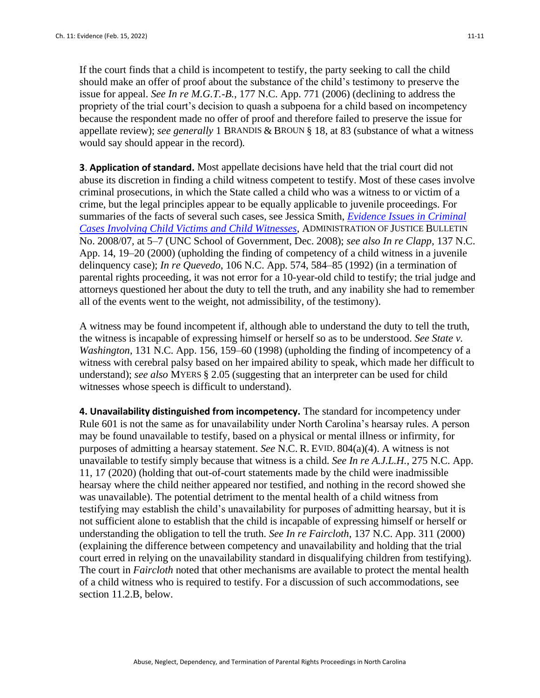If the court finds that a child is incompetent to testify, the party seeking to call the child should make an offer of proof about the substance of the child's testimony to preserve the issue for appeal. *See In re M.G.T.-B.*, 177 N.C. App. 771 (2006) (declining to address the propriety of the trial court's decision to quash a subpoena for a child based on incompetency because the respondent made no offer of proof and therefore failed to preserve the issue for appellate review); *see generally* 1 BRANDIS & BROUN § 18, at 83 (substance of what a witness would say should appear in the record).

**3**. **Application of standard.** Most appellate decisions have held that the trial court did not abuse its discretion in finding a child witness competent to testify. Most of these cases involve criminal prosecutions, in which the State called a child who was a witness to or victim of a crime, but the legal principles appear to be equally applicable to juvenile proceedings. For summaries of the facts of several such cases, see Jessica Smith, *[Evidence Issues in Criminal](http://benchbook.sog.unc.edu/evidence/criminal-cases-involving-child-victims-and-child-witnesses)  [Cases Involving Child Victims and Child Witnesses](http://benchbook.sog.unc.edu/evidence/criminal-cases-involving-child-victims-and-child-witnesses)*, ADMINISTRATION OF JUSTICE BULLETIN No. 2008/07, at 5–7 (UNC School of Government, Dec. 2008); *see also In re Clapp*, 137 N.C. App. 14, 19–20 (2000) (upholding the finding of competency of a child witness in a juvenile delinquency case); *In re Quevedo*, 106 N.C. App. 574, 584–85 (1992) (in a termination of parental rights proceeding, it was not error for a 10-year-old child to testify; the trial judge and attorneys questioned her about the duty to tell the truth, and any inability she had to remember all of the events went to the weight, not admissibility, of the testimony).

A witness may be found incompetent if, although able to understand the duty to tell the truth, the witness is incapable of expressing himself or herself so as to be understood. *See State v. Washington*, 131 N.C. App. 156, 159–60 (1998) (upholding the finding of incompetency of a witness with cerebral palsy based on her impaired ability to speak, which made her difficult to understand); *see also* MYERS § 2.05 (suggesting that an interpreter can be used for child witnesses whose speech is difficult to understand).

**4. Unavailability distinguished from incompetency.** The standard for incompetency under Rule 601 is not the same as for unavailability under North Carolina's hearsay rules. A person may be found unavailable to testify, based on a physical or mental illness or infirmity, for purposes of admitting a hearsay statement. *See* N.C. R. EVID. 804(a)(4). A witness is not unavailable to testify simply because that witness is a child. *See In re A.J.L.H.*, 275 N.C. App. 11, 17 (2020) (holding that out-of-court statements made by the child were inadmissible hearsay where the child neither appeared nor testified, and nothing in the record showed she was unavailable). The potential detriment to the mental health of a child witness from testifying may establish the child's unavailability for purposes of admitting hearsay, but it is not sufficient alone to establish that the child is incapable of expressing himself or herself or understanding the obligation to tell the truth. *See In re Faircloth*, 137 N.C. App. 311 (2000) (explaining the difference between competency and unavailability and holding that the trial court erred in relying on the unavailability standard in disqualifying children from testifying). The court in *Faircloth* noted that other mechanisms are available to protect the mental health of a child witness who is required to testify. For a discussion of such accommodations, see section 11.2.B, below.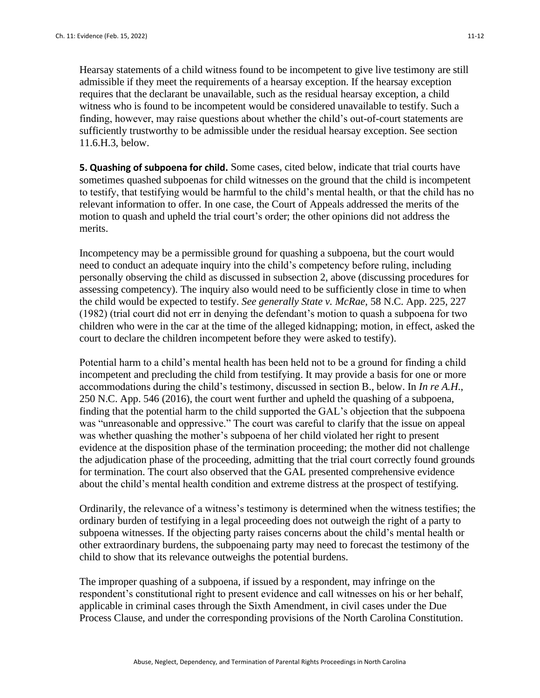Hearsay statements of a child witness found to be incompetent to give live testimony are still admissible if they meet the requirements of a hearsay exception. If the hearsay exception requires that the declarant be unavailable, such as the residual hearsay exception, a child witness who is found to be incompetent would be considered unavailable to testify. Such a finding, however, may raise questions about whether the child's out-of-court statements are sufficiently trustworthy to be admissible under the residual hearsay exception. See section 11.6.H.3, below.

**5. Quashing of subpoena for child.** Some cases, cited below, indicate that trial courts have sometimes quashed subpoenas for child witnesses on the ground that the child is incompetent to testify, that testifying would be harmful to the child's mental health, or that the child has no relevant information to offer. In one case, the Court of Appeals addressed the merits of the motion to quash and upheld the trial court's order; the other opinions did not address the merits.

Incompetency may be a permissible ground for quashing a subpoena, but the court would need to conduct an adequate inquiry into the child's competency before ruling, including personally observing the child as discussed in subsection 2, above (discussing procedures for assessing competency). The inquiry also would need to be sufficiently close in time to when the child would be expected to testify. *See generally State v. McRae*, 58 N.C. App. 225, 227 (1982) (trial court did not err in denying the defendant's motion to quash a subpoena for two children who were in the car at the time of the alleged kidnapping; motion, in effect, asked the court to declare the children incompetent before they were asked to testify).

Potential harm to a child's mental health has been held not to be a ground for finding a child incompetent and precluding the child from testifying. It may provide a basis for one or more accommodations during the child's testimony, discussed in section B., below. In *In re A.H.*, 250 N.C. App. 546 (2016), the court went further and upheld the quashing of a subpoena, finding that the potential harm to the child supported the GAL's objection that the subpoena was "unreasonable and oppressive." The court was careful to clarify that the issue on appeal was whether quashing the mother's subpoena of her child violated her right to present evidence at the disposition phase of the termination proceeding; the mother did not challenge the adjudication phase of the proceeding, admitting that the trial court correctly found grounds for termination. The court also observed that the GAL presented comprehensive evidence about the child's mental health condition and extreme distress at the prospect of testifying.

Ordinarily, the relevance of a witness's testimony is determined when the witness testifies; the ordinary burden of testifying in a legal proceeding does not outweigh the right of a party to subpoena witnesses. If the objecting party raises concerns about the child's mental health or other extraordinary burdens, the subpoenaing party may need to forecast the testimony of the child to show that its relevance outweighs the potential burdens.

The improper quashing of a subpoena, if issued by a respondent, may infringe on the respondent's constitutional right to present evidence and call witnesses on his or her behalf, applicable in criminal cases through the Sixth Amendment, in civil cases under the Due Process Clause, and under the corresponding provisions of the North Carolina Constitution.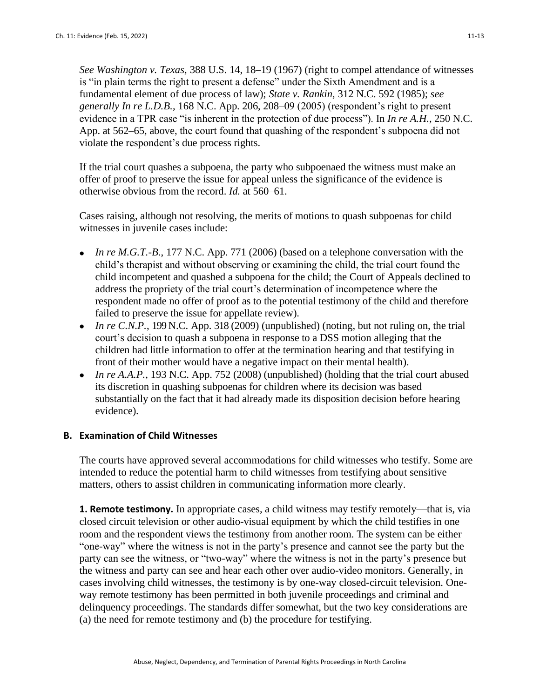*See Washington v. Texas*, 388 U.S. 14, 18–19 (1967) (right to compel attendance of witnesses is "in plain terms the right to present a defense" under the Sixth Amendment and is a fundamental element of due process of law); *State v. Rankin*, 312 N.C. 592 (1985); *see generally In re L.D.B.*, 168 N.C. App. 206, 208–09 (2005) (respondent's right to present evidence in a TPR case "is inherent in the protection of due process"). In *In re A.H.*, 250 N.C. App. at 562–65, above, the court found that quashing of the respondent's subpoena did not violate the respondent's due process rights.

If the trial court quashes a subpoena, the party who subpoenaed the witness must make an offer of proof to preserve the issue for appeal unless the significance of the evidence is otherwise obvious from the record. *Id.* at 560–61.

Cases raising, although not resolving, the merits of motions to quash subpoenas for child witnesses in juvenile cases include:

- *In re M.G.T.-B.*, 177 N.C. App. 771 (2006) (based on a telephone conversation with the child's therapist and without observing or examining the child, the trial court found the child incompetent and quashed a subpoena for the child; the Court of Appeals declined to address the propriety of the trial court's determination of incompetence where the respondent made no offer of proof as to the potential testimony of the child and therefore failed to preserve the issue for appellate review).
- *In re C.N.P.*, 199 N.C. App. 318 (2009) (unpublished) (noting, but not ruling on, the trial court's decision to quash a subpoena in response to a DSS motion alleging that the children had little information to offer at the termination hearing and that testifying in front of their mother would have a negative impact on their mental health).
- *In re A.A.P.*, 193 N.C. App. 752 (2008) (unpublished) (holding that the trial court abused its discretion in quashing subpoenas for children where its decision was based substantially on the fact that it had already made its disposition decision before hearing evidence).

# **B. Examination of Child Witnesses**

The courts have approved several accommodations for child witnesses who testify. Some are intended to reduce the potential harm to child witnesses from testifying about sensitive matters, others to assist children in communicating information more clearly.

**1. Remote testimony.** In appropriate cases, a child witness may testify remotely—that is, via closed circuit television or other audio-visual equipment by which the child testifies in one room and the respondent views the testimony from another room. The system can be either "one-way" where the witness is not in the party's presence and cannot see the party but the party can see the witness, or "two-way" where the witness is not in the party's presence but the witness and party can see and hear each other over audio-video monitors. Generally, in cases involving child witnesses, the testimony is by one-way closed-circuit television. Oneway remote testimony has been permitted in both juvenile proceedings and criminal and delinquency proceedings. The standards differ somewhat, but the two key considerations are (a) the need for remote testimony and (b) the procedure for testifying.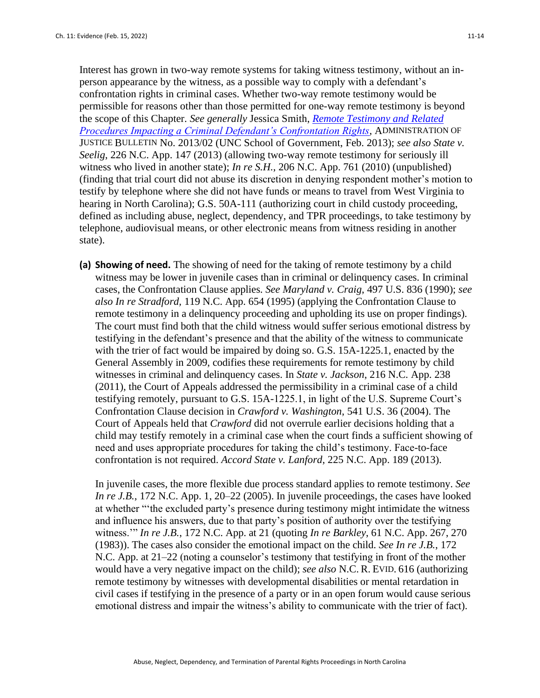Interest has grown in two-way remote systems for taking witness testimony, without an inperson appearance by the witness, as a possible way to comply with a defendant's confrontation rights in criminal cases. Whether two-way remote testimony would be permissible for reasons other than those permitted for one-way remote testimony is beyond the scope of this Chapter. *See generally* Jessica Smith, *[Remote Testimony and Related](https://www.sog.unc.edu/sites/www.sog.unc.edu/files/reports/aojb1302.pdf)  [Procedures Impacting a Criminal Defendant's Confrontation Rights](https://www.sog.unc.edu/sites/www.sog.unc.edu/files/reports/aojb1302.pdf)*, ADMINISTRATION OF JUSTICE BULLETIN No. 2013/02 (UNC School of Government, Feb. 2013); *see also State v. Seelig*, 226 N.C. App. 147 (2013) (allowing two-way remote testimony for seriously ill witness who lived in another state); *In re S.H.*, 206 N.C. App. 761 (2010) (unpublished) (finding that trial court did not abuse its discretion in denying respondent mother's motion to testify by telephone where she did not have funds or means to travel from West Virginia to hearing in North Carolina); G.S. 50A-111 (authorizing court in child custody proceeding, defined as including abuse, neglect, dependency, and TPR proceedings, to take testimony by telephone, audiovisual means, or other electronic means from witness residing in another state).

**(a) Showing of need.** The showing of need for the taking of remote testimony by a child witness may be lower in juvenile cases than in criminal or delinquency cases. In criminal cases, the Confrontation Clause applies. *See Maryland v. Craig*, 497 U.S. 836 (1990); *see also In re Stradford,* 119 N.C. App. 654 (1995) (applying the Confrontation Clause to remote testimony in a delinguency proceeding and upholding its use on proper findings). The court must find both that the child witness would suffer serious emotional distress by testifying in the defendant's presence and that the ability of the witness to communicate with the trier of fact would be impaired by doing so. G.S. 15A-1225.1, enacted by the General Assembly in 2009, codifies these requirements for remote testimony by child witnesses in criminal and delinquency cases. In *State v. Jackson*, 216 N.C. App. 238 (2011), the Court of Appeals addressed the permissibility in a criminal case of a child testifying remotely, pursuant to G.S. 15A-1225.1, in light of the U.S. Supreme Court's Confrontation Clause decision in *Crawford v. Washington*, 541 U.S. 36 (2004). The Court of Appeals held that *Crawford* did not overrule earlier decisions holding that a child may testify remotely in a criminal case when the court finds a sufficient showing of need and uses appropriate procedures for taking the child's testimony. Face-to-face confrontation is not required. *Accord State v. Lanford*, 225 N.C. App. 189 (2013).

In juvenile cases, the more flexible due process standard applies to remote testimony. *See In re J.B.*, 172 N.C. App. 1, 20–22 (2005). In juvenile proceedings, the cases have looked at whether "'the excluded party's presence during testimony might intimidate the witness and influence his answers, due to that party's position of authority over the testifying witness.'" *In re J.B.*, 172 N.C. App. at 21 (quoting *In re Barkley*, 61 N.C. App. 267, 270 (1983)). The cases also consider the emotional impact on the child. *See In re J.B.*, 172 N.C. App. at 21–22 (noting a counselor's testimony that testifying in front of the mother would have a very negative impact on the child); *see also* N.C. R. EVID. 616 (authorizing remote testimony by witnesses with developmental disabilities or mental retardation in civil cases if testifying in the presence of a party or in an open forum would cause serious emotional distress and impair the witness's ability to communicate with the trier of fact).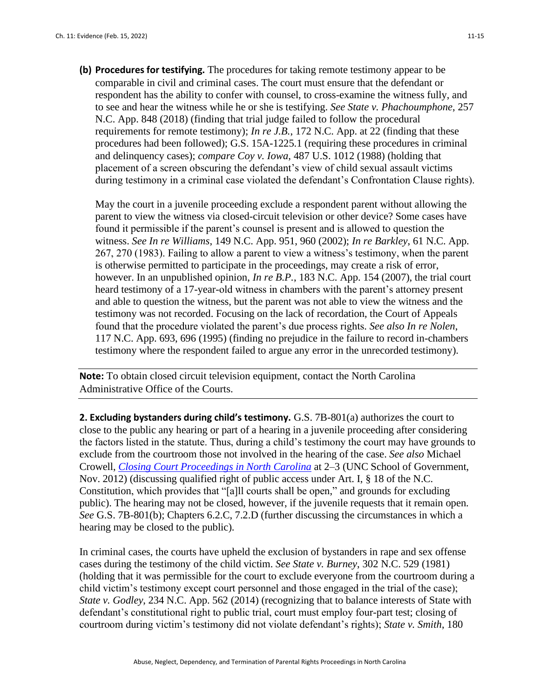**(b) Procedures for testifying.** The procedures for taking remote testimony appear to be comparable in civil and criminal cases. The court must ensure that the defendant or respondent has the ability to confer with counsel, to cross-examine the witness fully, and to see and hear the witness while he or she is testifying. *See State v. Phachoumphone*, 257 N.C. App. 848 (2018) (finding that trial judge failed to follow the procedural requirements for remote testimony); *In re J.B.*, 172 N.C. App. at 22 (finding that these procedures had been followed); G.S. 15A-1225.1 (requiring these procedures in criminal and delinquency cases); *compare Coy v. Iowa*, 487 U.S. 1012 (1988) (holding that placement of a screen obscuring the defendant's view of child sexual assault victims during testimony in a criminal case violated the defendant's Confrontation Clause rights).

May the court in a juvenile proceeding exclude a respondent parent without allowing the parent to view the witness via closed-circuit television or other device? Some cases have found it permissible if the parent's counsel is present and is allowed to question the witness. *See In re Williams*, 149 N.C. App. 951, 960 (2002); *In re Barkley*, 61 N.C. App. 267, 270 (1983). Failing to allow a parent to view a witness's testimony, when the parent is otherwise permitted to participate in the proceedings, may create a risk of error, however. In an unpublished opinion, *In re B.P.*, 183 N.C. App. 154 (2007), the trial court heard testimony of a 17-year-old witness in chambers with the parent's attorney present and able to question the witness, but the parent was not able to view the witness and the testimony was not recorded. Focusing on the lack of recordation, the Court of Appeals found that the procedure violated the parent's due process rights. *See also In re Nolen*, 117 N.C. App. 693, 696 (1995) (finding no prejudice in the failure to record in-chambers testimony where the respondent failed to argue any error in the unrecorded testimony).

**Note:** To obtain closed circuit television equipment, contact the North Carolina Administrative Office of the Courts.

**2. Excluding bystanders during child's testimony.** G.S. 7B-801(a) authorizes the court to close to the public any hearing or part of a hearing in a juvenile proceeding after considering the factors listed in the statute. Thus, during a child's testimony the court may have grounds to exclude from the courtroom those not involved in the hearing of the case. *See also* Michael Crowell, *[Closing Court Proceedings in North Carolina](https://www.sog.unc.edu/sites/www.sog.unc.edu/files/additional_files/Closing%20court%20proceedings%20Nov%2012.pdf)* at 2–3 (UNC School of Government, Nov. 2012) (discussing qualified right of public access under Art. I, § 18 of the N.C. Constitution, which provides that "[a]ll courts shall be open," and grounds for excluding public). The hearing may not be closed, however, if the juvenile requests that it remain open. *See* G.S. 7B-801(b); Chapters 6.2.C, 7.2.D (further discussing the circumstances in which a hearing may be closed to the public).

In criminal cases, the courts have upheld the exclusion of bystanders in rape and sex offense cases during the testimony of the child victim. *See State v. Burney*, 302 N.C. 529 (1981) (holding that it was permissible for the court to exclude everyone from the courtroom during a child victim's testimony except court personnel and those engaged in the trial of the case); *State v. Godley*, 234 N.C. App. 562 (2014) (recognizing that to balance interests of State with defendant's constitutional right to public trial, court must employ four-part test; closing of courtroom during victim's testimony did not violate defendant's rights); *State v. Smith*, 180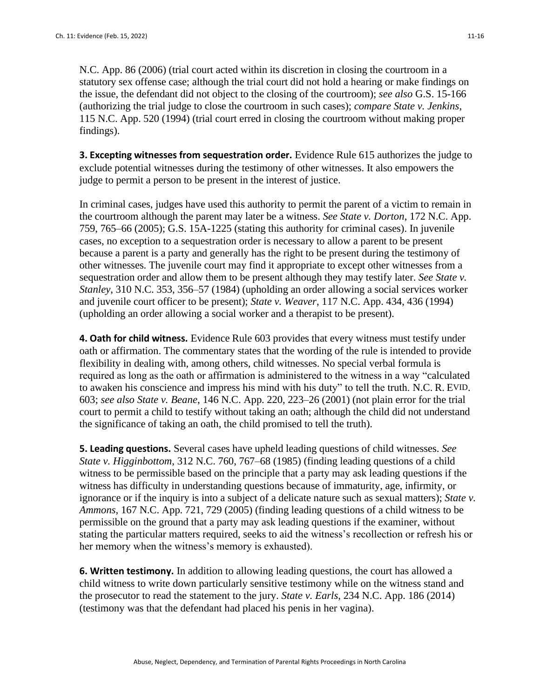N.C. App. 86 (2006) (trial court acted within its discretion in closing the courtroom in a statutory sex offense case; although the trial court did not hold a hearing or make findings on the issue, the defendant did not object to the closing of the courtroom); *see also* G.S. 15-166 (authorizing the trial judge to close the courtroom in such cases); *compare State v. Jenkins*, 115 N.C. App. 520 (1994) (trial court erred in closing the courtroom without making proper findings).

**3. Excepting witnesses from sequestration order.** Evidence Rule 615 authorizes the judge to exclude potential witnesses during the testimony of other witnesses. It also empowers the judge to permit a person to be present in the interest of justice.

In criminal cases, judges have used this authority to permit the parent of a victim to remain in the courtroom although the parent may later be a witness. *See State v. Dorton*, 172 N.C. App. 759, 765–66 (2005); G.S. 15A-1225 (stating this authority for criminal cases). In juvenile cases, no exception to a sequestration order is necessary to allow a parent to be present because a parent is a party and generally has the right to be present during the testimony of other witnesses. The juvenile court may find it appropriate to except other witnesses from a sequestration order and allow them to be present although they may testify later. *See State v. Stanley*, 310 N.C. 353, 356–57 (1984) (upholding an order allowing a social services worker and juvenile court officer to be present); *State v. Weaver*, 117 N.C. App. 434, 436 (1994) (upholding an order allowing a social worker and a therapist to be present).

**4. Oath for child witness.** Evidence Rule 603 provides that every witness must testify under oath or affirmation. The commentary states that the wording of the rule is intended to provide flexibility in dealing with, among others, child witnesses. No special verbal formula is required as long as the oath or affirmation is administered to the witness in a way "calculated to awaken his conscience and impress his mind with his duty" to tell the truth. N.C. R. EVID. 603; *see also State v. Beane*, 146 N.C. App. 220, 223–26 (2001) (not plain error for the trial court to permit a child to testify without taking an oath; although the child did not understand the significance of taking an oath, the child promised to tell the truth).

**5. Leading questions.** Several cases have upheld leading questions of child witnesses. *See State v. Higginbottom*, 312 N.C. 760, 767–68 (1985) (finding leading questions of a child witness to be permissible based on the principle that a party may ask leading questions if the witness has difficulty in understanding questions because of immaturity, age, infirmity, or ignorance or if the inquiry is into a subject of a delicate nature such as sexual matters); *State v. Ammons*, 167 N.C. App. 721, 729 (2005) (finding leading questions of a child witness to be permissible on the ground that a party may ask leading questions if the examiner, without stating the particular matters required, seeks to aid the witness's recollection or refresh his or her memory when the witness's memory is exhausted).

**6. Written testimony.** In addition to allowing leading questions, the court has allowed a child witness to write down particularly sensitive testimony while on the witness stand and the prosecutor to read the statement to the jury. *State v. Earls*, 234 N.C. App. 186 (2014) (testimony was that the defendant had placed his penis in her vagina).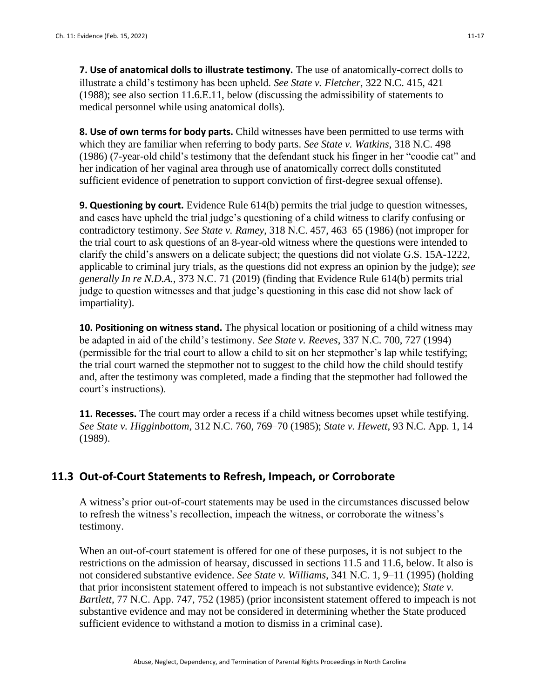**7. Use of anatomical dolls to illustrate testimony.** The use of anatomically-correct dolls to illustrate a child's testimony has been upheld. *See State v. Fletcher*, 322 N.C. 415, 421 (1988); see also section 11.6.E.11, below (discussing the admissibility of statements to medical personnel while using anatomical dolls).

**8. Use of own terms for body parts.** Child witnesses have been permitted to use terms with which they are familiar when referring to body parts. *See State v. Watkins*, 318 N.C. 498 (1986) (7-year-old child's testimony that the defendant stuck his finger in her "coodie cat" and her indication of her vaginal area through use of anatomically correct dolls constituted sufficient evidence of penetration to support conviction of first-degree sexual offense).

**9. Questioning by court.** Evidence Rule 614(b) permits the trial judge to question witnesses, and cases have upheld the trial judge's questioning of a child witness to clarify confusing or contradictory testimony. *See State v. Ramey*, 318 N.C. 457, 463–65 (1986) (not improper for the trial court to ask questions of an 8-year-old witness where the questions were intended to clarify the child's answers on a delicate subject; the questions did not violate G.S. 15A-1222, applicable to criminal jury trials, as the questions did not express an opinion by the judge); *see generally In re N.D.A.*, 373 N.C. 71 (2019) (finding that Evidence Rule 614(b) permits trial judge to question witnesses and that judge's questioning in this case did not show lack of impartiality).

**10. Positioning on witness stand.** The physical location or positioning of a child witness may be adapted in aid of the child's testimony. *See State v. Reeves*, 337 N.C. 700, 727 (1994) (permissible for the trial court to allow a child to sit on her stepmother's lap while testifying; the trial court warned the stepmother not to suggest to the child how the child should testify and, after the testimony was completed, made a finding that the stepmother had followed the court's instructions).

**11. Recesses.** The court may order a recess if a child witness becomes upset while testifying. *See State v. Higginbottom*, 312 N.C. 760, 769–70 (1985); *State v. Hewett*, 93 N.C. App. 1, 14 (1989).

# **11.3 Out-of-Court Statements to Refresh, Impeach, or Corroborate**

A witness's prior out-of-court statements may be used in the circumstances discussed below to refresh the witness's recollection, impeach the witness, or corroborate the witness's testimony.

When an out-of-court statement is offered for one of these purposes, it is not subject to the restrictions on the admission of hearsay, discussed in sections 11.5 and 11.6, below. It also is not considered substantive evidence. *See State v. Williams*, 341 N.C. 1, 9–11 (1995) (holding that prior inconsistent statement offered to impeach is not substantive evidence); *State v. Bartlett*, 77 N.C. App. 747, 752 (1985) (prior inconsistent statement offered to impeach is not substantive evidence and may not be considered in determining whether the State produced sufficient evidence to withstand a motion to dismiss in a criminal case).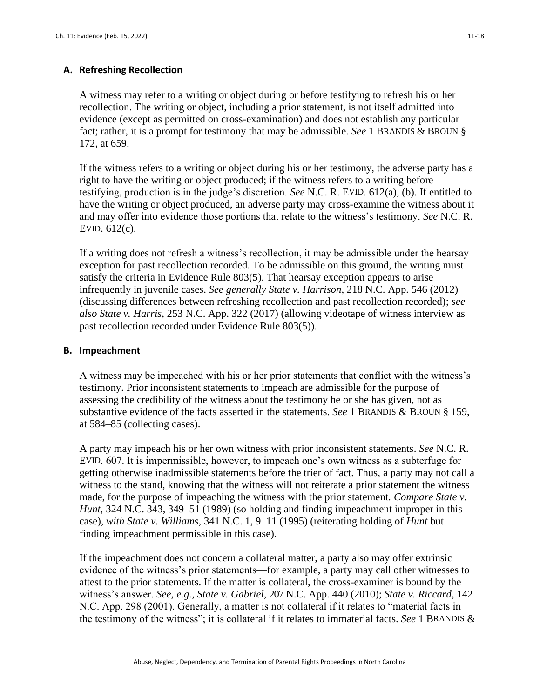### **A. Refreshing Recollection**

A witness may refer to a writing or object during or before testifying to refresh his or her recollection. The writing or object, including a prior statement, is not itself admitted into evidence (except as permitted on cross-examination) and does not establish any particular fact; rather, it is a prompt for testimony that may be admissible. *See* 1 BRANDIS & BROUN § 172, at 659.

If the witness refers to a writing or object during his or her testimony, the adverse party has a right to have the writing or object produced; if the witness refers to a writing before testifying, production is in the judge's discretion. *See* N.C. R. EVID. 612(a), (b). If entitled to have the writing or object produced, an adverse party may cross-examine the witness about it and may offer into evidence those portions that relate to the witness's testimony. *See* N.C. R. EVID. 612(c).

If a writing does not refresh a witness's recollection, it may be admissible under the hearsay exception for past recollection recorded. To be admissible on this ground, the writing must satisfy the criteria in Evidence Rule 803(5). That hearsay exception appears to arise infrequently in juvenile cases. *See generally State v. Harrison*, 218 N.C. App. 546 (2012) (discussing differences between refreshing recollection and past recollection recorded); *see also State v. Harris*, 253 N.C. App. 322 (2017) (allowing videotape of witness interview as past recollection recorded under Evidence Rule 803(5)).

### **B. Impeachment**

A witness may be impeached with his or her prior statements that conflict with the witness's testimony. Prior inconsistent statements to impeach are admissible for the purpose of assessing the credibility of the witness about the testimony he or she has given, not as substantive evidence of the facts asserted in the statements. *See* 1 BRANDIS & BROUN § 159, at 584–85 (collecting cases).

A party may impeach his or her own witness with prior inconsistent statements. *See* N.C. R. EVID. 607. It is impermissible, however, to impeach one's own witness as a subterfuge for getting otherwise inadmissible statements before the trier of fact. Thus, a party may not call a witness to the stand, knowing that the witness will not reiterate a prior statement the witness made, for the purpose of impeaching the witness with the prior statement. *Compare State v. Hunt*, 324 N.C. 343, 349–51 (1989) (so holding and finding impeachment improper in this case), *with State v. Williams*, 341 N.C. 1, 9–11 (1995) (reiterating holding of *Hunt* but finding impeachment permissible in this case).

If the impeachment does not concern a collateral matter, a party also may offer extrinsic evidence of the witness's prior statements—for example, a party may call other witnesses to attest to the prior statements. If the matter is collateral, the cross-examiner is bound by the witness's answer. *See, e.g.*, *State v. Gabriel*, 207 N.C. App. 440 (2010); *State v. Riccard*, 142 N.C. App. 298 (2001). Generally, a matter is not collateral if it relates to "material facts in the testimony of the witness"; it is collateral if it relates to immaterial facts. *See* 1 BRANDIS &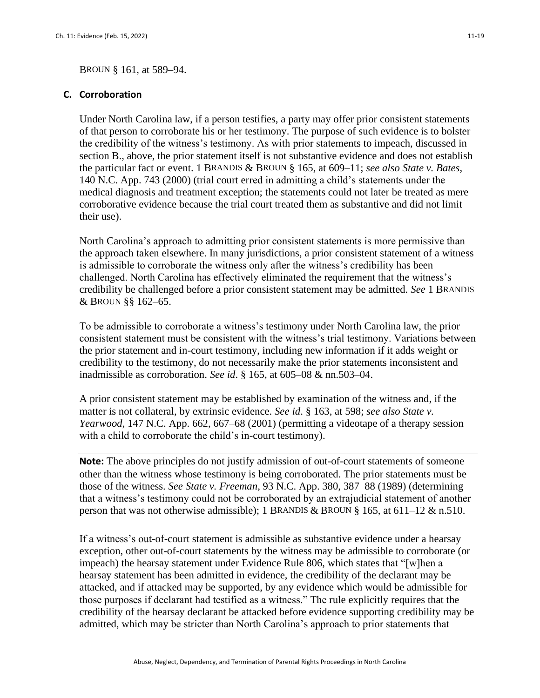#### **C. Corroboration**

Under North Carolina law, if a person testifies, a party may offer prior consistent statements of that person to corroborate his or her testimony. The purpose of such evidence is to bolster the credibility of the witness's testimony. As with prior statements to impeach, discussed in section B., above, the prior statement itself is not substantive evidence and does not establish the particular fact or event. 1 BRANDIS & BROUN § 165, at 609–11; *see also State v. Bates*, 140 N.C. App. 743 (2000) (trial court erred in admitting a child's statements under the medical diagnosis and treatment exception; the statements could not later be treated as mere corroborative evidence because the trial court treated them as substantive and did not limit their use).

North Carolina's approach to admitting prior consistent statements is more permissive than the approach taken elsewhere. In many jurisdictions, a prior consistent statement of a witness is admissible to corroborate the witness only after the witness's credibility has been challenged. North Carolina has effectively eliminated the requirement that the witness's credibility be challenged before a prior consistent statement may be admitted. *See* 1 BRANDIS & BROUN §§ 162–65.

To be admissible to corroborate a witness's testimony under North Carolina law, the prior consistent statement must be consistent with the witness's trial testimony. Variations between the prior statement and in-court testimony, including new information if it adds weight or credibility to the testimony, do not necessarily make the prior statements inconsistent and inadmissible as corroboration. *See id*. § 165, at 605–08 & nn.503–04.

A prior consistent statement may be established by examination of the witness and, if the matter is not collateral, by extrinsic evidence. *See id*. § 163, at 598; *see also State v. Yearwood*, 147 N.C. App. 662, 667–68 (2001) (permitting a videotape of a therapy session with a child to corroborate the child's in-court testimony).

**Note:** The above principles do not justify admission of out-of-court statements of someone other than the witness whose testimony is being corroborated. The prior statements must be those of the witness. *See State v. Freeman*, 93 N.C. App. 380, 387–88 (1989) (determining that a witness's testimony could not be corroborated by an extrajudicial statement of another person that was not otherwise admissible); 1 BRANDIS & BROUN  $\S$  165, at 611–12 & n.510.

If a witness's out-of-court statement is admissible as substantive evidence under a hearsay exception, other out-of-court statements by the witness may be admissible to corroborate (or impeach) the hearsay statement under Evidence Rule 806, which states that "[w]hen a hearsay statement has been admitted in evidence, the credibility of the declarant may be attacked, and if attacked may be supported, by any evidence which would be admissible for those purposes if declarant had testified as a witness." The rule explicitly requires that the credibility of the hearsay declarant be attacked before evidence supporting credibility may be admitted, which may be stricter than North Carolina's approach to prior statements that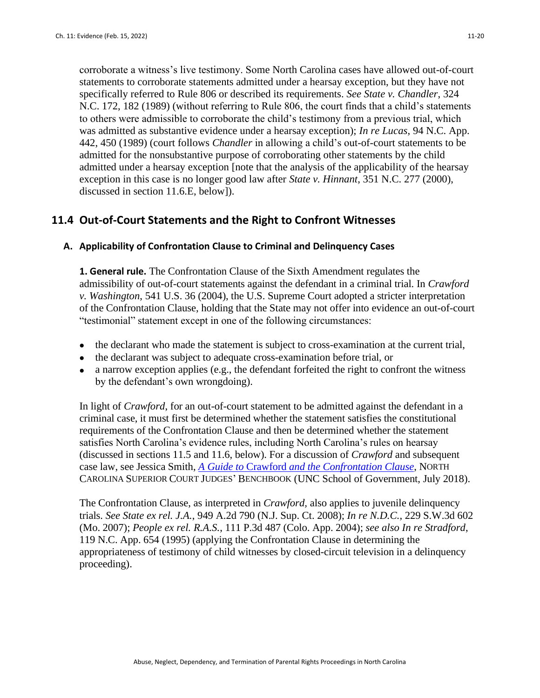corroborate a witness's live testimony. Some North Carolina cases have allowed out-of-court statements to corroborate statements admitted under a hearsay exception, but they have not specifically referred to Rule 806 or described its requirements. *See State v. Chandler*, 324 N.C. 172, 182 (1989) (without referring to Rule 806, the court finds that a child's statements to others were admissible to corroborate the child's testimony from a previous trial, which was admitted as substantive evidence under a hearsay exception); *In re Lucas*, 94 N.C. App. 442, 450 (1989) (court follows *Chandler* in allowing a child's out-of-court statements to be admitted for the nonsubstantive purpose of corroborating other statements by the child admitted under a hearsay exception [note that the analysis of the applicability of the hearsay exception in this case is no longer good law after *State v. Hinnant*, 351 N.C. 277 (2000), discussed in section 11.6.E, below]).

# **11.4 Out-of-Court Statements and the Right to Confront Witnesses**

### **A. Applicability of Confrontation Clause to Criminal and Delinquency Cases**

**1. General rule.** The Confrontation Clause of the Sixth Amendment regulates the admissibility of out-of-court statements against the defendant in a criminal trial. In *Crawford v. Washington*, 541 U.S. 36 (2004), the U.S. Supreme Court adopted a stricter interpretation of the Confrontation Clause, holding that the State may not offer into evidence an out-of-court "testimonial" statement except in one of the following circumstances:

- the declarant who made the statement is subject to cross-examination at the current trial,
- the declarant was subject to adequate cross-examination before trial, or
- a narrow exception applies (e.g., the defendant forfeited the right to confront the witness by the defendant's own wrongdoing).

In light of *Crawford*, for an out-of-court statement to be admitted against the defendant in a criminal case, it must first be determined whether the statement satisfies the constitutional requirements of the Confrontation Clause and then be determined whether the statement satisfies North Carolina's evidence rules, including North Carolina's rules on hearsay (discussed in sections 11.5 and 11.6, below). For a discussion of *Crawford* and subsequent case law, see Jessica Smith, *A Guide to* Crawford *[and the Confrontation Clause](http://benchbook.sog.unc.edu/evidence/guide-crawford-confrontation-clause)*, NORTH CAROLINA SUPERIOR COURT JUDGES' BENCHBOOK (UNC School of Government, July 2018).

The Confrontation Clause, as interpreted in *Crawford,* also applies to juvenile delinquency trials. *See State ex rel. J.A.*, 949 A.2d 790 (N.J. Sup. Ct. 2008); *In re N.D.C.*, 229 S.W.3d 602 (Mo. 2007); *People ex rel. R.A.S.*, 111 P.3d 487 (Colo. App. 2004); *see also In re Stradford*, 119 N.C. App. 654 (1995) (applying the Confrontation Clause in determining the appropriateness of testimony of child witnesses by closed-circuit television in a delinquency proceeding).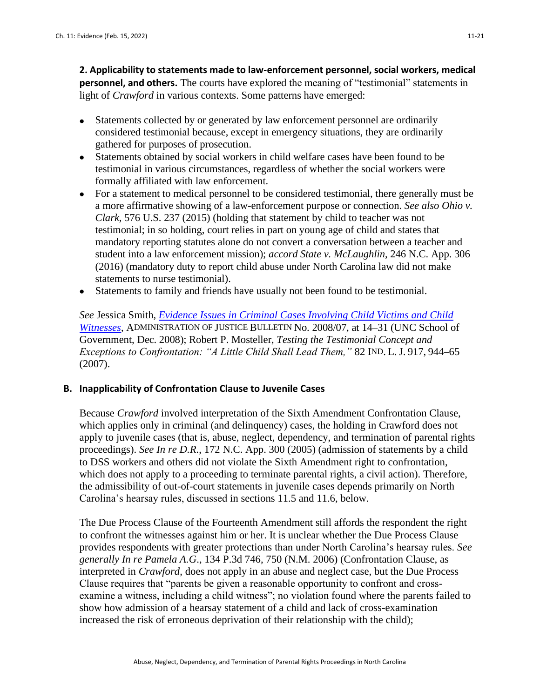**2. Applicability to statements made to law-enforcement personnel, social workers, medical personnel, and others.** The courts have explored the meaning of "testimonial" statements in light of *Crawford* in various contexts. Some patterns have emerged:

- Statements collected by or generated by law enforcement personnel are ordinarily considered testimonial because, except in emergency situations, they are ordinarily gathered for purposes of prosecution.
- Statements obtained by social workers in child welfare cases have been found to be testimonial in various circumstances, regardless of whether the social workers were formally affiliated with law enforcement.
- For a statement to medical personnel to be considered testimonial, there generally must be a more affirmative showing of a law-enforcement purpose or connection. *See also Ohio v. Clark,* 576 U.S. 237 (2015) (holding that statement by child to teacher was not testimonial; in so holding, court relies in part on young age of child and states that mandatory reporting statutes alone do not convert a conversation between a teacher and student into a law enforcement mission); *accord State v. McLaughlin*, 246 N.C. App. 306 (2016) (mandatory duty to report child abuse under North Carolina law did not make statements to nurse testimonial).
- Statements to family and friends have usually not been found to be testimonial.

*See* Jessica Smith, *[Evidence Issues in Criminal Cases Involving Child Victims and Child](http://benchbook.sog.unc.edu/evidence/criminal-cases-involving-child-victims-and-child-witnesses)  [Witnesses](http://benchbook.sog.unc.edu/evidence/criminal-cases-involving-child-victims-and-child-witnesses)*, ADMINISTRATION OF JUSTICE BULLETIN No. 2008/07, at 14–31 (UNC School of Government, Dec. 2008); Robert P. Mosteller, *Testing the Testimonial Concept and Exceptions to Confrontation: "A Little Child Shall Lead Them,"* 82 IND. L.J. 917, 944–65 (2007).

# **B. Inapplicability of Confrontation Clause to Juvenile Cases**

Because *Crawford* involved interpretation of the Sixth Amendment Confrontation Clause, which applies only in criminal (and delinquency) cases, the holding in Crawford does not apply to juvenile cases (that is, abuse, neglect, dependency, and termination of parental rights proceedings). *See In re D.R*., 172 N.C. App. 300 (2005) (admission of statements by a child to DSS workers and others did not violate the Sixth Amendment right to confrontation, which does not apply to a proceeding to terminate parental rights, a civil action). Therefore, the admissibility of out-of-court statements in juvenile cases depends primarily on North Carolina's hearsay rules, discussed in sections 11.5 and 11.6, below.

The Due Process Clause of the Fourteenth Amendment still affords the respondent the right to confront the witnesses against him or her. It is unclear whether the Due Process Clause provides respondents with greater protections than under North Carolina's hearsay rules. *See generally In re Pamela A.G*., 134 P.3d 746, 750 (N.M. 2006) (Confrontation Clause, as interpreted in *Crawford*, does not apply in an abuse and neglect case, but the Due Process Clause requires that "parents be given a reasonable opportunity to confront and crossexamine a witness, including a child witness"; no violation found where the parents failed to show how admission of a hearsay statement of a child and lack of cross-examination increased the risk of erroneous deprivation of their relationship with the child);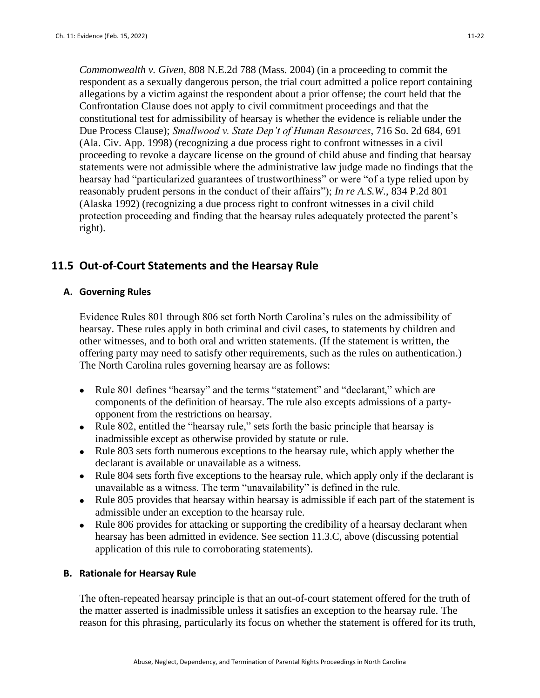*Commonwealth v. Given*, 808 N.E.2d 788 (Mass. 2004) (in a proceeding to commit the respondent as a sexually dangerous person, the trial court admitted a police report containing allegations by a victim against the respondent about a prior offense; the court held that the Confrontation Clause does not apply to civil commitment proceedings and that the constitutional test for admissibility of hearsay is whether the evidence is reliable under the Due Process Clause); *Smallwood v. State Dep't of Human Resources*, 716 So. 2d 684, 691 (Ala. Civ. App. 1998) (recognizing a due process right to confront witnesses in a civil proceeding to revoke a daycare license on the ground of child abuse and finding that hearsay statements were not admissible where the administrative law judge made no findings that the hearsay had "particularized guarantees of trustworthiness" or were "of a type relied upon by reasonably prudent persons in the conduct of their affairs"); *In re A.S.W.*, 834 P.2d 801 (Alaska 1992) (recognizing a due process right to confront witnesses in a civil child protection proceeding and finding that the hearsay rules adequately protected the parent's right).

# **11.5 Out-of-Court Statements and the Hearsay Rule**

# **A. Governing Rules**

Evidence Rules 801 through 806 set forth North Carolina's rules on the admissibility of hearsay. These rules apply in both criminal and civil cases, to statements by children and other witnesses, and to both oral and written statements. (If the statement is written, the offering party may need to satisfy other requirements, such as the rules on authentication.) The North Carolina rules governing hearsay are as follows:

- Rule 801 defines "hearsay" and the terms "statement" and "declarant," which are components of the definition of hearsay. The rule also excepts admissions of a partyopponent from the restrictions on hearsay.
- Rule 802, entitled the "hearsay rule," sets forth the basic principle that hearsay is inadmissible except as otherwise provided by statute or rule.
- Rule 803 sets forth numerous exceptions to the hearsay rule, which apply whether the declarant is available or unavailable as a witness.
- Rule 804 sets forth five exceptions to the hearsay rule, which apply only if the declarant is unavailable as a witness. The term "unavailability" is defined in the rule.
- Rule 805 provides that hearsay within hearsay is admissible if each part of the statement is admissible under an exception to the hearsay rule.
- Rule 806 provides for attacking or supporting the credibility of a hearsay declarant when hearsay has been admitted in evidence. See section 11.3.C, above (discussing potential application of this rule to corroborating statements).

# **B. Rationale for Hearsay Rule**

The often-repeated hearsay principle is that an out-of-court statement offered for the truth of the matter asserted is inadmissible unless it satisfies an exception to the hearsay rule. The reason for this phrasing, particularly its focus on whether the statement is offered for its truth,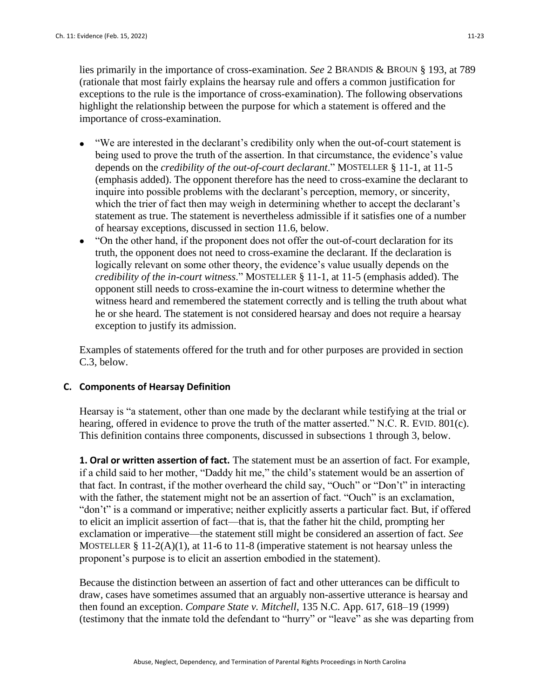lies primarily in the importance of cross-examination. *See* 2 BRANDIS & BROUN § 193, at 789 (rationale that most fairly explains the hearsay rule and offers a common justification for exceptions to the rule is the importance of cross-examination). The following observations highlight the relationship between the purpose for which a statement is offered and the importance of cross-examination.

- "We are interested in the declarant's credibility only when the out-of-court statement is being used to prove the truth of the assertion. In that circumstance, the evidence's value depends on the *credibility of the out-of-court declarant*." MOSTELLER § 11-1, at 11-5 (emphasis added). The opponent therefore has the need to cross-examine the declarant to inquire into possible problems with the declarant's perception, memory, or sincerity, which the trier of fact then may weigh in determining whether to accept the declarant's statement as true. The statement is nevertheless admissible if it satisfies one of a number of hearsay exceptions, discussed in section 11.6, below.
- "On the other hand, if the proponent does not offer the out-of-court declaration for its truth, the opponent does not need to cross-examine the declarant. If the declaration is logically relevant on some other theory, the evidence's value usually depends on the *credibility of the in-court witness*." MOSTELLER § 11-1, at 11-5 (emphasis added). The opponent still needs to cross-examine the in-court witness to determine whether the witness heard and remembered the statement correctly and is telling the truth about what he or she heard. The statement is not considered hearsay and does not require a hearsay exception to justify its admission.

Examples of statements offered for the truth and for other purposes are provided in section C.3, below.

### **C. Components of Hearsay Definition**

Hearsay is "a statement, other than one made by the declarant while testifying at the trial or hearing, offered in evidence to prove the truth of the matter asserted." N.C. R. EVID. 801(c). This definition contains three components, discussed in subsections 1 through 3, below.

**1. Oral or written assertion of fact.** The statement must be an assertion of fact. For example, if a child said to her mother, "Daddy hit me," the child's statement would be an assertion of that fact. In contrast, if the mother overheard the child say, "Ouch" or "Don't" in interacting with the father, the statement might not be an assertion of fact. "Ouch" is an exclamation, "don't" is a command or imperative; neither explicitly asserts a particular fact. But, if offered to elicit an implicit assertion of fact—that is, that the father hit the child, prompting her exclamation or imperative—the statement still might be considered an assertion of fact. *See* MOSTELLER  $\S 11-2(A)(1)$ , at 11-6 to 11-8 (imperative statement is not hearsay unless the proponent's purpose is to elicit an assertion embodied in the statement).

Because the distinction between an assertion of fact and other utterances can be difficult to draw, cases have sometimes assumed that an arguably non-assertive utterance is hearsay and then found an exception. *Compare State v. Mitchell*, 135 N.C. App. 617, 618–19 (1999) (testimony that the inmate told the defendant to "hurry" or "leave" as she was departing from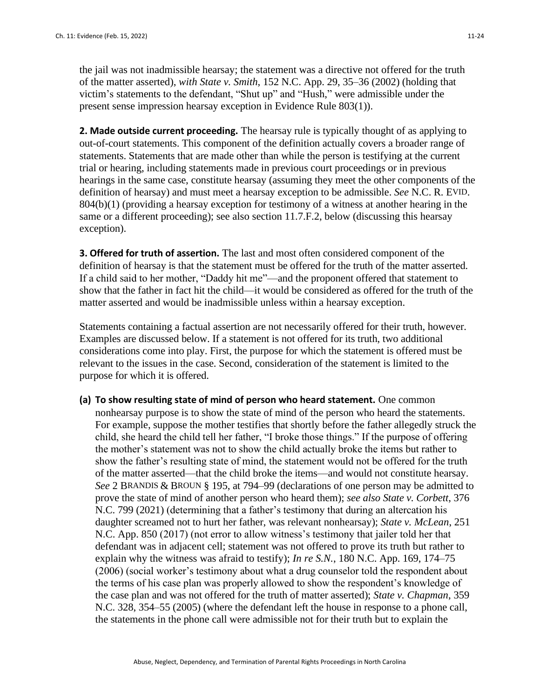the jail was not inadmissible hearsay; the statement was a directive not offered for the truth of the matter asserted), *with State v. Smith*, 152 N.C. App. 29, 35–36 (2002) (holding that victim's statements to the defendant, "Shut up" and "Hush," were admissible under the present sense impression hearsay exception in Evidence Rule 803(1)).

**2. Made outside current proceeding.** The hearsay rule is typically thought of as applying to out-of-court statements. This component of the definition actually covers a broader range of statements. Statements that are made other than while the person is testifying at the current trial or hearing, including statements made in previous court proceedings or in previous hearings in the same case, constitute hearsay (assuming they meet the other components of the definition of hearsay) and must meet a hearsay exception to be admissible. *See* N.C. R. EVID. 804(b)(1) (providing a hearsay exception for testimony of a witness at another hearing in the same or a different proceeding); see also section 11.7.F.2, below (discussing this hearsay exception).

**3. Offered for truth of assertion.** The last and most often considered component of the definition of hearsay is that the statement must be offered for the truth of the matter asserted. If a child said to her mother, "Daddy hit me"—and the proponent offered that statement to show that the father in fact hit the child—it would be considered as offered for the truth of the matter asserted and would be inadmissible unless within a hearsay exception.

Statements containing a factual assertion are not necessarily offered for their truth, however. Examples are discussed below. If a statement is not offered for its truth, two additional considerations come into play. First, the purpose for which the statement is offered must be relevant to the issues in the case. Second, consideration of the statement is limited to the purpose for which it is offered.

**(a) To show resulting state of mind of person who heard statement.** One common nonhearsay purpose is to show the state of mind of the person who heard the statements. For example, suppose the mother testifies that shortly before the father allegedly struck the child, she heard the child tell her father, "I broke those things." If the purpose of offering the mother's statement was not to show the child actually broke the items but rather to show the father's resulting state of mind, the statement would not be offered for the truth of the matter asserted—that the child broke the items—and would not constitute hearsay. *See* 2 BRANDIS & BROUN § 195, at 794–99 (declarations of one person may be admitted to prove the state of mind of another person who heard them); *see also State v. Corbett*, 376 N.C. 799 (2021) (determining that a father's testimony that during an altercation his daughter screamed not to hurt her father, was relevant nonhearsay); *State v. McLean*, 251 N.C. App. 850 (2017) (not error to allow witness's testimony that jailer told her that defendant was in adjacent cell; statement was not offered to prove its truth but rather to explain why the witness was afraid to testify); *In re S.N.*, 180 N.C. App. 169, 174–75 (2006) (social worker's testimony about what a drug counselor told the respondent about the terms of his case plan was properly allowed to show the respondent's knowledge of the case plan and was not offered for the truth of matter asserted); *State v. Chapman*, 359 N.C. 328, 354–55 (2005) (where the defendant left the house in response to a phone call, the statements in the phone call were admissible not for their truth but to explain the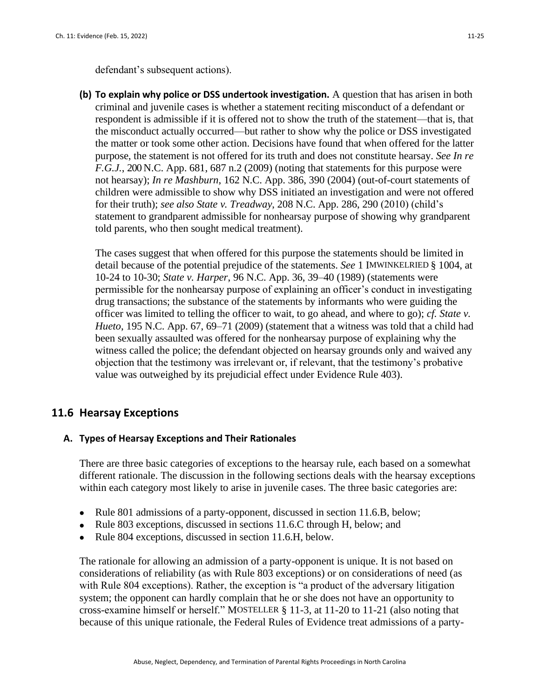defendant's subsequent actions).

**(b) To explain why police or DSS undertook investigation.** A question that has arisen in both criminal and juvenile cases is whether a statement reciting misconduct of a defendant or respondent is admissible if it is offered not to show the truth of the statement—that is, that the misconduct actually occurred—but rather to show why the police or DSS investigated the matter or took some other action. Decisions have found that when offered for the latter purpose, the statement is not offered for its truth and does not constitute hearsay. *See In re F.G.J.*, 200 N.C. App. 681, 687 n.2 (2009) (noting that statements for this purpose were not hearsay); *In re Mashburn*, 162 N.C. App. 386, 390 (2004) (out-of-court statements of children were admissible to show why DSS initiated an investigation and were not offered

for their truth); *see also State v. Treadway*, 208 N.C. App. 286, 290 (2010) (child's statement to grandparent admissible for nonhearsay purpose of showing why grandparent told parents, who then sought medical treatment).

The cases suggest that when offered for this purpose the statements should be limited in detail because of the potential prejudice of the statements. *See* 1 IMWINKELRIED § 1004, at 10-24 to 10-30; *State v. Harper*, 96 N.C. App. 36, 39–40 (1989) (statements were permissible for the nonhearsay purpose of explaining an officer's conduct in investigating drug transactions; the substance of the statements by informants who were guiding the officer was limited to telling the officer to wait, to go ahead, and where to go); *cf. State v. Hueto*, 195 N.C. App. 67, 69–71 (2009) (statement that a witness was told that a child had been sexually assaulted was offered for the nonhearsay purpose of explaining why the witness called the police; the defendant objected on hearsay grounds only and waived any objection that the testimony was irrelevant or, if relevant, that the testimony's probative value was outweighed by its prejudicial effect under Evidence Rule 403).

# **11.6 Hearsay Exceptions**

# **A. Types of Hearsay Exceptions and Their Rationales**

There are three basic categories of exceptions to the hearsay rule, each based on a somewhat different rationale. The discussion in the following sections deals with the hearsay exceptions within each category most likely to arise in juvenile cases. The three basic categories are:

- Rule 801 admissions of a party-opponent, discussed in section 11.6.B, below;
- Rule 803 exceptions, discussed in sections 11.6.C through H, below; and
- Rule 804 exceptions, discussed in section 11.6.H, below.

The rationale for allowing an admission of a party-opponent is unique. It is not based on considerations of reliability (as with Rule 803 exceptions) or on considerations of need (as with Rule 804 exceptions). Rather, the exception is "a product of the adversary litigation system; the opponent can hardly complain that he or she does not have an opportunity to cross-examine himself or herself." MOSTELLER § 11-3, at 11-20 to 11-21 (also noting that because of this unique rationale, the Federal Rules of Evidence treat admissions of a party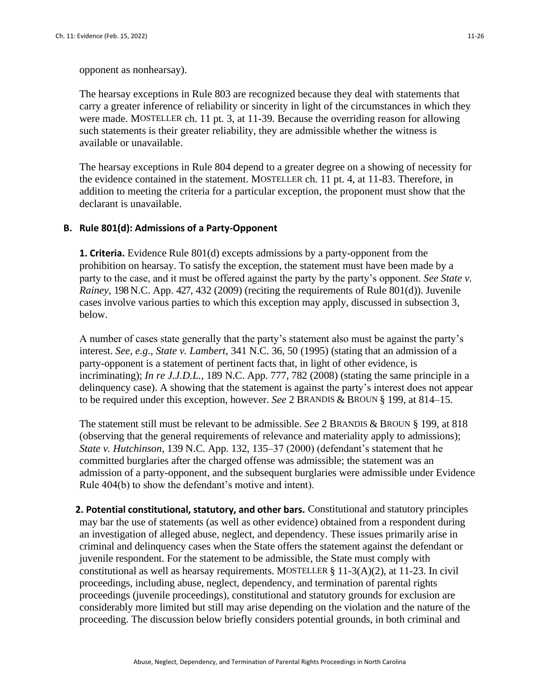opponent as nonhearsay).

The hearsay exceptions in Rule 803 are recognized because they deal with statements that carry a greater inference of reliability or sincerity in light of the circumstances in which they were made. MOSTELLER ch. 11 pt. 3, at 11-39. Because the overriding reason for allowing such statements is their greater reliability, they are admissible whether the witness is available or unavailable.

The hearsay exceptions in Rule 804 depend to a greater degree on a showing of necessity for the evidence contained in the statement. MOSTELLER ch. 11 pt. 4, at 11-83. Therefore, in addition to meeting the criteria for a particular exception, the proponent must show that the declarant is unavailable.

### **B. Rule 801(d): Admissions of a Party-Opponent**

**1. Criteria.** Evidence Rule 801(d) excepts admissions by a party-opponent from the prohibition on hearsay. To satisfy the exception, the statement must have been made by a party to the case, and it must be offered against the party by the party's opponent. *See State v. Rainey*, 198 N.C. App. 427, 432 (2009) (reciting the requirements of Rule 801(d)). Juvenile cases involve various parties to which this exception may apply, discussed in subsection 3, below.

A number of cases state generally that the party's statement also must be against the party's interest. *See, e.g., State v. Lambert*, 341 N.C. 36, 50 (1995) (stating that an admission of a party-opponent is a statement of pertinent facts that, in light of other evidence, is incriminating); *In re J.J.D.L.*, 189 N.C. App. 777, 782 (2008) (stating the same principle in a delinquency case). A showing that the statement is against the party's interest does not appear to be required under this exception, however. *See* 2 BRANDIS & BROUN § 199, at 814–15.

The statement still must be relevant to be admissible. *See* 2 BRANDIS & BROUN § 199, at 818 (observing that the general requirements of relevance and materiality apply to admissions); *State v. Hutchinson*, 139 N.C. App. 132, 135–37 (2000) (defendant's statement that he committed burglaries after the charged offense was admissible; the statement was an admission of a party-opponent, and the subsequent burglaries were admissible under Evidence Rule 404(b) to show the defendant's motive and intent).

**2. Potential constitutional, statutory, and other bars.** Constitutional and statutory principles may bar the use of statements (as well as other evidence) obtained from a respondent during an investigation of alleged abuse, neglect, and dependency. These issues primarily arise in criminal and delinquency cases when the State offers the statement against the defendant or juvenile respondent. For the statement to be admissible, the State must comply with constitutional as well as hearsay requirements. MOSTELLER  $\S 11-3(A)(2)$ , at 11-23. In civil proceedings, including abuse, neglect, dependency, and termination of parental rights proceedings (juvenile proceedings), constitutional and statutory grounds for exclusion are considerably more limited but still may arise depending on the violation and the nature of the proceeding. The discussion below briefly considers potential grounds, in both criminal and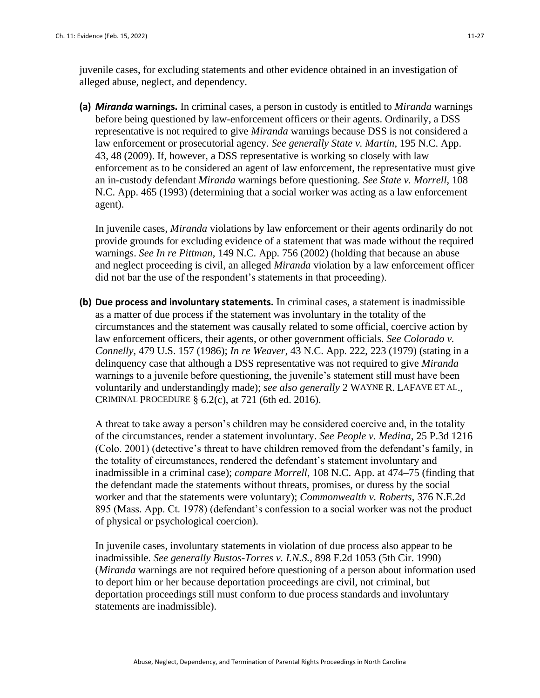juvenile cases, for excluding statements and other evidence obtained in an investigation of alleged abuse, neglect, and dependency.

**(a)** *Miranda* **warnings.** In criminal cases, a person in custody is entitled to *Miranda* warnings before being questioned by law-enforcement officers or their agents. Ordinarily, a DSS representative is not required to give *Miranda* warnings because DSS is not considered a law enforcement or prosecutorial agency. *See generally State v. Martin*, 195 N.C. App. 43, 48 (2009). If, however, a DSS representative is working so closely with law enforcement as to be considered an agent of law enforcement, the representative must give an in-custody defendant *Miranda* warnings before questioning. *See State v. Morrell*, 108 N.C. App. 465 (1993) (determining that a social worker was acting as a law enforcement agent).

In juvenile cases, *Miranda* violations by law enforcement or their agents ordinarily do not provide grounds for excluding evidence of a statement that was made without the required warnings. *See In re Pittman*, 149 N.C. App. 756 (2002) (holding that because an abuse and neglect proceeding is civil, an alleged *Miranda* violation by a law enforcement officer did not bar the use of the respondent's statements in that proceeding).

**(b) Due process and involuntary statements.** In criminal cases, a statement is inadmissible as a matter of due process if the statement was involuntary in the totality of the circumstances and the statement was causally related to some official, coercive action by law enforcement officers, their agents, or other government officials. *See Colorado v. Connelly*, 479 U.S. 157 (1986); *In re Weaver*, 43 N.C. App. 222, 223 (1979) (stating in a delinquency case that although a DSS representative was not required to give *Miranda*  warnings to a juvenile before questioning, the juvenile's statement still must have been voluntarily and understandingly made); *see also generally* 2 WAYNE R. LAFAVE ET AL., CRIMINAL PROCEDURE  $\S 6.2(c)$ , at 721 (6th ed. 2016).

A threat to take away a person's children may be considered coercive and, in the totality of the circumstances, render a statement involuntary. *See People v. Medina*, 25 P.3d 1216 (Colo. 2001) (detective's threat to have children removed from the defendant's family, in the totality of circumstances, rendered the defendant's statement involuntary and inadmissible in a criminal case); *compare Morrell*, 108 N.C. App. at 474–75 (finding that the defendant made the statements without threats, promises, or duress by the social worker and that the statements were voluntary); *Commonwealth v. Roberts*, 376 N.E.2d 895 (Mass. App. Ct. 1978) (defendant's confession to a social worker was not the product of physical or psychological coercion).

In juvenile cases, involuntary statements in violation of due process also appear to be inadmissible. *See generally Bustos-Torres v. I.N.S.*, 898 F.2d 1053 (5th Cir. 1990) (*Miranda* warnings are not required before questioning of a person about information used to deport him or her because deportation proceedings are civil, not criminal, but deportation proceedings still must conform to due process standards and involuntary statements are inadmissible).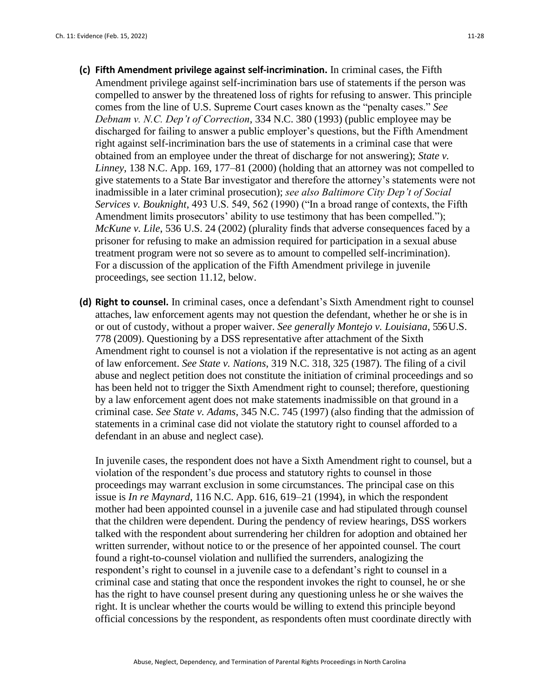- **(c) Fifth Amendment privilege against self-incrimination.** In criminal cases, the Fifth Amendment privilege against self-incrimination bars use of statements if the person was compelled to answer by the threatened loss of rights for refusing to answer. This principle comes from the line of U.S. Supreme Court cases known as the "penalty cases." *See Debnam v. N.C. Dep't of Correction*, 334 N.C. 380 (1993) (public employee may be discharged for failing to answer a public employer's questions, but the Fifth Amendment right against self-incrimination bars the use of statements in a criminal case that were obtained from an employee under the threat of discharge for not answering); *State v. Linney*, 138 N.C. App. 169, 177–81 (2000) (holding that an attorney was not compelled to give statements to a State Bar investigator and therefore the attorney's statements were not inadmissible in a later criminal prosecution); *see also Baltimore City Dep't of Social Services v. Bouknight*, 493 U.S. 549, 562 (1990) ("In a broad range of contexts, the Fifth Amendment limits prosecutors' ability to use testimony that has been compelled."); *McKune v. Lile*, 536 U.S. 24 (2002) (plurality finds that adverse consequences faced by a prisoner for refusing to make an admission required for participation in a sexual abuse treatment program were not so severe as to amount to compelled self-incrimination). For a discussion of the application of the Fifth Amendment privilege in juvenile proceedings, see section 11.12, below.
- **(d) Right to counsel.** In criminal cases, once a defendant's Sixth Amendment right to counsel attaches, law enforcement agents may not question the defendant, whether he or she is in or out of custody, without a proper waiver. *See generally Montejo v. Louisiana*, 556 U.S. 778 (2009). Questioning by a DSS representative after attachment of the Sixth Amendment right to counsel is not a violation if the representative is not acting as an agent of law enforcement. *See State v. Nations*, 319 N.C. 318, 325 (1987). The filing of a civil abuse and neglect petition does not constitute the initiation of criminal proceedings and so has been held not to trigger the Sixth Amendment right to counsel; therefore, questioning by a law enforcement agent does not make statements inadmissible on that ground in a criminal case. *See State v. Adams*, 345 N.C. 745 (1997) (also finding that the admission of statements in a criminal case did not violate the statutory right to counsel afforded to a defendant in an abuse and neglect case).

In juvenile cases, the respondent does not have a Sixth Amendment right to counsel, but a violation of the respondent's due process and statutory rights to counsel in those proceedings may warrant exclusion in some circumstances. The principal case on this issue is *In re Maynard*, 116 N.C. App. 616, 619–21 (1994), in which the respondent mother had been appointed counsel in a juvenile case and had stipulated through counsel that the children were dependent. During the pendency of review hearings, DSS workers talked with the respondent about surrendering her children for adoption and obtained her written surrender, without notice to or the presence of her appointed counsel. The court found a right-to-counsel violation and nullified the surrenders, analogizing the respondent's right to counsel in a juvenile case to a defendant's right to counsel in a criminal case and stating that once the respondent invokes the right to counsel, he or she has the right to have counsel present during any questioning unless he or she waives the right. It is unclear whether the courts would be willing to extend this principle beyond official concessions by the respondent, as respondents often must coordinate directly with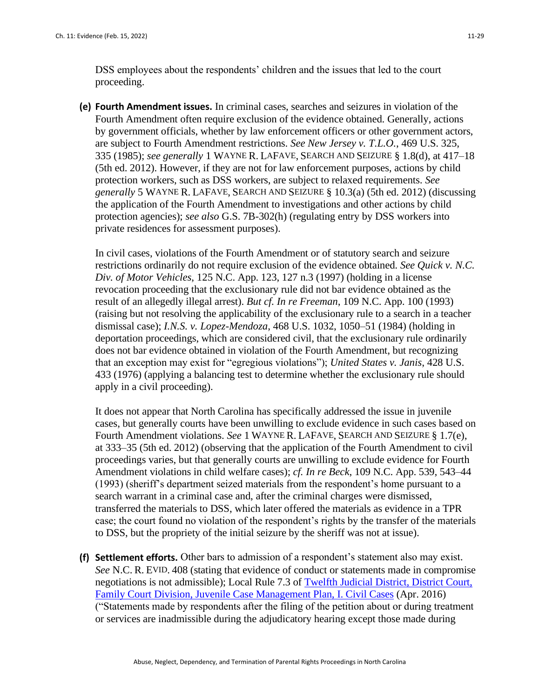DSS employees about the respondents' children and the issues that led to the court proceeding.

**(e) Fourth Amendment issues.** In criminal cases, searches and seizures in violation of the Fourth Amendment often require exclusion of the evidence obtained. Generally, actions by government officials, whether by law enforcement officers or other government actors, are subject to Fourth Amendment restrictions. *See New Jersey v. T.L.O.*, 469 U.S. 325, 335 (1985); *see generally* 1 WAYNE R. LAFAVE, SEARCH AND SEIZURE § 1.8(d), at 417–18 (5th ed. 2012). However, if they are not for law enforcement purposes, actions by child protection workers, such as DSS workers, are subject to relaxed requirements. *See generally* 5 WAYNE R. LAFAVE, SEARCH AND SEIZURE § 10.3(a) (5th ed. 2012) (discussing the application of the Fourth Amendment to investigations and other actions by child protection agencies); *see also* G.S. 7B-302(h) (regulating entry by DSS workers into private residences for assessment purposes).

In civil cases, violations of the Fourth Amendment or of statutory search and seizure restrictions ordinarily do not require exclusion of the evidence obtained. *See Quick v. N.C. Div. of Motor Vehicles*, 125 N.C. App. 123, 127 n.3 (1997) (holding in a license revocation proceeding that the exclusionary rule did not bar evidence obtained as the result of an allegedly illegal arrest). *But cf. In re Freeman*, 109 N.C. App. 100 (1993) (raising but not resolving the applicability of the exclusionary rule to a search in a teacher dismissal case); *I.N.S. v. Lopez-Mendoza*, 468 U.S. 1032, 1050–51 (1984) (holding in deportation proceedings, which are considered civil, that the exclusionary rule ordinarily does not bar evidence obtained in violation of the Fourth Amendment, but recognizing that an exception may exist for "egregious violations"); *United States v. Janis*, 428 U.S. 433 (1976) (applying a balancing test to determine whether the exclusionary rule should apply in a civil proceeding).

It does not appear that North Carolina has specifically addressed the issue in juvenile cases, but generally courts have been unwilling to exclude evidence in such cases based on Fourth Amendment violations. *See* 1 WAYNE R. LAFAVE, SEARCH AND SEIZURE § 1.7(e), at 333–35 (5th ed. 2012) (observing that the application of the Fourth Amendment to civil proceedings varies, but that generally courts are unwilling to exclude evidence for Fourth Amendment violations in child welfare cases); *cf. In re Beck*, 109 N.C. App. 539, 543–44 (1993) (sheriff's department seized materials from the respondent's home pursuant to a search warrant in a criminal case and, after the criminal charges were dismissed, transferred the materials to DSS, which later offered the materials as evidence in a TPR case; the court found no violation of the respondent's rights by the transfer of the materials to DSS, but the propriety of the initial seizure by the sheriff was not at issue).

**(f) Settlement efforts.** Other bars to admission of a respondent's statement also may exist. *See* N.C. R. EVID. 408 (stating that evidence of conduct or statements made in compromise negotiations is not admissible); Local Rule 7.3 of [Twelfth Judicial District, District Court,](http://www.nccourts.org/Courts/CRS/Policies/LocalRules/Documents/785.pdf)  [Family Court Division, Juvenile Case Management Plan, I. Civil Cases](http://www.nccourts.org/Courts/CRS/Policies/LocalRules/Documents/785.pdf) (Apr. 2016) ("Statements made by respondents after the filing of the petition about or during treatment or services are inadmissible during the adjudicatory hearing except those made during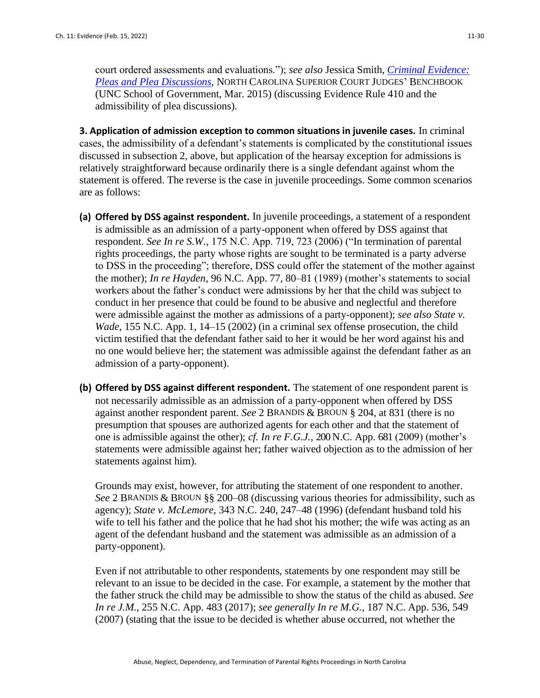court ordered assessments and evaluations."); *see also* Jessica Smith, *[Criminal Evidence:](http://benchbook.sog.unc.edu/evidence/pleas-and-plea-discussions)  [Pleas and Plea Discussions](http://benchbook.sog.unc.edu/evidence/pleas-and-plea-discussions)*, NORTH CAROLINA SUPERIOR COURT JUDGES' BENCHBOOK (UNC School of Government, Mar. 2015) (discussing Evidence Rule 410 and the admissibility of plea discussions).

**3. Application of admission exception to common situations in juvenile cases.** In criminal cases, the admissibility of a defendant's statements is complicated by the constitutional issues discussed in subsection 2, above, but application of the hearsay exception for admissions is relatively straightforward because ordinarily there is a single defendant against whom the statement is offered. The reverse is the case in juvenile proceedings. Some common scenarios are as follows:

- **(a) Offered by DSS against respondent.** In juvenile proceedings, a statement of a respondent is admissible as an admission of a party-opponent when offered by DSS against that respondent. *See In re S.W.*, 175 N.C. App. 719, 723 (2006) ("In termination of parental rights proceedings, the party whose rights are sought to be terminated is a party adverse to DSS in the proceeding"; therefore, DSS could offer the statement of the mother against the mother); *In re Hayden*, 96 N.C. App. 77, 80–81 (1989) (mother's statements to social workers about the father's conduct were admissions by her that the child was subject to conduct in her presence that could be found to be abusive and neglectful and therefore were admissible against the mother as admissions of a party-opponent); *see also State v. Wade*, 155 N.C. App. 1, 14–15 (2002) (in a criminal sex offense prosecution, the child victim testified that the defendant father said to her it would be her word against his and no one would believe her; the statement was admissible against the defendant father as an admission of a party-opponent).
- **(b) Offered by DSS against different respondent.** The statement of one respondent parent is not necessarily admissible as an admission of a party-opponent when offered by DSS against another respondent parent. *See* 2 BRANDIS & BROUN § 204, at 831 (there is no presumption that spouses are authorized agents for each other and that the statement of one is admissible against the other); *cf. In re F.G.J.,* 200 N.C. App. 681 (2009) (mother's statements were admissible against her; father waived objection as to the admission of her statements against him).

Grounds may exist, however, for attributing the statement of one respondent to another. *See* 2 BRANDIS & BROUN §§ 200–08 (discussing various theories for admissibility, such as agency); *State v. McLemore*, 343 N.C. 240, 247–48 (1996) (defendant husband told his wife to tell his father and the police that he had shot his mother; the wife was acting as an agent of the defendant husband and the statement was admissible as an admission of a party-opponent).

Even if not attributable to other respondents, statements by one respondent may still be relevant to an issue to be decided in the case. For example, a statement by the mother that the father struck the child may be admissible to show the status of the child as abused. *See In re J.M.*, 255 N.C. App. 483 (2017); *see generally In re M.G.*, 187 N.C. App. 536, 549 (2007) (stating that the issue to be decided is whether abuse occurred, not whether the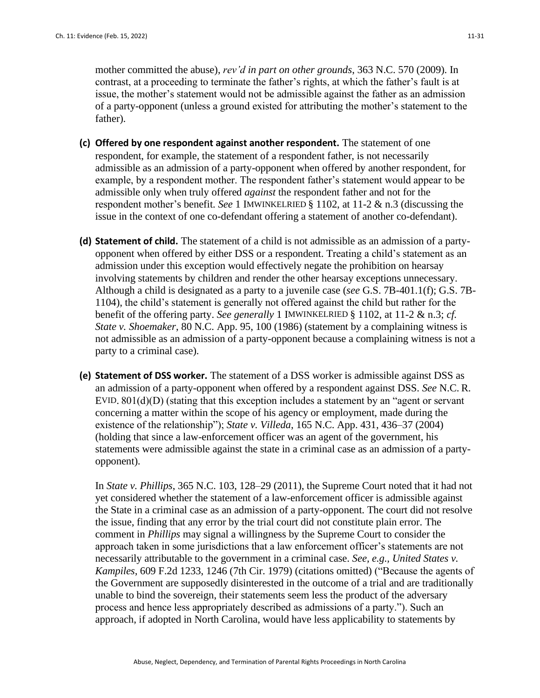mother committed the abuse), *rev'd in part on other grounds*, 363 N.C. 570 (2009). In contrast, at a proceeding to terminate the father's rights, at which the father's fault is at issue, the mother's statement would not be admissible against the father as an admission of a party-opponent (unless a ground existed for attributing the mother's statement to the father).

- **(c) Offered by one respondent against another respondent.** The statement of one respondent, for example, the statement of a respondent father, is not necessarily admissible as an admission of a party-opponent when offered by another respondent, for example, by a respondent mother. The respondent father's statement would appear to be admissible only when truly offered *against* the respondent father and not for the respondent mother's benefit. *See* 1 IMWINKELRIED § 1102, at 11-2 & n.3 (discussing the issue in the context of one co-defendant offering a statement of another co-defendant).
- **(d) Statement of child.** The statement of a child is not admissible as an admission of a partyopponent when offered by either DSS or a respondent. Treating a child's statement as an admission under this exception would effectively negate the prohibition on hearsay involving statements by children and render the other hearsay exceptions unnecessary. Although a child is designated as a party to a juvenile case (*see* G.S. 7B-401.1(f); G.S. 7B-1104), the child's statement is generally not offered against the child but rather for the benefit of the offering party. *See generally* 1 IMWINKELRIED § 1102, at 11-2 & n.3; *cf. State v. Shoemaker*, 80 N.C. App. 95, 100 (1986) (statement by a complaining witness is not admissible as an admission of a party-opponent because a complaining witness is not a party to a criminal case).
- **(e) Statement of DSS worker.** The statement of a DSS worker is admissible against DSS as an admission of a party-opponent when offered by a respondent against DSS. *See* N.C. R. EVID. 801(d)(D) (stating that this exception includes a statement by an "agent or servant concerning a matter within the scope of his agency or employment, made during the existence of the relationship"); *State v. Villeda*, 165 N.C. App. 431, 436–37 (2004) (holding that since a law-enforcement officer was an agent of the government, his statements were admissible against the state in a criminal case as an admission of a partyopponent).

In *State v. Phillips*, 365 N.C. 103, 128–29 (2011), the Supreme Court noted that it had not yet considered whether the statement of a law-enforcement officer is admissible against the State in a criminal case as an admission of a party-opponent. The court did not resolve the issue, finding that any error by the trial court did not constitute plain error. The comment in *Phillips* may signal a willingness by the Supreme Court to consider the approach taken in some jurisdictions that a law enforcement officer's statements are not necessarily attributable to the government in a criminal case. *See, e.g., United States v. Kampiles*, 609 F.2d 1233, 1246 (7th Cir. 1979) (citations omitted) ("Because the agents of the Government are supposedly disinterested in the outcome of a trial and are traditionally unable to bind the sovereign, their statements seem less the product of the adversary process and hence less appropriately described as admissions of a party."). Such an approach, if adopted in North Carolina, would have less applicability to statements by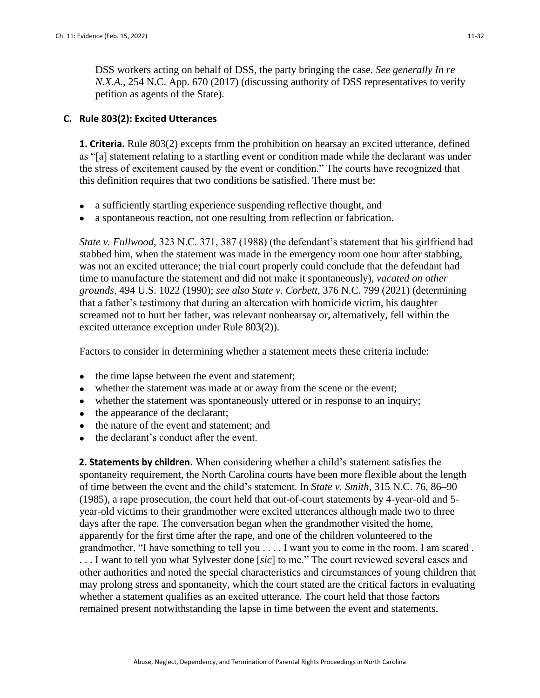DSS workers acting on behalf of DSS, the party bringing the case. *See generally In re N.X.A.*, 254 N.C. App. 670 (2017) (discussing authority of DSS representatives to verify petition as agents of the State).

#### **C. Rule 803(2): Excited Utterances**

**1. Criteria.** Rule 803(2) excepts from the prohibition on hearsay an excited utterance, defined as "[a] statement relating to a startling event or condition made while the declarant was under the stress of excitement caused by the event or condition." The courts have recognized that this definition requires that two conditions be satisfied. There must be:

- a sufficiently startling experience suspending reflective thought, and
- a spontaneous reaction, not one resulting from reflection or fabrication.

*State v. Fullwood,* 323 N.C. 371, 387 (1988) (the defendant's statement that his girlfriend had stabbed him, when the statement was made in the emergency room one hour after stabbing, was not an excited utterance; the trial court properly could conclude that the defendant had time to manufacture the statement and did not make it spontaneously), *vacated on other grounds,* 494 U.S. 1022 (1990); *see also State v. Corbett*, 376 N.C. 799 (2021) (determining that a father's testimony that during an altercation with homicide victim, his daughter screamed not to hurt her father, was relevant nonhearsay or, alternatively, fell within the excited utterance exception under Rule 803(2)).

Factors to consider in determining whether a statement meets these criteria include:

- the time lapse between the event and statement;
- whether the statement was made at or away from the scene or the event;
- whether the statement was spontaneously uttered or in response to an inquiry;
- the appearance of the declarant:
- the nature of the event and statement; and
- the declarant's conduct after the event.

**2. Statements by children.** When considering whether a child's statement satisfies the spontaneity requirement, the North Carolina courts have been more flexible about the length of time between the event and the child's statement. In *State v. Smith*, 315 N.C. 76, 86–90 (1985), a rape prosecution, the court held that out-of-court statements by 4-year-old and 5 year-old victims to their grandmother were excited utterances although made two to three days after the rape. The conversation began when the grandmother visited the home, apparently for the first time after the rape, and one of the children volunteered to the grandmother, "I have something to tell you . . . . I want you to come in the room. I am scared . . . . I want to tell you what Sylvester done [*sic*] to me." The court reviewed several cases and other authorities and noted the special characteristics and circumstances of young children that may prolong stress and spontaneity, which the court stated are the critical factors in evaluating whether a statement qualifies as an excited utterance. The court held that those factors remained present notwithstanding the lapse in time between the event and statements.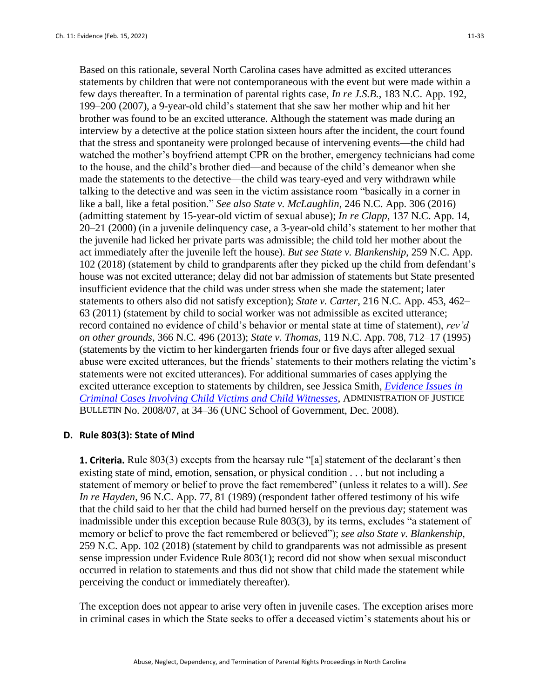Based on this rationale, several North Carolina cases have admitted as excited utterances statements by children that were not contemporaneous with the event but were made within a few days thereafter. In a termination of parental rights case, *In re J.S.B.*, 183 N.C. App. 192, 199–200 (2007), a 9-year-old child's statement that she saw her mother whip and hit her brother was found to be an excited utterance. Although the statement was made during an interview by a detective at the police station sixteen hours after the incident, the court found that the stress and spontaneity were prolonged because of intervening events—the child had watched the mother's boyfriend attempt CPR on the brother, emergency technicians had come to the house, and the child's brother died—and because of the child's demeanor when she made the statements to the detective—the child was teary-eyed and very withdrawn while talking to the detective and was seen in the victim assistance room "basically in a corner in like a ball, like a fetal position." *See also State v. McLaughlin*, 246 N.C. App. 306 (2016) (admitting statement by 15-year-old victim of sexual abuse); *In re Clapp*, 137 N.C. App. 14, 20–21 (2000) (in a juvenile delinquency case, a 3-year-old child's statement to her mother that the juvenile had licked her private parts was admissible; the child told her mother about the act immediately after the juvenile left the house). *But see State v. Blankenship*, 259 N.C. App. 102 (2018) (statement by child to grandparents after they picked up the child from defendant's house was not excited utterance; delay did not bar admission of statements but State presented insufficient evidence that the child was under stress when she made the statement; later statements to others also did not satisfy exception); *State v. Carter*, 216 N.C. App. 453, 462– 63 (2011) (statement by child to social worker was not admissible as excited utterance; record contained no evidence of child's behavior or mental state at time of statement), *rev'd on other grounds*, 366 N.C. 496 (2013); *State v. Thomas*, 119 N.C. App. 708, 712–17 (1995) (statements by the victim to her kindergarten friends four or five days after alleged sexual abuse were excited utterances, but the friends' statements to their mothers relating the victim's statements were not excited utterances). For additional summaries of cases applying the excited utterance exception to statements by children, see Jessica Smith, *[Evidence Issues in](http://benchbook.sog.unc.edu/evidence/criminal-cases-involving-child-victims-and-child-witnesses)  [Criminal Cases Involving Child Victims and Child Witnesses](http://benchbook.sog.unc.edu/evidence/criminal-cases-involving-child-victims-and-child-witnesses)*, ADMINISTRATION OF JUSTICE BULLETIN No. 2008/07, at 34–36 (UNC School of Government, Dec. 2008).

#### **D. Rule 803(3): State of Mind**

**1. Criteria.** Rule 803(3) excepts from the hearsay rule "[a] statement of the declarant's then existing state of mind, emotion, sensation, or physical condition . . . but not including a statement of memory or belief to prove the fact remembered" (unless it relates to a will). *See In re Hayden*, 96 N.C. App. 77, 81 (1989) (respondent father offered testimony of his wife that the child said to her that the child had burned herself on the previous day; statement was inadmissible under this exception because Rule 803(3), by its terms, excludes "a statement of memory or belief to prove the fact remembered or believed"); *see also State v. Blankenship*, 259 N.C. App. 102 (2018) (statement by child to grandparents was not admissible as present sense impression under Evidence Rule 803(1); record did not show when sexual misconduct occurred in relation to statements and thus did not show that child made the statement while perceiving the conduct or immediately thereafter).

The exception does not appear to arise very often in juvenile cases. The exception arises more in criminal cases in which the State seeks to offer a deceased victim's statements about his or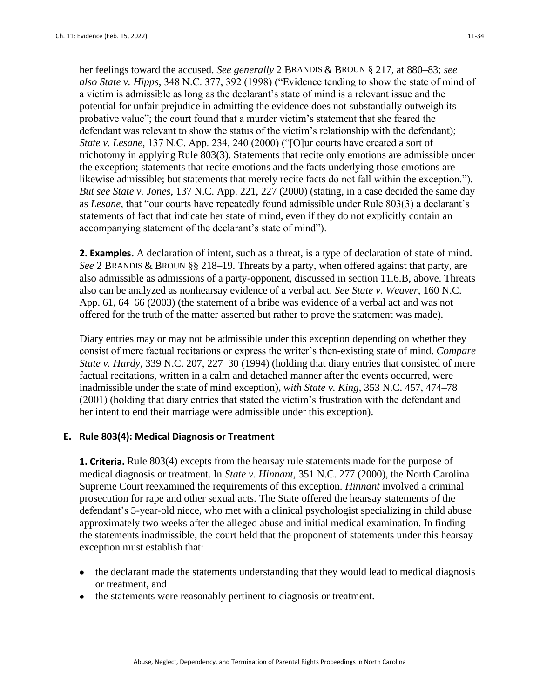her feelings toward the accused. *See generally* 2 BRANDIS & BROUN § 217, at 880–83; *see also State v. Hipps*, 348 N.C. 377, 392 (1998) ("Evidence tending to show the state of mind of a victim is admissible as long as the declarant's state of mind is a relevant issue and the potential for unfair prejudice in admitting the evidence does not substantially outweigh its probative value"; the court found that a murder victim's statement that she feared the defendant was relevant to show the status of the victim's relationship with the defendant); *State v. Lesane*, 137 N.C. App. 234, 240 (2000) ("[O]ur courts have created a sort of trichotomy in applying Rule 803(3). Statements that recite only emotions are admissible under the exception; statements that recite emotions and the facts underlying those emotions are likewise admissible; but statements that merely recite facts do not fall within the exception."). *But see State v. Jones*, 137 N.C. App. 221, 227 (2000) (stating, in a case decided the same day as *Lesane,* that "our courts have repeatedly found admissible under Rule 803(3) a declarant's statements of fact that indicate her state of mind, even if they do not explicitly contain an accompanying statement of the declarant's state of mind").

**2. Examples.** A declaration of intent, such as a threat, is a type of declaration of state of mind. *See* 2 BRANDIS & BROUN §§ 218–19. Threats by a party, when offered against that party, are also admissible as admissions of a party-opponent, discussed in section 11.6.B, above. Threats also can be analyzed as nonhearsay evidence of a verbal act. *See State v. Weaver*, 160 N.C. App. 61, 64–66 (2003) (the statement of a bribe was evidence of a verbal act and was not offered for the truth of the matter asserted but rather to prove the statement was made).

Diary entries may or may not be admissible under this exception depending on whether they consist of mere factual recitations or express the writer's then-existing state of mind. *Compare State v. Hardy*, 339 N.C. 207, 227–30 (1994) (holding that diary entries that consisted of mere factual recitations, written in a calm and detached manner after the events occurred, were inadmissible under the state of mind exception), *with State v. King*, 353 N.C. 457, 474–78 (2001) (holding that diary entries that stated the victim's frustration with the defendant and her intent to end their marriage were admissible under this exception).

### **E. Rule 803(4): Medical Diagnosis or Treatment**

**1. Criteria.** Rule 803(4) excepts from the hearsay rule statements made for the purpose of medical diagnosis or treatment. In *State v. Hinnant*, 351 N.C. 277 (2000), the North Carolina Supreme Court reexamined the requirements of this exception. *Hinnant* involved a criminal prosecution for rape and other sexual acts. The State offered the hearsay statements of the defendant's 5-year-old niece, who met with a clinical psychologist specializing in child abuse approximately two weeks after the alleged abuse and initial medical examination. In finding the statements inadmissible, the court held that the proponent of statements under this hearsay exception must establish that:

- the declarant made the statements understanding that they would lead to medical diagnosis or treatment, and
- the statements were reasonably pertinent to diagnosis or treatment.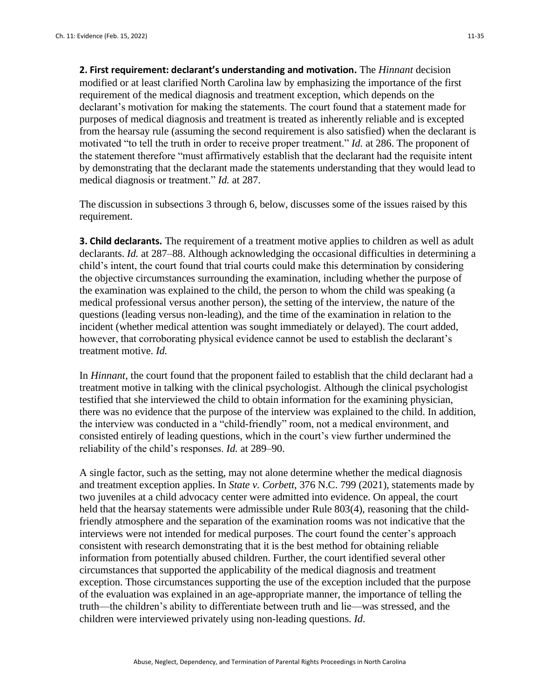**2. First requirement: declarant's understanding and motivation.** The *Hinnant* decision modified or at least clarified North Carolina law by emphasizing the importance of the first requirement of the medical diagnosis and treatment exception, which depends on the declarant's motivation for making the statements. The court found that a statement made for purposes of medical diagnosis and treatment is treated as inherently reliable and is excepted from the hearsay rule (assuming the second requirement is also satisfied) when the declarant is motivated "to tell the truth in order to receive proper treatment." *Id.* at 286. The proponent of the statement therefore "must affirmatively establish that the declarant had the requisite intent by demonstrating that the declarant made the statements understanding that they would lead to medical diagnosis or treatment." *Id.* at 287.

The discussion in subsections 3 through 6, below, discusses some of the issues raised by this requirement.

**3. Child declarants.** The requirement of a treatment motive applies to children as well as adult declarants. *Id.* at 287–88. Although acknowledging the occasional difficulties in determining a child's intent, the court found that trial courts could make this determination by considering the objective circumstances surrounding the examination, including whether the purpose of the examination was explained to the child, the person to whom the child was speaking (a medical professional versus another person), the setting of the interview, the nature of the questions (leading versus non-leading), and the time of the examination in relation to the incident (whether medical attention was sought immediately or delayed). The court added, however, that corroborating physical evidence cannot be used to establish the declarant's treatment motive. *Id.*

In *Hinnant*, the court found that the proponent failed to establish that the child declarant had a treatment motive in talking with the clinical psychologist. Although the clinical psychologist testified that she interviewed the child to obtain information for the examining physician, there was no evidence that the purpose of the interview was explained to the child. In addition, the interview was conducted in a "child-friendly" room, not a medical environment, and consisted entirely of leading questions, which in the court's view further undermined the reliability of the child's responses. *Id.* at 289–90.

A single factor, such as the setting, may not alone determine whether the medical diagnosis and treatment exception applies. In *State v. Corbett*, 376 N.C. 799 (2021), statements made by two juveniles at a child advocacy center were admitted into evidence. On appeal, the court held that the hearsay statements were admissible under Rule 803(4), reasoning that the childfriendly atmosphere and the separation of the examination rooms was not indicative that the interviews were not intended for medical purposes. The court found the center's approach consistent with research demonstrating that it is the best method for obtaining reliable information from potentially abused children. Further, the court identified several other circumstances that supported the applicability of the medical diagnosis and treatment exception. Those circumstances supporting the use of the exception included that the purpose of the evaluation was explained in an age-appropriate manner, the importance of telling the truth—the children's ability to differentiate between truth and lie—was stressed, and the children were interviewed privately using non-leading questions. *Id*.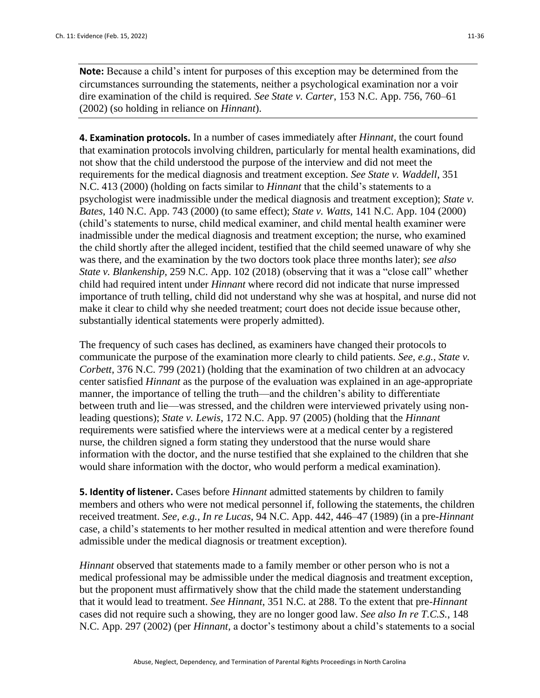**Note:** Because a child's intent for purposes of this exception may be determined from the circumstances surrounding the statements, neither a psychological examination nor a voir dire examination of the child is required*. See State v. Carter*, 153 N.C. App. 756, 760–61 (2002) (so holding in reliance on *Hinnant*).

**4. Examination protocols.** In a number of cases immediately after *Hinnant*, the court found that examination protocols involving children, particularly for mental health examinations, did not show that the child understood the purpose of the interview and did not meet the requirements for the medical diagnosis and treatment exception. *See State v. Waddell*, 351 N.C. 413 (2000) (holding on facts similar to *Hinnant* that the child's statements to a psychologist were inadmissible under the medical diagnosis and treatment exception); *State v. Bates*, 140 N.C. App. 743 (2000) (to same effect); *State v. Watts*, 141 N.C. App. 104 (2000) (child's statements to nurse, child medical examiner, and child mental health examiner were inadmissible under the medical diagnosis and treatment exception; the nurse, who examined the child shortly after the alleged incident, testified that the child seemed unaware of why she was there, and the examination by the two doctors took place three months later); *see also State v. Blankenship*, 259 N.C. App. 102 (2018) (observing that it was a "close call" whether child had required intent under *Hinnant* where record did not indicate that nurse impressed importance of truth telling, child did not understand why she was at hospital, and nurse did not make it clear to child why she needed treatment; court does not decide issue because other, substantially identical statements were properly admitted).

The frequency of such cases has declined, as examiners have changed their protocols to communicate the purpose of the examination more clearly to child patients. *See, e.g., State v. Corbett*, 376 N.C. 799 (2021) (holding that the examination of two children at an advocacy center satisfied *Hinnant* as the purpose of the evaluation was explained in an age-appropriate manner, the importance of telling the truth—and the children's ability to differentiate between truth and lie—was stressed, and the children were interviewed privately using nonleading questions); *State v. Lewis*, 172 N.C. App. 97 (2005) (holding that the *Hinnant*  requirements were satisfied where the interviews were at a medical center by a registered nurse, the children signed a form stating they understood that the nurse would share information with the doctor, and the nurse testified that she explained to the children that she would share information with the doctor, who would perform a medical examination).

**5. Identity of listener.** Cases before *Hinnant* admitted statements by children to family members and others who were not medical personnel if, following the statements, the children received treatment. *See, e.g., In re Lucas*, 94 N.C. App. 442, 446–47 (1989) (in a pre-*Hinnant*  case, a child's statements to her mother resulted in medical attention and were therefore found admissible under the medical diagnosis or treatment exception).

*Hinnant* observed that statements made to a family member or other person who is not a medical professional may be admissible under the medical diagnosis and treatment exception, but the proponent must affirmatively show that the child made the statement understanding that it would lead to treatment. *See Hinnant*, 351 N.C. at 288. To the extent that pre-*Hinnant*  cases did not require such a showing, they are no longer good law. *See also In re T.C.S.*, 148 N.C. App. 297 (2002) (per *Hinnant,* a doctor's testimony about a child's statements to a social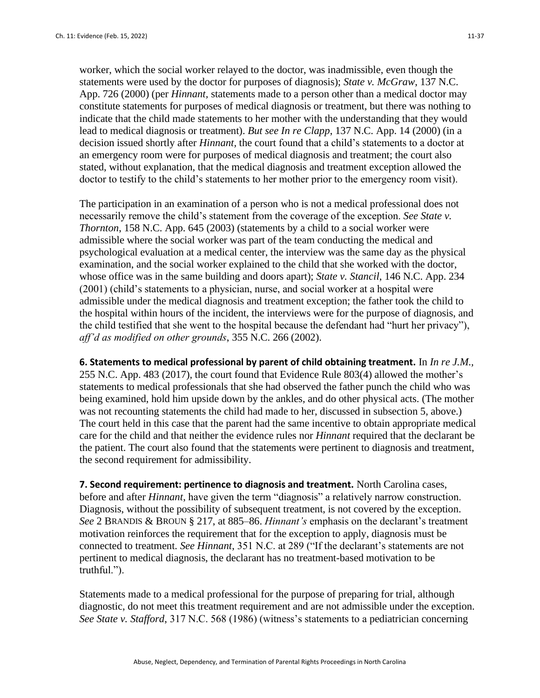worker, which the social worker relayed to the doctor, was inadmissible, even though the statements were used by the doctor for purposes of diagnosis); *State v. McGraw*, 137 N.C. App. 726 (2000) (per *Hinnant,* statements made to a person other than a medical doctor may constitute statements for purposes of medical diagnosis or treatment, but there was nothing to indicate that the child made statements to her mother with the understanding that they would lead to medical diagnosis or treatment). *But see In re Clapp*, 137 N.C. App. 14 (2000) (in a decision issued shortly after *Hinnant,* the court found that a child's statements to a doctor at an emergency room were for purposes of medical diagnosis and treatment; the court also stated, without explanation, that the medical diagnosis and treatment exception allowed the doctor to testify to the child's statements to her mother prior to the emergency room visit).

The participation in an examination of a person who is not a medical professional does not necessarily remove the child's statement from the coverage of the exception. *See State v. Thornton*, 158 N.C. App. 645 (2003) (statements by a child to a social worker were admissible where the social worker was part of the team conducting the medical and psychological evaluation at a medical center, the interview was the same day as the physical examination, and the social worker explained to the child that she worked with the doctor, whose office was in the same building and doors apart); *State v. Stancil*, 146 N.C. App. 234 (2001) (child's statements to a physician, nurse, and social worker at a hospital were admissible under the medical diagnosis and treatment exception; the father took the child to the hospital within hours of the incident, the interviews were for the purpose of diagnosis, and the child testified that she went to the hospital because the defendant had "hurt her privacy"), *aff'd as modified on other grounds*, 355 N.C. 266 (2002).

**6. Statements to medical professional by parent of child obtaining treatment.** In *In re J.M.,* 255 N.C. App. 483 (2017), the court found that Evidence Rule 803(4) allowed the mother's statements to medical professionals that she had observed the father punch the child who was being examined, hold him upside down by the ankles, and do other physical acts. (The mother was not recounting statements the child had made to her, discussed in subsection 5, above.) The court held in this case that the parent had the same incentive to obtain appropriate medical care for the child and that neither the evidence rules nor *Hinnant* required that the declarant be the patient. The court also found that the statements were pertinent to diagnosis and treatment, the second requirement for admissibility.

**7. Second requirement: pertinence to diagnosis and treatment.** North Carolina cases, before and after *Hinnant*, have given the term "diagnosis" a relatively narrow construction. Diagnosis, without the possibility of subsequent treatment, is not covered by the exception. *See* 2 BRANDIS & BROUN § 217, at 885–86. *Hinnant's* emphasis on the declarant's treatment motivation reinforces the requirement that for the exception to apply, diagnosis must be connected to treatment. *See Hinnant*, 351 N.C. at 289 ("If the declarant's statements are not pertinent to medical diagnosis, the declarant has no treatment-based motivation to be truthful.").

Statements made to a medical professional for the purpose of preparing for trial, although diagnostic, do not meet this treatment requirement and are not admissible under the exception. *See State v. Stafford*, 317 N.C. 568 (1986) (witness's statements to a pediatrician concerning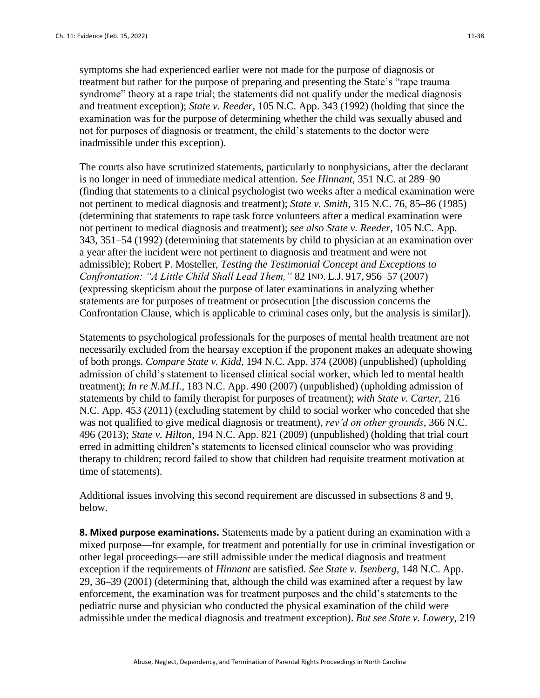symptoms she had experienced earlier were not made for the purpose of diagnosis or treatment but rather for the purpose of preparing and presenting the State's "rape trauma syndrome" theory at a rape trial; the statements did not qualify under the medical diagnosis and treatment exception); *State v. Reeder*, 105 N.C. App. 343 (1992) (holding that since the examination was for the purpose of determining whether the child was sexually abused and not for purposes of diagnosis or treatment, the child's statements to the doctor were inadmissible under this exception).

The courts also have scrutinized statements, particularly to nonphysicians, after the declarant is no longer in need of immediate medical attention. *See Hinnant*, 351 N.C. at 289–90 (finding that statements to a clinical psychologist two weeks after a medical examination were not pertinent to medical diagnosis and treatment); *State v. Smith*, 315 N.C. 76, 85–86 (1985) (determining that statements to rape task force volunteers after a medical examination were not pertinent to medical diagnosis and treatment); *see also State v. Reeder*, 105 N.C. App. 343, 351–54 (1992) (determining that statements by child to physician at an examination over a year after the incident were not pertinent to diagnosis and treatment and were not admissible); Robert P. Mosteller, *Testing the Testimonial Concept and Exceptions to Confrontation: "A Little Child Shall Lead Them,"* 82 IND. L.J. 917, 956–57 (2007) (expressing skepticism about the purpose of later examinations in analyzing whether statements are for purposes of treatment or prosecution [the discussion concerns the Confrontation Clause, which is applicable to criminal cases only, but the analysis is similar]).

Statements to psychological professionals for the purposes of mental health treatment are not necessarily excluded from the hearsay exception if the proponent makes an adequate showing of both prongs. *Compare State v. Kidd*, 194 N.C. App. 374 (2008) (unpublished) (upholding admission of child's statement to licensed clinical social worker, which led to mental health treatment); *In re N.M.H.*, 183 N.C. App. 490 (2007) (unpublished) (upholding admission of statements by child to family therapist for purposes of treatment); *with State v. Carter*, 216 N.C. App. 453 (2011) (excluding statement by child to social worker who conceded that she was not qualified to give medical diagnosis or treatment), *rev'd on other grounds*, 366 N.C. 496 (2013); *State v. Hilton*, 194 N.C. App. 821 (2009) (unpublished) (holding that trial court erred in admitting children's statements to licensed clinical counselor who was providing therapy to children; record failed to show that children had requisite treatment motivation at time of statements).

Additional issues involving this second requirement are discussed in subsections 8 and 9, below.

**8. Mixed purpose examinations.** Statements made by a patient during an examination with a mixed purpose—for example, for treatment and potentially for use in criminal investigation or other legal proceedings—are still admissible under the medical diagnosis and treatment exception if the requirements of *Hinnant* are satisfied. *See State v. Isenberg*, 148 N.C. App. 29, 36–39 (2001) (determining that, although the child was examined after a request by law enforcement, the examination was for treatment purposes and the child's statements to the pediatric nurse and physician who conducted the physical examination of the child were admissible under the medical diagnosis and treatment exception). *But see State v. Lowery*, 219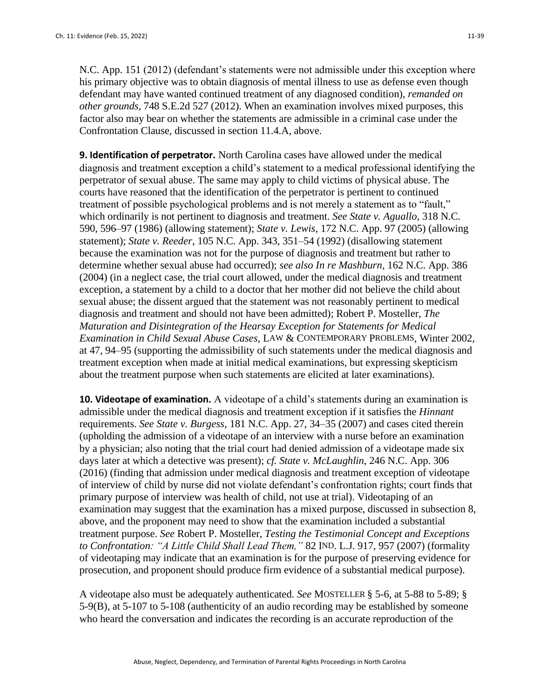N.C. App. 151 (2012) (defendant's statements were not admissible under this exception where his primary objective was to obtain diagnosis of mental illness to use as defense even though defendant may have wanted continued treatment of any diagnosed condition), *remanded on other grounds*, 748 S.E.2d 527 (2012). When an examination involves mixed purposes, this factor also may bear on whether the statements are admissible in a criminal case under the Confrontation Clause, discussed in section 11.4.A, above.

**9. Identification of perpetrator.** North Carolina cases have allowed under the medical diagnosis and treatment exception a child's statement to a medical professional identifying the perpetrator of sexual abuse. The same may apply to child victims of physical abuse. The courts have reasoned that the identification of the perpetrator is pertinent to continued treatment of possible psychological problems and is not merely a statement as to "fault," which ordinarily is not pertinent to diagnosis and treatment. *See State v. Aguallo*, 318 N.C. 590, 596–97 (1986) (allowing statement); *State v. Lewis*, 172 N.C. App. 97 (2005) (allowing statement); *State v. Reeder*, 105 N.C. App. 343, 351–54 (1992) (disallowing statement because the examination was not for the purpose of diagnosis and treatment but rather to determine whether sexual abuse had occurred); *see also In re Mashburn*, 162 N.C. App. 386 (2004) (in a neglect case, the trial court allowed, under the medical diagnosis and treatment exception, a statement by a child to a doctor that her mother did not believe the child about sexual abuse; the dissent argued that the statement was not reasonably pertinent to medical diagnosis and treatment and should not have been admitted); Robert P. Mosteller, *The Maturation and Disintegration of the Hearsay Exception for Statements for Medical Examination in Child Sexual Abuse Cases,* LAW & CONTEMPORARY PROBLEMS, Winter 2002, at 47, 94–95 (supporting the admissibility of such statements under the medical diagnosis and treatment exception when made at initial medical examinations, but expressing skepticism about the treatment purpose when such statements are elicited at later examinations).

**10. Videotape of examination.** A videotape of a child's statements during an examination is admissible under the medical diagnosis and treatment exception if it satisfies the *Hinnant* requirements. *See State v. Burgess*, 181 N.C. App. 27, 34–35 (2007) and cases cited therein (upholding the admission of a videotape of an interview with a nurse before an examination by a physician; also noting that the trial court had denied admission of a videotape made six days later at which a detective was present); *cf. State v. McLaughlin*, 246 N.C. App. 306 (2016) (finding that admission under medical diagnosis and treatment exception of videotape of interview of child by nurse did not violate defendant's confrontation rights; court finds that primary purpose of interview was health of child, not use at trial). Videotaping of an examination may suggest that the examination has a mixed purpose, discussed in subsection 8, above, and the proponent may need to show that the examination included a substantial treatment purpose. *See* Robert P. Mosteller, *Testing the Testimonial Concept and Exceptions to Confrontation: "A Little Child Shall Lead Them,"* 82 IND. L.J. 917, 957 (2007) (formality of videotaping may indicate that an examination is for the purpose of preserving evidence for prosecution, and proponent should produce firm evidence of a substantial medical purpose).

A videotape also must be adequately authenticated. *See* MOSTELLER § 5-6, at 5-88 to 5-89; § 5-9(B), at 5-107 to 5-108 (authenticity of an audio recording may be established by someone who heard the conversation and indicates the recording is an accurate reproduction of the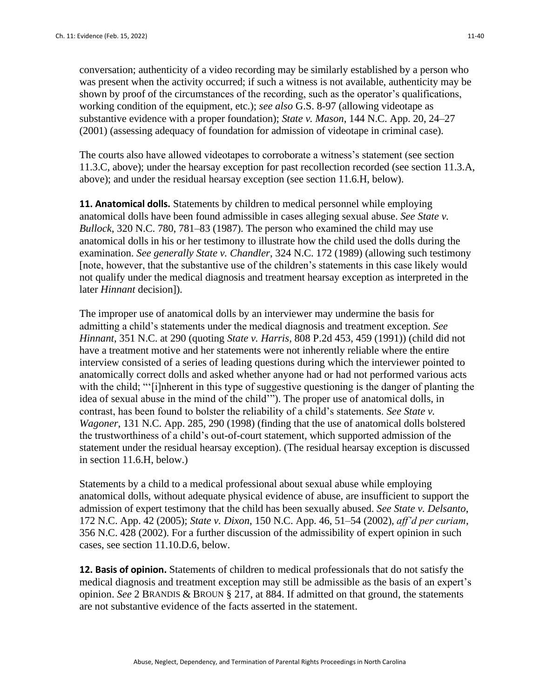conversation; authenticity of a video recording may be similarly established by a person who was present when the activity occurred; if such a witness is not available, authenticity may be shown by proof of the circumstances of the recording, such as the operator's qualifications, working condition of the equipment, etc.); *see also* G.S. 8-97 (allowing videotape as substantive evidence with a proper foundation); *State v. Mason*, 144 N.C. App. 20, 24–27 (2001) (assessing adequacy of foundation for admission of videotape in criminal case).

The courts also have allowed videotapes to corroborate a witness's statement (see section 11.3.C, above); under the hearsay exception for past recollection recorded (see section 11.3.A, above); and under the residual hearsay exception (see section 11.6.H, below).

**11. Anatomical dolls.** Statements by children to medical personnel while employing anatomical dolls have been found admissible in cases alleging sexual abuse. *See State v. Bullock*, 320 N.C. 780, 781–83 (1987). The person who examined the child may use anatomical dolls in his or her testimony to illustrate how the child used the dolls during the examination. *See generally State v. Chandler*, 324 N.C. 172 (1989) (allowing such testimony [note, however, that the substantive use of the children's statements in this case likely would not qualify under the medical diagnosis and treatment hearsay exception as interpreted in the later *Hinnant* decision]).

The improper use of anatomical dolls by an interviewer may undermine the basis for admitting a child's statements under the medical diagnosis and treatment exception. *See Hinnant*, 351 N.C. at 290 (quoting *State v. Harris*, 808 P.2d 453, 459 (1991)) (child did not have a treatment motive and her statements were not inherently reliable where the entire interview consisted of a series of leading questions during which the interviewer pointed to anatomically correct dolls and asked whether anyone had or had not performed various acts with the child; "'[i]nherent in this type of suggestive questioning is the danger of planting the idea of sexual abuse in the mind of the child'"). The proper use of anatomical dolls, in contrast, has been found to bolster the reliability of a child's statements. *See State v. Wagoner*, 131 N.C. App. 285, 290 (1998) (finding that the use of anatomical dolls bolstered the trustworthiness of a child's out-of-court statement, which supported admission of the statement under the residual hearsay exception). (The residual hearsay exception is discussed in section 11.6.H, below.)

Statements by a child to a medical professional about sexual abuse while employing anatomical dolls, without adequate physical evidence of abuse, are insufficient to support the admission of expert testimony that the child has been sexually abused. *See State v. Delsanto*, 172 N.C. App. 42 (2005); *State v. Dixon*, 150 N.C. App. 46, 51–54 (2002), *aff'd per curiam*, 356 N.C. 428 (2002). For a further discussion of the admissibility of expert opinion in such cases, see section 11.10.D.6, below.

**12. Basis of opinion.** Statements of children to medical professionals that do not satisfy the medical diagnosis and treatment exception may still be admissible as the basis of an expert's opinion. *See* 2 BRANDIS & BROUN § 217, at 884. If admitted on that ground, the statements are not substantive evidence of the facts asserted in the statement.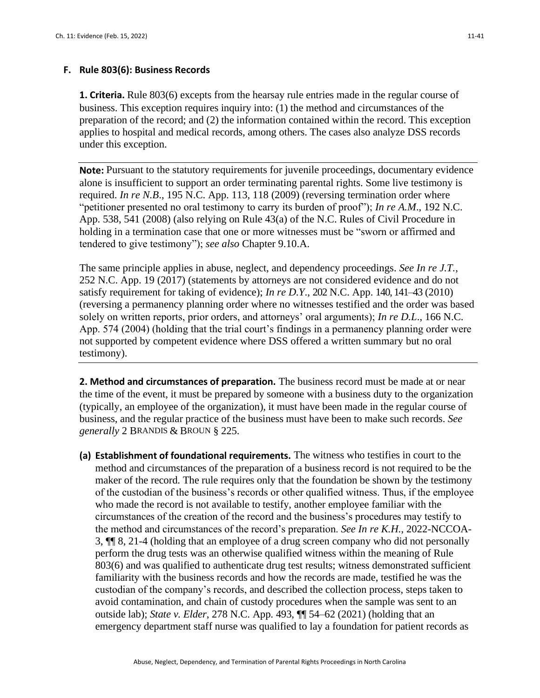#### **F. Rule 803(6): Business Records**

**1. Criteria.** Rule 803(6) excepts from the hearsay rule entries made in the regular course of business. This exception requires inquiry into: (1) the method and circumstances of the preparation of the record; and (2) the information contained within the record. This exception applies to hospital and medical records, among others. The cases also analyze DSS records under this exception.

**Note:** Pursuant to the statutory requirements for juvenile proceedings, documentary evidence alone is insufficient to support an order terminating parental rights. Some live testimony is required. *In re N.B*., 195 N.C. App. 113, 118 (2009) (reversing termination order where "petitioner presented no oral testimony to carry its burden of proof"); *In re A.M*., 192 N.C. App. 538, 541 (2008) (also relying on Rule 43(a) of the N.C. Rules of Civil Procedure in holding in a termination case that one or more witnesses must be "sworn or affirmed and tendered to give testimony"); *see also* Chapter 9.10.A.

The same principle applies in abuse, neglect, and dependency proceedings. *See In re J.T.*, 252 N.C. App. 19 (2017) (statements by attorneys are not considered evidence and do not satisfy requirement for taking of evidence); *In re D.Y*., 202 N.C. App. 140, 141–43 (2010) (reversing a permanency planning order where no witnesses testified and the order was based solely on written reports, prior orders, and attorneys' oral arguments); *In re D.L*., 166 N.C. App. 574 (2004) (holding that the trial court's findings in a permanency planning order were not supported by competent evidence where DSS offered a written summary but no oral testimony).

**2. Method and circumstances of preparation.** The business record must be made at or near the time of the event, it must be prepared by someone with a business duty to the organization (typically, an employee of the organization), it must have been made in the regular course of business, and the regular practice of the business must have been to make such records. *See generally* 2 BRANDIS & BROUN § 225.

**(a) Establishment of foundational requirements.** The witness who testifies in court to the method and circumstances of the preparation of a business record is not required to be the maker of the record. The rule requires only that the foundation be shown by the testimony of the custodian of the business's records or other qualified witness. Thus, if the employee who made the record is not available to testify, another employee familiar with the circumstances of the creation of the record and the business's procedures may testify to the method and circumstances of the record's preparation. *See In re K.H.*, 2022-NCCOA-3, ¶¶ 8, 21-4 (holding that an employee of a drug screen company who did not personally perform the drug tests was an otherwise qualified witness within the meaning of Rule 803(6) and was qualified to authenticate drug test results; witness demonstrated sufficient familiarity with the business records and how the records are made, testified he was the custodian of the company's records, and described the collection process, steps taken to avoid contamination, and chain of custody procedures when the sample was sent to an outside lab); *State v. Elder*, 278 N.C. App. 493, ¶¶ 54–62 (2021) (holding that an emergency department staff nurse was qualified to lay a foundation for patient records as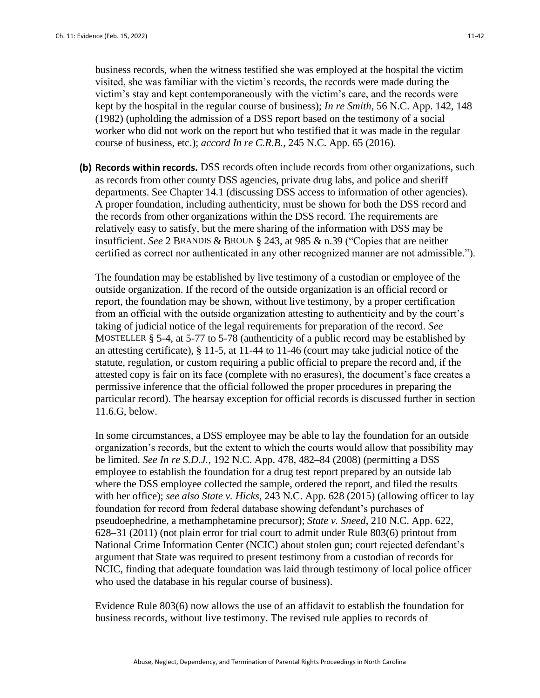business records, when the witness testified she was employed at the hospital the victim visited, she was familiar with the victim's records, the records were made during the victim's stay and kept contemporaneously with the victim's care, and the records were kept by the hospital in the regular course of business); *In re Smith*, 56 N.C. App. 142, 148 (1982) (upholding the admission of a DSS report based on the testimony of a social worker who did not work on the report but who testified that it was made in the regular course of business, etc.); *accord In re C.R.B.*, 245 N.C. App. 65 (2016).

**(b) Records within records.** DSS records often include records from other organizations, such as records from other county DSS agencies, private drug labs, and police and sheriff departments. See Chapter 14.1 (discussing DSS access to information of other agencies). A proper foundation, including authenticity, must be shown for both the DSS record and the records from other organizations within the DSS record. The requirements are relatively easy to satisfy, but the mere sharing of the information with DSS may be insufficient. *See* 2 BRANDIS & BROUN § 243, at 985 & n.39 ("Copies that are neither certified as correct nor authenticated in any other recognized manner are not admissible.").

The foundation may be established by live testimony of a custodian or employee of the outside organization. If the record of the outside organization is an official record or report, the foundation may be shown, without live testimony, by a proper certification from an official with the outside organization attesting to authenticity and by the court's taking of judicial notice of the legal requirements for preparation of the record. *See* MOSTELLER § 5-4, at 5-77 to 5-78 (authenticity of a public record may be established by an attesting certificate), § 11-5, at 11-44 to 11-46 (court may take judicial notice of the statute, regulation, or custom requiring a public official to prepare the record and, if the attested copy is fair on its face (complete with no erasures), the document's face creates a permissive inference that the official followed the proper procedures in preparing the particular record). The hearsay exception for official records is discussed further in section 11.6.G, below.

In some circumstances, a DSS employee may be able to lay the foundation for an outside organization's records, but the extent to which the courts would allow that possibility may be limited. *See In re S.D.J.*, 192 N.C. App. 478, 482–84 (2008) (permitting a DSS employee to establish the foundation for a drug test report prepared by an outside lab where the DSS employee collected the sample, ordered the report, and filed the results with her office); *see also State v. Hicks*, 243 N.C. App. 628 (2015) (allowing officer to lay foundation for record from federal database showing defendant's purchases of pseudoephedrine, a methamphetamine precursor); *State v. Sneed*, 210 N.C. App. 622, 628–31 (2011) (not plain error for trial court to admit under Rule 803(6) printout from National Crime Information Center (NCIC) about stolen gun; court rejected defendant's argument that State was required to present testimony from a custodian of records for NCIC, finding that adequate foundation was laid through testimony of local police officer who used the database in his regular course of business).

Evidence Rule 803(6) now allows the use of an affidavit to establish the foundation for business records, without live testimony. The revised rule applies to records of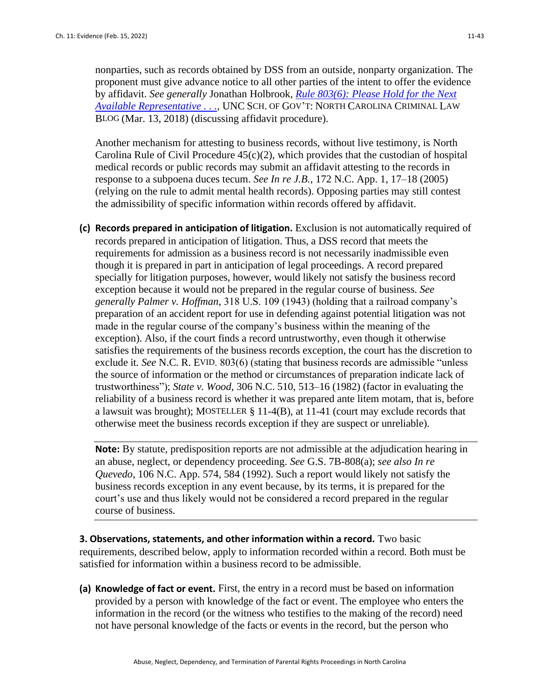nonparties, such as records obtained by DSS from an outside, nonparty organization. The proponent must give advance notice to all other parties of the intent to offer the evidence by affidavit. *See generally* Jonathan Holbrook, *[Rule 803\(6\): Please Hold for the Next](https://nccriminallaw.sog.unc.edu/rule-8036-please-hold-for-the-next-available-representative/)  [Available Representative . . .](https://nccriminallaw.sog.unc.edu/rule-8036-please-hold-for-the-next-available-representative/)*, UNC SCH. OF GOV'T: NORTH CAROLINA CRIMINAL LAW BLOG (Mar. 13, 2018) (discussing affidavit procedure).

Another mechanism for attesting to business records, without live testimony, is North Carolina Rule of Civil Procedure  $45(c)(2)$ , which provides that the custodian of hospital medical records or public records may submit an affidavit attesting to the records in response to a subpoena duces tecum. *See In re J.B.*, 172 N.C. App. 1, 17–18 (2005) (relying on the rule to admit mental health records). Opposing parties may still contest the admissibility of specific information within records offered by affidavit.

**(c) Records prepared in anticipation of litigation.** Exclusion is not automatically required of records prepared in anticipation of litigation. Thus, a DSS record that meets the requirements for admission as a business record is not necessarily inadmissible even though it is prepared in part in anticipation of legal proceedings. A record prepared specially for litigation purposes, however, would likely not satisfy the business record exception because it would not be prepared in the regular course of business. *See generally Palmer v. Hoffman*, 318 U.S. 109 (1943) (holding that a railroad company's preparation of an accident report for use in defending against potential litigation was not made in the regular course of the company's business within the meaning of the exception). Also, if the court finds a record untrustworthy, even though it otherwise satisfies the requirements of the business records exception, the court has the discretion to exclude it*. See* N.C. R. EVID. 803(6) (stating that business records are admissible "unless the source of information or the method or circumstances of preparation indicate lack of trustworthiness"); *State v. Wood*, 306 N.C. 510, 513–16 (1982) (factor in evaluating the reliability of a business record is whether it was prepared ante litem motam, that is, before a lawsuit was brought); MOSTELLER § 11-4(B), at 11-41 (court may exclude records that otherwise meet the business records exception if they are suspect or unreliable).

**Note:** By statute, predisposition reports are not admissible at the adjudication hearing in an abuse, neglect, or dependency proceeding. *See* G.S. 7B-808(a); *see also In re Quevedo*, 106 N.C. App. 574, 584 (1992). Such a report would likely not satisfy the business records exception in any event because, by its terms, it is prepared for the court's use and thus likely would not be considered a record prepared in the regular course of business.

**3. Observations, statements, and other information within a record.** Two basic requirements, described below, apply to information recorded within a record. Both must be satisfied for information within a business record to be admissible.

**(a) Knowledge of fact or event.** First, the entry in a record must be based on information provided by a person with knowledge of the fact or event. The employee who enters the information in the record (or the witness who testifies to the making of the record) need not have personal knowledge of the facts or events in the record, but the person who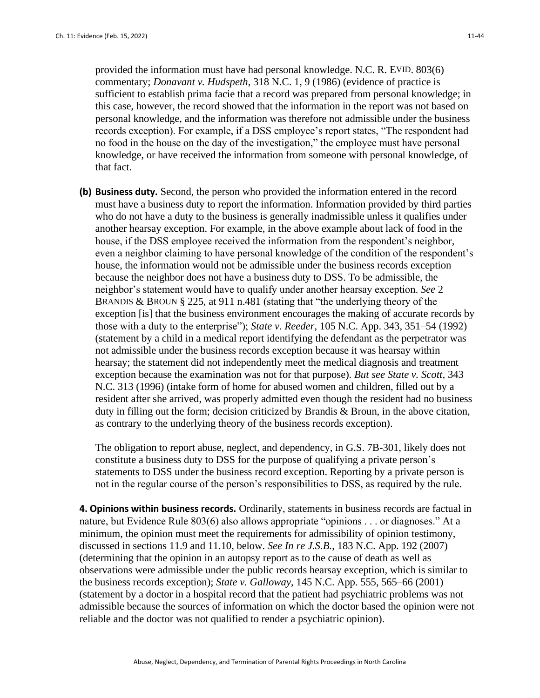provided the information must have had personal knowledge. N.C. R. EVID. 803(6) commentary; *Donavant v. Hudspeth*, 318 N.C. 1, 9 (1986) (evidence of practice is sufficient to establish prima facie that a record was prepared from personal knowledge; in this case, however, the record showed that the information in the report was not based on personal knowledge, and the information was therefore not admissible under the business records exception). For example, if a DSS employee's report states, "The respondent had no food in the house on the day of the investigation," the employee must have personal knowledge, or have received the information from someone with personal knowledge, of that fact.

**(b) Business duty.** Second, the person who provided the information entered in the record must have a business duty to report the information. Information provided by third parties who do not have a duty to the business is generally inadmissible unless it qualifies under another hearsay exception. For example, in the above example about lack of food in the house, if the DSS employee received the information from the respondent's neighbor, even a neighbor claiming to have personal knowledge of the condition of the respondent's house, the information would not be admissible under the business records exception because the neighbor does not have a business duty to DSS. To be admissible, the neighbor's statement would have to qualify under another hearsay exception. *See* 2 BRANDIS & BROUN § 225, at 911 n.481 (stating that "the underlying theory of the exception [is] that the business environment encourages the making of accurate records by those with a duty to the enterprise"); *State v. Reeder*, 105 N.C. App. 343, 351–54 (1992) (statement by a child in a medical report identifying the defendant as the perpetrator was not admissible under the business records exception because it was hearsay within hearsay; the statement did not independently meet the medical diagnosis and treatment exception because the examination was not for that purpose). *But see State v. Scott,* 343 N.C. 313 (1996) (intake form of home for abused women and children, filled out by a resident after she arrived, was properly admitted even though the resident had no business duty in filling out the form; decision criticized by Brandis & Broun, in the above citation, as contrary to the underlying theory of the business records exception).

The obligation to report abuse, neglect, and dependency, in G.S. 7B-301, likely does not constitute a business duty to DSS for the purpose of qualifying a private person's statements to DSS under the business record exception. Reporting by a private person is not in the regular course of the person's responsibilities to DSS, as required by the rule.

**4. Opinions within business records.** Ordinarily, statements in business records are factual in nature, but Evidence Rule 803(6) also allows appropriate "opinions . . . or diagnoses." At a minimum, the opinion must meet the requirements for admissibility of opinion testimony, discussed in sections 11.9 and 11.10, below. *See In re J.S.B.*, 183 N.C. App. 192 (2007) (determining that the opinion in an autopsy report as to the cause of death as well as observations were admissible under the public records hearsay exception, which is similar to the business records exception); *State v. Galloway*, 145 N.C. App. 555, 565–66 (2001) (statement by a doctor in a hospital record that the patient had psychiatric problems was not admissible because the sources of information on which the doctor based the opinion were not reliable and the doctor was not qualified to render a psychiatric opinion).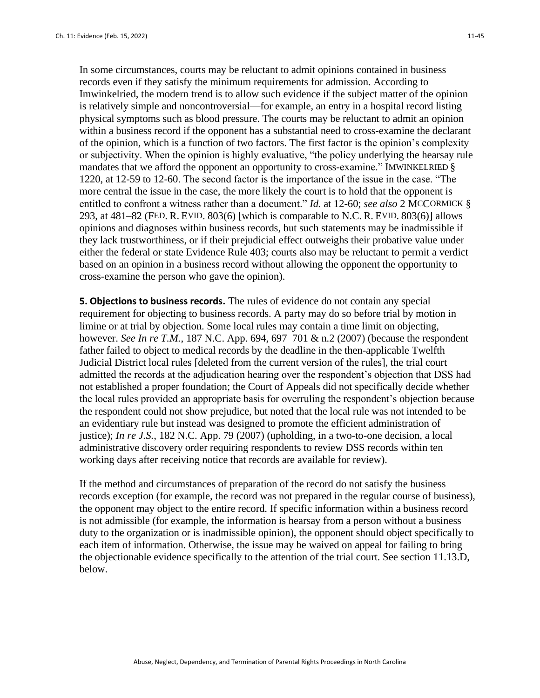In some circumstances, courts may be reluctant to admit opinions contained in business records even if they satisfy the minimum requirements for admission. According to Imwinkelried, the modern trend is to allow such evidence if the subject matter of the opinion is relatively simple and noncontroversial—for example, an entry in a hospital record listing physical symptoms such as blood pressure. The courts may be reluctant to admit an opinion within a business record if the opponent has a substantial need to cross-examine the declarant of the opinion, which is a function of two factors. The first factor is the opinion's complexity or subjectivity. When the opinion is highly evaluative, "the policy underlying the hearsay rule mandates that we afford the opponent an opportunity to cross-examine." IMWINKELRIED § 1220, at 12-59 to 12-60. The second factor is the importance of the issue in the case. "The more central the issue in the case, the more likely the court is to hold that the opponent is entitled to confront a witness rather than a document." *Id.* at 12-60; *see also* 2 MCCORMICK § 293, at 481–82 (FED. R. EVID. 803(6) [which is comparable to N.C. R. EVID. 803(6)] allows opinions and diagnoses within business records, but such statements may be inadmissible if they lack trustworthiness, or if their prejudicial effect outweighs their probative value under either the federal or state Evidence Rule 403; courts also may be reluctant to permit a verdict based on an opinion in a business record without allowing the opponent the opportunity to cross-examine the person who gave the opinion).

**5. Objections to business records.** The rules of evidence do not contain any special requirement for objecting to business records. A party may do so before trial by motion in limine or at trial by objection. Some local rules may contain a time limit on objecting, however. *See In re T.M.*, 187 N.C. App. 694, 697–701 & n.2 (2007) (because the respondent father failed to object to medical records by the deadline in the then-applicable Twelfth Judicial District local rules [deleted from the current version of the rules], the trial court admitted the records at the adjudication hearing over the respondent's objection that DSS had not established a proper foundation; the Court of Appeals did not specifically decide whether the local rules provided an appropriate basis for overruling the respondent's objection because the respondent could not show prejudice, but noted that the local rule was not intended to be an evidentiary rule but instead was designed to promote the efficient administration of justice); *In re J.S.*, 182 N.C. App. 79 (2007) (upholding, in a two-to-one decision, a local administrative discovery order requiring respondents to review DSS records within ten working days after receiving notice that records are available for review).

If the method and circumstances of preparation of the record do not satisfy the business records exception (for example, the record was not prepared in the regular course of business), the opponent may object to the entire record. If specific information within a business record is not admissible (for example, the information is hearsay from a person without a business duty to the organization or is inadmissible opinion), the opponent should object specifically to each item of information. Otherwise, the issue may be waived on appeal for failing to bring the objectionable evidence specifically to the attention of the trial court. See section 11.13.D, below.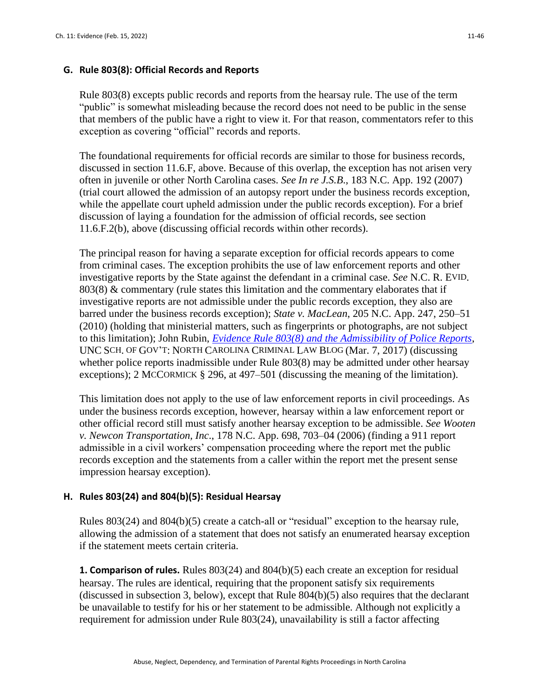#### **G. Rule 803(8): Official Records and Reports**

Rule 803(8) excepts public records and reports from the hearsay rule. The use of the term "public" is somewhat misleading because the record does not need to be public in the sense that members of the public have a right to view it. For that reason, commentators refer to this exception as covering "official" records and reports.

The foundational requirements for official records are similar to those for business records, discussed in section 11.6.F, above. Because of this overlap, the exception has not arisen very often in juvenile or other North Carolina cases. *See In re J.S.B*., 183 N.C. App. 192 (2007) (trial court allowed the admission of an autopsy report under the business records exception, while the appellate court upheld admission under the public records exception). For a brief discussion of laying a foundation for the admission of official records, see section 11.6.F.2(b), above (discussing official records within other records).

The principal reason for having a separate exception for official records appears to come from criminal cases. The exception prohibits the use of law enforcement reports and other investigative reports by the State against the defendant in a criminal case. *See* N.C. R. EVID. 803(8) & commentary (rule states this limitation and the commentary elaborates that if investigative reports are not admissible under the public records exception, they also are barred under the business records exception); *State v. MacLean*, 205 N.C. App. 247, 250–51 (2010) (holding that ministerial matters, such as fingerprints or photographs, are not subject to this limitation); John Rubin, *[Evidence Rule 803\(8\) and the Admissibility of Police Reports](https://nccriminallaw.sog.unc.edu/evidence-rule-8038-admissibility-police-reports/)*, UNC SCH. OF GOV'T: NORTH CAROLINA CRIMINAL LAW BLOG (Mar. 7, 2017) (discussing whether police reports inadmissible under Rule 803(8) may be admitted under other hearsay exceptions); 2 MCCORMICK § 296, at 497–501 (discussing the meaning of the limitation).

This limitation does not apply to the use of law enforcement reports in civil proceedings. As under the business records exception, however, hearsay within a law enforcement report or other official record still must satisfy another hearsay exception to be admissible. *See Wooten v. Newcon Transportation, Inc*., 178 N.C. App. 698, 703–04 (2006) (finding a 911 report admissible in a civil workers' compensation proceeding where the report met the public records exception and the statements from a caller within the report met the present sense impression hearsay exception).

#### **H. Rules 803(24) and 804(b)(5): Residual Hearsay**

Rules 803(24) and 804(b)(5) create a catch-all or "residual" exception to the hearsay rule, allowing the admission of a statement that does not satisfy an enumerated hearsay exception if the statement meets certain criteria.

**1. Comparison of rules.** Rules 803(24) and 804(b)(5) each create an exception for residual hearsay. The rules are identical, requiring that the proponent satisfy six requirements (discussed in subsection 3, below), except that Rule 804(b)(5) also requires that the declarant be unavailable to testify for his or her statement to be admissible. Although not explicitly a requirement for admission under Rule 803(24), unavailability is still a factor affecting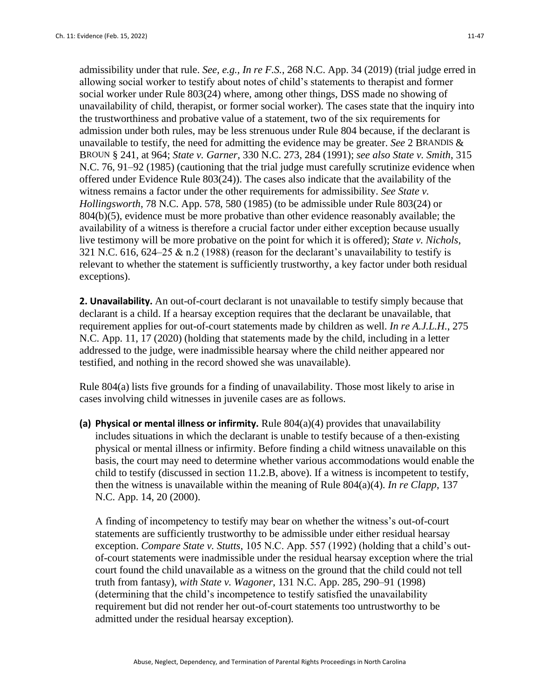admissibility under that rule. *See, e.g., In re F.S.*, 268 N.C. App. 34 (2019) (trial judge erred in allowing social worker to testify about notes of child's statements to therapist and former social worker under Rule 803(24) where, among other things, DSS made no showing of unavailability of child, therapist, or former social worker). The cases state that the inquiry into the trustworthiness and probative value of a statement, two of the six requirements for admission under both rules, may be less strenuous under Rule 804 because, if the declarant is unavailable to testify, the need for admitting the evidence may be greater. *See* 2 BRANDIS & BROUN § 241, at 964; *State v. Garner*, 330 N.C. 273, 284 (1991); *see also State v. Smith*, 315 N.C. 76, 91–92 (1985) (cautioning that the trial judge must carefully scrutinize evidence when offered under Evidence Rule 803(24)). The cases also indicate that the availability of the witness remains a factor under the other requirements for admissibility. *See State v. Hollingsworth*, 78 N.C. App. 578, 580 (1985) (to be admissible under Rule 803(24) or  $804(b)(5)$ , evidence must be more probative than other evidence reasonably available; the availability of a witness is therefore a crucial factor under either exception because usually live testimony will be more probative on the point for which it is offered); *State v. Nichols*, 321 N.C. 616, 624–25 & n.2 (1988) (reason for the declarant's unavailability to testify is relevant to whether the statement is sufficiently trustworthy, a key factor under both residual exceptions).

**2. Unavailability.** An out-of-court declarant is not unavailable to testify simply because that declarant is a child. If a hearsay exception requires that the declarant be unavailable, that requirement applies for out-of-court statements made by children as well. *In re A.J.L.H.*, 275 N.C. App. 11, 17 (2020) (holding that statements made by the child, including in a letter addressed to the judge, were inadmissible hearsay where the child neither appeared nor testified, and nothing in the record showed she was unavailable).

Rule 804(a) lists five grounds for a finding of unavailability. Those most likely to arise in cases involving child witnesses in juvenile cases are as follows.

**(a) Physical or mental illness or infirmity.** Rule 804(a)(4) provides that unavailability includes situations in which the declarant is unable to testify because of a then-existing physical or mental illness or infirmity. Before finding a child witness unavailable on this basis, the court may need to determine whether various accommodations would enable the child to testify (discussed in section 11.2.B, above). If a witness is incompetent to testify, then the witness is unavailable within the meaning of Rule 804(a)(4). *In re Clapp*, 137 N.C. App. 14, 20 (2000).

A finding of incompetency to testify may bear on whether the witness's out-of-court statements are sufficiently trustworthy to be admissible under either residual hearsay exception. *Compare State v. Stutts*, 105 N.C. App. 557 (1992) (holding that a child's outof-court statements were inadmissible under the residual hearsay exception where the trial court found the child unavailable as a witness on the ground that the child could not tell truth from fantasy), *with State v. Wagoner*, 131 N.C. App. 285, 290–91 (1998) (determining that the child's incompetence to testify satisfied the unavailability requirement but did not render her out-of-court statements too untrustworthy to be admitted under the residual hearsay exception).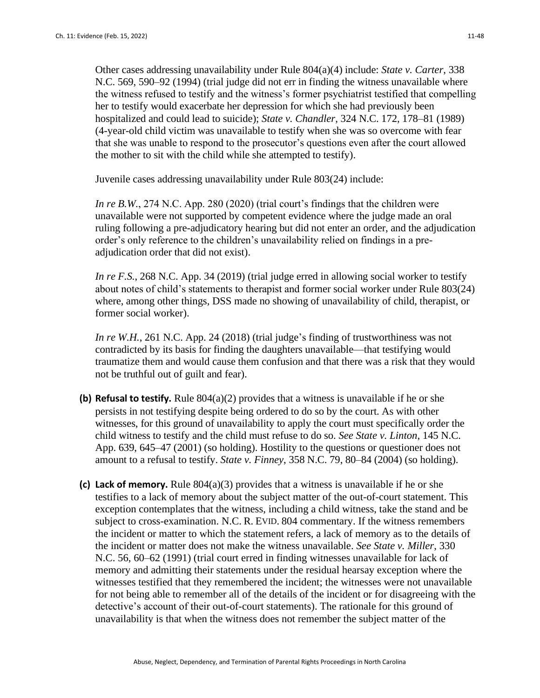Other cases addressing unavailability under Rule 804(a)(4) include: *State v. Carter*, 338 N.C. 569, 590–92 (1994) (trial judge did not err in finding the witness unavailable where the witness refused to testify and the witness's former psychiatrist testified that compelling her to testify would exacerbate her depression for which she had previously been hospitalized and could lead to suicide); *State v. Chandler*, 324 N.C. 172, 178–81 (1989) (4-year-old child victim was unavailable to testify when she was so overcome with fear that she was unable to respond to the prosecutor's questions even after the court allowed the mother to sit with the child while she attempted to testify).

Juvenile cases addressing unavailability under Rule 803(24) include:

*In re B.W.*, 274 N.C. App. 280 (2020) (trial court's findings that the children were unavailable were not supported by competent evidence where the judge made an oral ruling following a pre-adjudicatory hearing but did not enter an order, and the adjudication order's only reference to the children's unavailability relied on findings in a preadjudication order that did not exist).

*In re F.S.*, 268 N.C. App. 34 (2019) (trial judge erred in allowing social worker to testify about notes of child's statements to therapist and former social worker under Rule 803(24) where, among other things, DSS made no showing of unavailability of child, therapist, or former social worker).

*In re W.H.*, 261 N.C. App. 24 (2018) (trial judge's finding of trustworthiness was not contradicted by its basis for finding the daughters unavailable—that testifying would traumatize them and would cause them confusion and that there was a risk that they would not be truthful out of guilt and fear).

- **(b) Refusal to testify.** Rule 804(a)(2) provides that a witness is unavailable if he or she persists in not testifying despite being ordered to do so by the court. As with other witnesses, for this ground of unavailability to apply the court must specifically order the child witness to testify and the child must refuse to do so. *See State v. Linton*, 145 N.C. App. 639, 645–47 (2001) (so holding). Hostility to the questions or questioner does not amount to a refusal to testify. *State v. Finney*, 358 N.C. 79, 80–84 (2004) (so holding).
- **(c) Lack of memory.** Rule 804(a)(3) provides that a witness is unavailable if he or she testifies to a lack of memory about the subject matter of the out-of-court statement. This exception contemplates that the witness, including a child witness, take the stand and be subject to cross-examination. N.C. R. EVID. 804 commentary. If the witness remembers the incident or matter to which the statement refers, a lack of memory as to the details of the incident or matter does not make the witness unavailable. *See State v. Miller*, 330 N.C. 56, 60–62 (1991) (trial court erred in finding witnesses unavailable for lack of memory and admitting their statements under the residual hearsay exception where the witnesses testified that they remembered the incident; the witnesses were not unavailable for not being able to remember all of the details of the incident or for disagreeing with the detective's account of their out-of-court statements). The rationale for this ground of unavailability is that when the witness does not remember the subject matter of the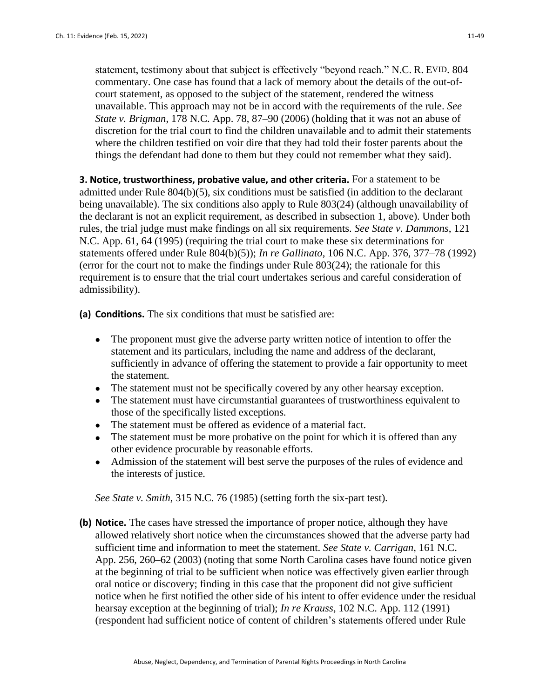statement, testimony about that subject is effectively "beyond reach." N.C. R. EVID. 804 commentary. One case has found that a lack of memory about the details of the out-ofcourt statement, as opposed to the subject of the statement, rendered the witness unavailable. This approach may not be in accord with the requirements of the rule. *See State v. Brigman*, 178 N.C. App. 78, 87–90 (2006) (holding that it was not an abuse of discretion for the trial court to find the children unavailable and to admit their statements where the children testified on voir dire that they had told their foster parents about the things the defendant had done to them but they could not remember what they said).

**3. Notice, trustworthiness, probative value, and other criteria.** For a statement to be admitted under Rule 804(b)(5), six conditions must be satisfied (in addition to the declarant being unavailable). The six conditions also apply to Rule 803(24) (although unavailability of the declarant is not an explicit requirement, as described in subsection 1, above). Under both rules, the trial judge must make findings on all six requirements. *See State v. Dammons*, 121 N.C. App. 61, 64 (1995) (requiring the trial court to make these six determinations for statements offered under Rule 804(b)(5)); *In re Gallinato*, 106 N.C. App. 376, 377–78 (1992) (error for the court not to make the findings under Rule 803(24); the rationale for this requirement is to ensure that the trial court undertakes serious and careful consideration of admissibility).

**(a) Conditions.** The six conditions that must be satisfied are:

- The proponent must give the adverse party written notice of intention to offer the statement and its particulars, including the name and address of the declarant, sufficiently in advance of offering the statement to provide a fair opportunity to meet the statement.
- The statement must not be specifically covered by any other hearsay exception.
- The statement must have circumstantial guarantees of trustworthiness equivalent to those of the specifically listed exceptions.
- The statement must be offered as evidence of a material fact.
- The statement must be more probative on the point for which it is offered than any other evidence procurable by reasonable efforts.
- Admission of the statement will best serve the purposes of the rules of evidence and the interests of justice.

*See State v. Smith*, 315 N.C. 76 (1985) (setting forth the six-part test).

**(b) Notice.** The cases have stressed the importance of proper notice, although they have allowed relatively short notice when the circumstances showed that the adverse party had sufficient time and information to meet the statement. *See State v. Carrigan*, 161 N.C. App. 256, 260–62 (2003) (noting that some North Carolina cases have found notice given at the beginning of trial to be sufficient when notice was effectively given earlier through oral notice or discovery; finding in this case that the proponent did not give sufficient notice when he first notified the other side of his intent to offer evidence under the residual hearsay exception at the beginning of trial); *In re Krauss*, 102 N.C. App. 112 (1991) (respondent had sufficient notice of content of children's statements offered under Rule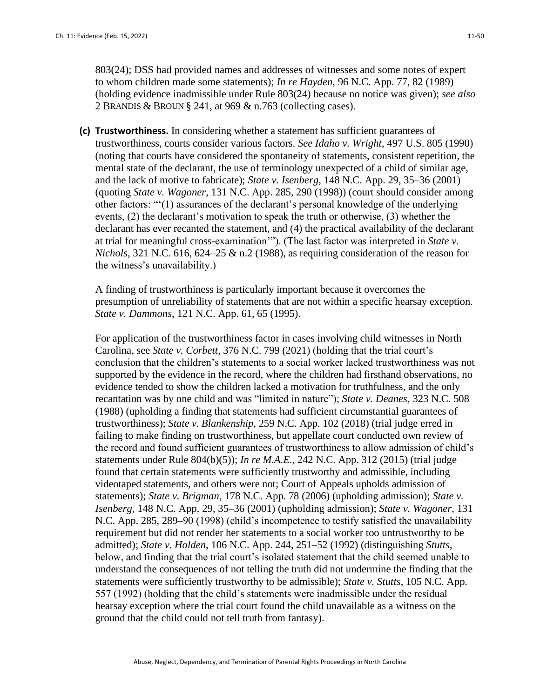803(24); DSS had provided names and addresses of witnesses and some notes of expert to whom children made some statements); *In re Hayden*, 96 N.C. App. 77, 82 (1989) (holding evidence inadmissible under Rule 803(24) because no notice was given); *see also* 2 BRANDIS & BROUN § 241, at 969 & n.763 (collecting cases).

**(c) Trustworthiness.** In considering whether a statement has sufficient guarantees of trustworthiness, courts consider various factors. *See Idaho v. Wright*, 497 U.S. 805 (1990) (noting that courts have considered the spontaneity of statements, consistent repetition, the mental state of the declarant, the use of terminology unexpected of a child of similar age, and the lack of motive to fabricate); *State v. Isenberg*, 148 N.C. App. 29, 35–36 (2001) (quoting *State v. Wagoner*, 131 N.C. App. 285, 290 (1998)) (court should consider among other factors: "'(1) assurances of the declarant's personal knowledge of the underlying events, (2) the declarant's motivation to speak the truth or otherwise, (3) whether the declarant has ever recanted the statement, and (4) the practical availability of the declarant at trial for meaningful cross-examination'"). (The last factor was interpreted in *State v. Nichols*, 321 N.C. 616, 624–25 & n.2 (1988), as requiring consideration of the reason for the witness's unavailability.)

A finding of trustworthiness is particularly important because it overcomes the presumption of unreliability of statements that are not within a specific hearsay exception. *State v. Dammons*, 121 N.C. App. 61, 65 (1995).

For application of the trustworthiness factor in cases involving child witnesses in North Carolina, see *State v. Corbett*, 376 N.C. 799 (2021) (holding that the trial court's conclusion that the children's statements to a social worker lacked trustworthiness was not supported by the evidence in the record, where the children had firsthand observations, no evidence tended to show the children lacked a motivation for truthfulness, and the only recantation was by one child and was "limited in nature"); *State v. Deanes*, 323 N.C. 508 (1988) (upholding a finding that statements had sufficient circumstantial guarantees of trustworthiness); *State v. Blankenship*, 259 N.C. App. 102 (2018) (trial judge erred in failing to make finding on trustworthiness, but appellate court conducted own review of the record and found sufficient guarantees of trustworthiness to allow admission of child's statements under Rule 804(b)(5)); *In re M.A.E.*, 242 N.C. App. 312 (2015) (trial judge found that certain statements were sufficiently trustworthy and admissible, including videotaped statements, and others were not; Court of Appeals upholds admission of statements); *State v. Brigman*, 178 N.C. App. 78 (2006) (upholding admission); *State v. Isenberg*, 148 N.C. App. 29, 35–36 (2001) (upholding admission); *State v. Wagoner*, 131 N.C. App. 285, 289–90 (1998) (child's incompetence to testify satisfied the unavailability requirement but did not render her statements to a social worker too untrustworthy to be admitted); *State v. Holden*, 106 N.C. App. 244, 251–52 (1992) (distinguishing *Stutts*, below, and finding that the trial court's isolated statement that the child seemed unable to understand the consequences of not telling the truth did not undermine the finding that the statements were sufficiently trustworthy to be admissible); *State v. Stutts*, 105 N.C. App. 557 (1992) (holding that the child's statements were inadmissible under the residual hearsay exception where the trial court found the child unavailable as a witness on the ground that the child could not tell truth from fantasy).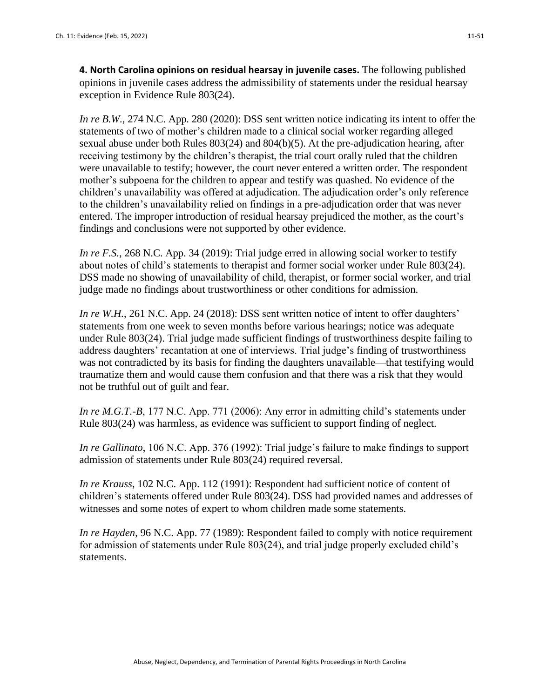**4. North Carolina opinions on residual hearsay in juvenile cases.** The following published opinions in juvenile cases address the admissibility of statements under the residual hearsay exception in Evidence Rule 803(24).

*In re B.W.*, 274 N.C. App. 280 (2020): DSS sent written notice indicating its intent to offer the statements of two of mother's children made to a clinical social worker regarding alleged sexual abuse under both Rules 803(24) and 804(b)(5). At the pre-adjudication hearing, after receiving testimony by the children's therapist, the trial court orally ruled that the children were unavailable to testify; however, the court never entered a written order. The respondent mother's subpoena for the children to appear and testify was quashed. No evidence of the children's unavailability was offered at adjudication. The adjudication order's only reference to the children's unavailability relied on findings in a pre-adjudication order that was never entered. The improper introduction of residual hearsay prejudiced the mother, as the court's findings and conclusions were not supported by other evidence.

*In re F.S.*, 268 N.C. App. 34 (2019): Trial judge erred in allowing social worker to testify about notes of child's statements to therapist and former social worker under Rule 803(24). DSS made no showing of unavailability of child, therapist, or former social worker, and trial judge made no findings about trustworthiness or other conditions for admission.

*In re W.H.*, 261 N.C. App. 24 (2018): DSS sent written notice of intent to offer daughters' statements from one week to seven months before various hearings; notice was adequate under Rule 803(24). Trial judge made sufficient findings of trustworthiness despite failing to address daughters' recantation at one of interviews. Trial judge's finding of trustworthiness was not contradicted by its basis for finding the daughters unavailable—that testifying would traumatize them and would cause them confusion and that there was a risk that they would not be truthful out of guilt and fear.

*In re M.G.T.-B*, 177 N.C. App. 771 (2006): Any error in admitting child's statements under Rule 803(24) was harmless, as evidence was sufficient to support finding of neglect.

*In re Gallinato*, 106 N.C. App. 376 (1992): Trial judge's failure to make findings to support admission of statements under Rule 803(24) required reversal.

*In re Krauss*, 102 N.C. App. 112 (1991): Respondent had sufficient notice of content of children's statements offered under Rule 803(24). DSS had provided names and addresses of witnesses and some notes of expert to whom children made some statements.

*In re Hayden*, 96 N.C. App. 77 (1989): Respondent failed to comply with notice requirement for admission of statements under Rule 803(24), and trial judge properly excluded child's statements.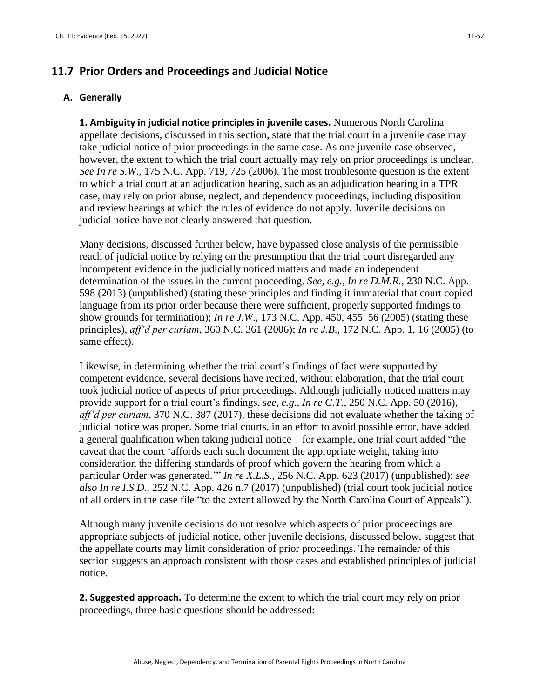# **11.7 Prior Orders and Proceedings and Judicial Notice**

#### **A. Generally**

**1. Ambiguity in judicial notice principles in juvenile cases.** Numerous North Carolina appellate decisions, discussed in this section, state that the trial court in a juvenile case may take judicial notice of prior proceedings in the same case. As one juvenile case observed, however, the extent to which the trial court actually may rely on prior proceedings is unclear. *See In re S.W*., 175 N.C. App. 719, 725 (2006). The most troublesome question is the extent to which a trial court at an adjudication hearing, such as an adjudication hearing in a TPR case, may rely on prior abuse, neglect, and dependency proceedings, including disposition and review hearings at which the rules of evidence do not apply. Juvenile decisions on judicial notice have not clearly answered that question.

Many decisions, discussed further below, have bypassed close analysis of the permissible reach of judicial notice by relying on the presumption that the trial court disregarded any incompetent evidence in the judicially noticed matters and made an independent determination of the issues in the current proceeding. *See, e.g., In re D.M.R.*, 230 N.C. App. 598 (2013) (unpublished) (stating these principles and finding it immaterial that court copied language from its prior order because there were sufficient, properly supported findings to show grounds for termination); *In re J.W*., 173 N.C. App. 450, 455–56 (2005) (stating these principles), *aff'd per curiam*, 360 N.C. 361 (2006); *In re J.B*., 172 N.C. App. 1, 16 (2005) (to same effect).

Likewise, in determining whether the trial court's findings of fact were supported by competent evidence, several decisions have recited, without elaboration, that the trial court took judicial notice of aspects of prior proceedings. Although judicially noticed matters may provide support for a trial court's findings, *see, e.g., In re G.T.*, 250 N.C. App. 50 (2016), *aff'd per curiam*, 370 N.C. 387 (2017), these decisions did not evaluate whether the taking of judicial notice was proper. Some trial courts, in an effort to avoid possible error, have added a general qualification when taking judicial notice—for example, one trial court added "the caveat that the court 'affords each such document the appropriate weight, taking into consideration the differing standards of proof which govern the hearing from which a particular Order was generated.'" *In re X.L.S.,* 256 N.C. App. 623 (2017) (unpublished); *see also In re I.S.D.*, 252 N.C. App. 426 n.7 (2017) (unpublished) (trial court took judicial notice of all orders in the case file "to the extent allowed by the North Carolina Court of Appeals").

Although many juvenile decisions do not resolve which aspects of prior proceedings are appropriate subjects of judicial notice, other juvenile decisions, discussed below, suggest that the appellate courts may limit consideration of prior proceedings. The remainder of this section suggests an approach consistent with those cases and established principles of judicial notice.

**2. Suggested approach.** To determine the extent to which the trial court may rely on prior proceedings, three basic questions should be addressed: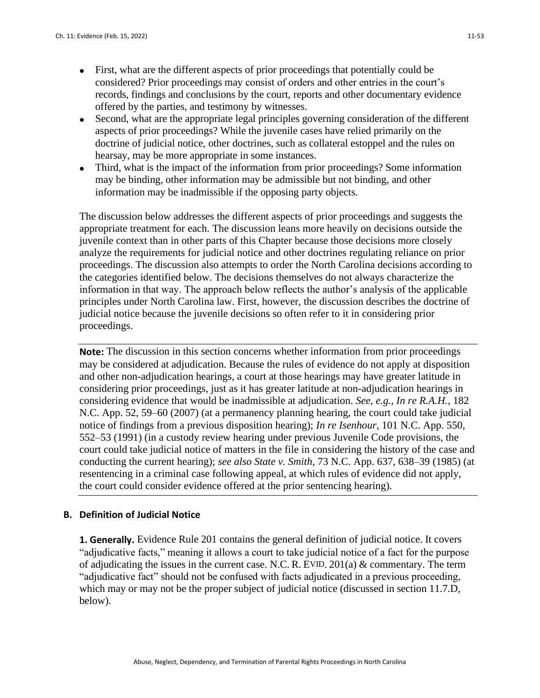- First, what are the different aspects of prior proceedings that potentially could be considered? Prior proceedings may consist of orders and other entries in the court's records, findings and conclusions by the court, reports and other documentary evidence offered by the parties, and testimony by witnesses.
- Second, what are the appropriate legal principles governing consideration of the different aspects of prior proceedings? While the juvenile cases have relied primarily on the doctrine of judicial notice, other doctrines, such as collateral estoppel and the rules on hearsay, may be more appropriate in some instances.
- Third, what is the impact of the information from prior proceedings? Some information may be binding, other information may be admissible but not binding, and other information may be inadmissible if the opposing party objects.

The discussion below addresses the different aspects of prior proceedings and suggests the appropriate treatment for each. The discussion leans more heavily on decisions outside the juvenile context than in other parts of this Chapter because those decisions more closely analyze the requirements for judicial notice and other doctrines regulating reliance on prior proceedings. The discussion also attempts to order the North Carolina decisions according to the categories identified below. The decisions themselves do not always characterize the information in that way. The approach below reflects the author's analysis of the applicable principles under North Carolina law. First, however, the discussion describes the doctrine of judicial notice because the juvenile decisions so often refer to it in considering prior proceedings.

**Note:** The discussion in this section concerns whether information from prior proceedings may be considered at adjudication. Because the rules of evidence do not apply at disposition and other non-adjudication hearings, a court at those hearings may have greater latitude in considering prior proceedings, just as it has greater latitude at non-adjudication hearings in considering evidence that would be inadmissible at adjudication. *See, e.g., In re R.A.H.*, 182 N.C. App. 52, 59–60 (2007) (at a permanency planning hearing, the court could take judicial notice of findings from a previous disposition hearing); *In re Isenhour*, 101 N.C. App. 550, 552–53 (1991) (in a custody review hearing under previous Juvenile Code provisions, the court could take judicial notice of matters in the file in considering the history of the case and conducting the current hearing); *see also State v. Smith*, 73 N.C. App. 637, 638–39 (1985) (at resentencing in a criminal case following appeal, at which rules of evidence did not apply, the court could consider evidence offered at the prior sentencing hearing).

#### **B. Definition of Judicial Notice**

**1. Generally.** Evidence Rule 201 contains the general definition of judicial notice. It covers "adjudicative facts," meaning it allows a court to take judicial notice of a fact for the purpose of adjudicating the issues in the current case. N.C. R. EVID.  $201(a)$  & commentary. The term "adjudicative fact" should not be confused with facts adjudicated in a previous proceeding, which may or may not be the proper subject of judicial notice (discussed in section 11.7.D, below).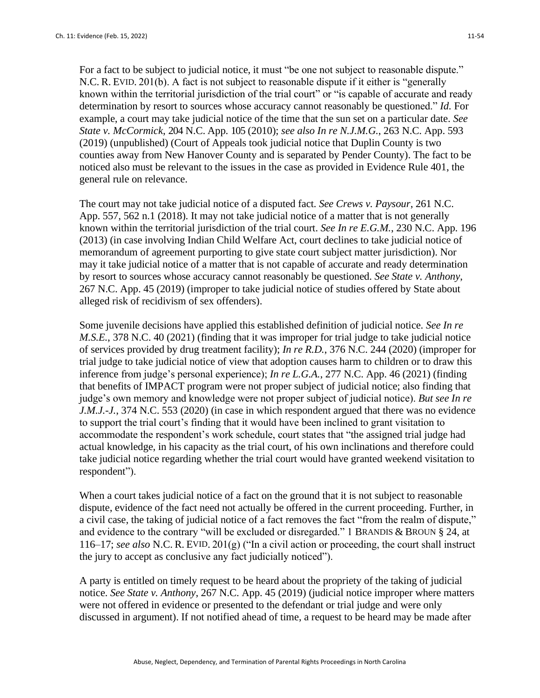For a fact to be subject to judicial notice, it must "be one not subject to reasonable dispute." N.C. R. EVID. 201(b). A fact is not subject to reasonable dispute if it either is "generally known within the territorial jurisdiction of the trial court" or "is capable of accurate and ready determination by resort to sources whose accuracy cannot reasonably be questioned." *Id.* For example, a court may take judicial notice of the time that the sun set on a particular date. *See State v. McCormick*, 204 N.C. App. 105 (2010); *see also In re N.J.M.G.*, 263 N.C. App. 593 (2019) (unpublished) (Court of Appeals took judicial notice that Duplin County is two counties away from New Hanover County and is separated by Pender County). The fact to be noticed also must be relevant to the issues in the case as provided in Evidence Rule 401, the general rule on relevance.

The court may not take judicial notice of a disputed fact. *See Crews v. Paysour*, 261 N.C. App. 557, 562 n.1 (2018). It may not take judicial notice of a matter that is not generally known within the territorial jurisdiction of the trial court. *See In re E.G.M.*, 230 N.C. App. 196 (2013) (in case involving Indian Child Welfare Act, court declines to take judicial notice of memorandum of agreement purporting to give state court subject matter jurisdiction). Nor may it take judicial notice of a matter that is not capable of accurate and ready determination by resort to sources whose accuracy cannot reasonably be questioned. *See State v. Anthony*, 267 N.C. App. 45 (2019) (improper to take judicial notice of studies offered by State about alleged risk of recidivism of sex offenders).

Some juvenile decisions have applied this established definition of judicial notice. *See In re M.S.E.*, 378 N.C. 40 (2021) (finding that it was improper for trial judge to take judicial notice of services provided by drug treatment facility); *In re R.D.*, 376 N.C. 244 (2020) (improper for trial judge to take judicial notice of view that adoption causes harm to children or to draw this inference from judge's personal experience); *In re L.G.A.*, 277 N.C. App. 46 (2021) (finding that benefits of IMPACT program were not proper subject of judicial notice; also finding that judge's own memory and knowledge were not proper subject of judicial notice). *But see In re J.M.J.-J.*, 374 N.C. 553 (2020) (in case in which respondent argued that there was no evidence to support the trial court's finding that it would have been inclined to grant visitation to accommodate the respondent's work schedule, court states that "the assigned trial judge had actual knowledge, in his capacity as the trial court, of his own inclinations and therefore could take judicial notice regarding whether the trial court would have granted weekend visitation to respondent").

When a court takes judicial notice of a fact on the ground that it is not subject to reasonable dispute, evidence of the fact need not actually be offered in the current proceeding. Further, in a civil case, the taking of judicial notice of a fact removes the fact "from the realm of dispute," and evidence to the contrary "will be excluded or disregarded." 1 BRANDIS & BROUN § 24, at 116–17; *see also* N.C. R. EVID. 201(g) ("In a civil action or proceeding, the court shall instruct the jury to accept as conclusive any fact judicially noticed").

A party is entitled on timely request to be heard about the propriety of the taking of judicial notice. *See State v. Anthony*, 267 N.C. App. 45 (2019) (judicial notice improper where matters were not offered in evidence or presented to the defendant or trial judge and were only discussed in argument). If not notified ahead of time, a request to be heard may be made after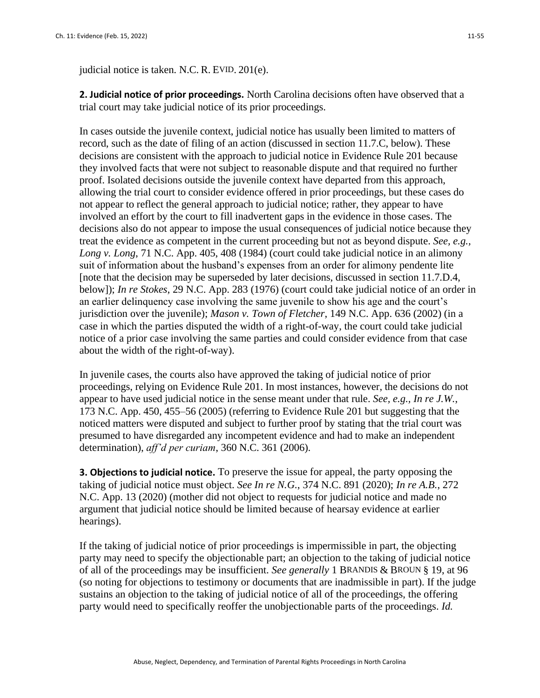judicial notice is taken. N.C. R. EVID. 201(e).

**2. Judicial notice of prior proceedings.** North Carolina decisions often have observed that a trial court may take judicial notice of its prior proceedings.

In cases outside the juvenile context, judicial notice has usually been limited to matters of record, such as the date of filing of an action (discussed in section 11.7.C, below). These decisions are consistent with the approach to judicial notice in Evidence Rule 201 because they involved facts that were not subject to reasonable dispute and that required no further proof. Isolated decisions outside the juvenile context have departed from this approach, allowing the trial court to consider evidence offered in prior proceedings, but these cases do not appear to reflect the general approach to judicial notice; rather, they appear to have involved an effort by the court to fill inadvertent gaps in the evidence in those cases. The decisions also do not appear to impose the usual consequences of judicial notice because they treat the evidence as competent in the current proceeding but not as beyond dispute. *See, e.g., Long v. Long*, 71 N.C. App. 405, 408 (1984) (court could take judicial notice in an alimony suit of information about the husband's expenses from an order for alimony pendente lite [note that the decision may be superseded by later decisions, discussed in section 11.7.D.4, below]); *In re Stokes*, 29 N.C. App. 283 (1976) (court could take judicial notice of an order in an earlier delinquency case involving the same juvenile to show his age and the court's jurisdiction over the juvenile); *Mason v. Town of Fletcher*, 149 N.C. App. 636 (2002) (in a case in which the parties disputed the width of a right-of-way, the court could take judicial notice of a prior case involving the same parties and could consider evidence from that case about the width of the right-of-way).

In juvenile cases, the courts also have approved the taking of judicial notice of prior proceedings, relying on Evidence Rule 201. In most instances, however, the decisions do not appear to have used judicial notice in the sense meant under that rule. *See, e.g., In re J.W.*, 173 N.C. App. 450, 455–56 (2005) (referring to Evidence Rule 201 but suggesting that the noticed matters were disputed and subject to further proof by stating that the trial court was presumed to have disregarded any incompetent evidence and had to make an independent determination), *aff'd per curiam*, 360 N.C. 361 (2006).

**3. Objections to judicial notice.** To preserve the issue for appeal, the party opposing the taking of judicial notice must object. *See In re N.G.*, 374 N.C. 891 (2020); *In re A.B.*, 272 N.C. App. 13 (2020) (mother did not object to requests for judicial notice and made no argument that judicial notice should be limited because of hearsay evidence at earlier hearings).

If the taking of judicial notice of prior proceedings is impermissible in part, the objecting party may need to specify the objectionable part; an objection to the taking of judicial notice of all of the proceedings may be insufficient. *See generally* 1 BRANDIS & BROUN § 19, at 96 (so noting for objections to testimony or documents that are inadmissible in part). If the judge sustains an objection to the taking of judicial notice of all of the proceedings, the offering party would need to specifically reoffer the unobjectionable parts of the proceedings. *Id.*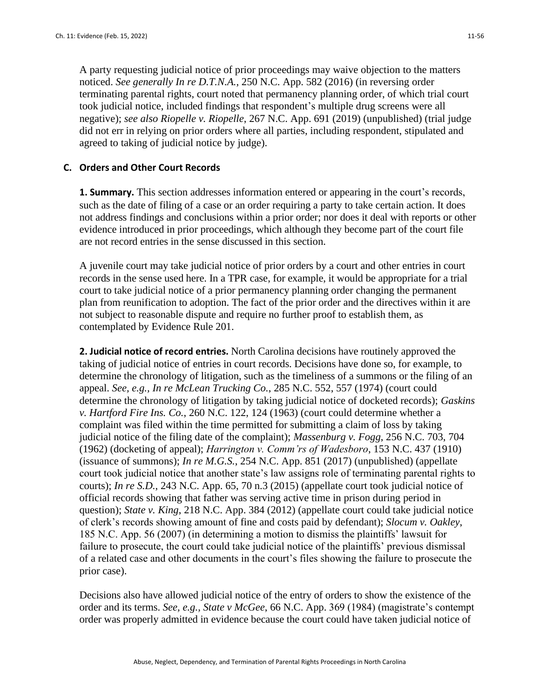A party requesting judicial notice of prior proceedings may waive objection to the matters noticed. *See generally In re D.T.N.A.*, 250 N.C. App. 582 (2016) (in reversing order terminating parental rights, court noted that permanency planning order, of which trial court took judicial notice, included findings that respondent's multiple drug screens were all negative); *see also Riopelle v. Riopelle*, 267 N.C. App. 691 (2019) (unpublished) (trial judge did not err in relying on prior orders where all parties, including respondent, stipulated and agreed to taking of judicial notice by judge).

#### **C. Orders and Other Court Records**

**1. Summary.** This section addresses information entered or appearing in the court's records, such as the date of filing of a case or an order requiring a party to take certain action. It does not address findings and conclusions within a prior order; nor does it deal with reports or other evidence introduced in prior proceedings, which although they become part of the court file are not record entries in the sense discussed in this section.

A juvenile court may take judicial notice of prior orders by a court and other entries in court records in the sense used here. In a TPR case, for example, it would be appropriate for a trial court to take judicial notice of a prior permanency planning order changing the permanent plan from reunification to adoption. The fact of the prior order and the directives within it are not subject to reasonable dispute and require no further proof to establish them, as contemplated by Evidence Rule 201.

**2. Judicial notice of record entries.** North Carolina decisions have routinely approved the taking of judicial notice of entries in court records. Decisions have done so, for example, to determine the chronology of litigation, such as the timeliness of a summons or the filing of an appeal. *See, e.g., In re McLean Trucking Co.*, 285 N.C. 552, 557 (1974) (court could determine the chronology of litigation by taking judicial notice of docketed records); *Gaskins v. Hartford Fire Ins. Co.*, 260 N.C. 122, 124 (1963) (court could determine whether a complaint was filed within the time permitted for submitting a claim of loss by taking judicial notice of the filing date of the complaint); *Massenburg v. Fogg*, 256 N.C. 703, 704 (1962) (docketing of appeal); *Harrington v. Comm'rs of Wadesboro*, 153 N.C. 437 (1910) (issuance of summons); *In re M.G.S.*, 254 N.C. App. 851 (2017) (unpublished) (appellate court took judicial notice that another state's law assigns role of terminating parental rights to courts); *In re S.D.*, 243 N.C. App. 65, 70 n.3 (2015) (appellate court took judicial notice of official records showing that father was serving active time in prison during period in question); *State v. King*, 218 N.C. App. 384 (2012) (appellate court could take judicial notice of clerk's records showing amount of fine and costs paid by defendant); *Slocum v. Oakley*, 185 N.C. App. 56 (2007) (in determining a motion to dismiss the plaintiffs' lawsuit for failure to prosecute, the court could take judicial notice of the plaintiffs' previous dismissal of a related case and other documents in the court's files showing the failure to prosecute the prior case).

Decisions also have allowed judicial notice of the entry of orders to show the existence of the order and its terms. *See, e.g., State v McGee*, 66 N.C. App. 369 (1984) (magistrate's contempt order was properly admitted in evidence because the court could have taken judicial notice of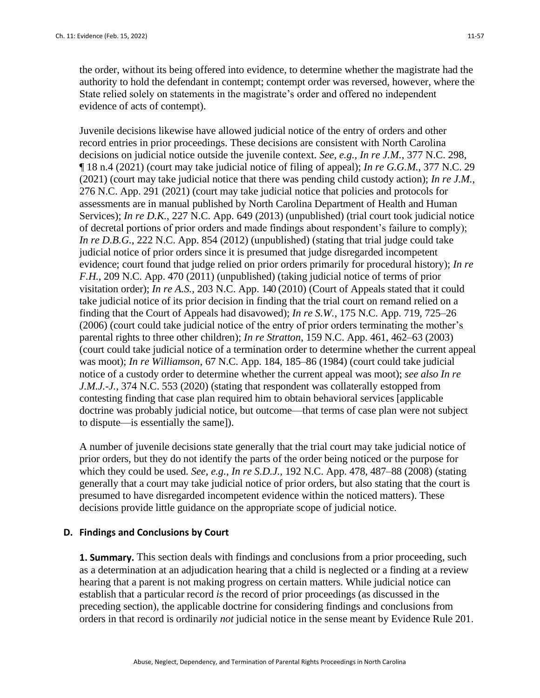the order, without its being offered into evidence, to determine whether the magistrate had the authority to hold the defendant in contempt; contempt order was reversed, however, where the State relied solely on statements in the magistrate's order and offered no independent evidence of acts of contempt).

Juvenile decisions likewise have allowed judicial notice of the entry of orders and other record entries in prior proceedings. These decisions are consistent with North Carolina decisions on judicial notice outside the juvenile context. *See, e.g., In re J.M.*, 377 N.C. 298, ¶ 18 n.4 (2021) (court may take judicial notice of filing of appeal); *In re G.G.M.*, 377 N.C. 29 (2021) (court may take judicial notice that there was pending child custody action); *In re J.M.*, 276 N.C. App. 291 (2021) (court may take judicial notice that policies and protocols for assessments are in manual published by North Carolina Department of Health and Human Services); *In re D.K.*, 227 N.C. App. 649 (2013) (unpublished) (trial court took judicial notice of decretal portions of prior orders and made findings about respondent's failure to comply); *In re D.B.G.*, 222 N.C. App. 854 (2012) (unpublished) (stating that trial judge could take judicial notice of prior orders since it is presumed that judge disregarded incompetent evidence; court found that judge relied on prior orders primarily for procedural history); *In re F.H.*, 209 N.C. App. 470 (2011) (unpublished) (taking judicial notice of terms of prior visitation order); *In re A.S.*, 203 N.C. App. 140 (2010) (Court of Appeals stated that it could take judicial notice of its prior decision in finding that the trial court on remand relied on a finding that the Court of Appeals had disavowed); *In re S.W.*, 175 N.C. App. 719, 725–26 (2006) (court could take judicial notice of the entry of prior orders terminating the mother's parental rights to three other children); *In re Stratton*, 159 N.C. App. 461, 462–63 (2003) (court could take judicial notice of a termination order to determine whether the current appeal was moot); *In re Williamson*, 67 N.C. App. 184, 185–86 (1984) (court could take judicial notice of a custody order to determine whether the current appeal was moot); *see also In re J.M.J.-J.*, 374 N.C. 553 (2020) (stating that respondent was collaterally estopped from contesting finding that case plan required him to obtain behavioral services [applicable doctrine was probably judicial notice, but outcome—that terms of case plan were not subject to dispute—is essentially the same]).

A number of juvenile decisions state generally that the trial court may take judicial notice of prior orders, but they do not identify the parts of the order being noticed or the purpose for which they could be used. *See, e.g., In re S.D.J.*, 192 N.C. App. 478, 487–88 (2008) (stating generally that a court may take judicial notice of prior orders, but also stating that the court is presumed to have disregarded incompetent evidence within the noticed matters). These decisions provide little guidance on the appropriate scope of judicial notice.

#### **D. Findings and Conclusions by Court**

**1. Summary.** This section deals with findings and conclusions from a prior proceeding, such as a determination at an adjudication hearing that a child is neglected or a finding at a review hearing that a parent is not making progress on certain matters. While judicial notice can establish that a particular record *is* the record of prior proceedings (as discussed in the preceding section), the applicable doctrine for considering findings and conclusions from orders in that record is ordinarily *not* judicial notice in the sense meant by Evidence Rule 201.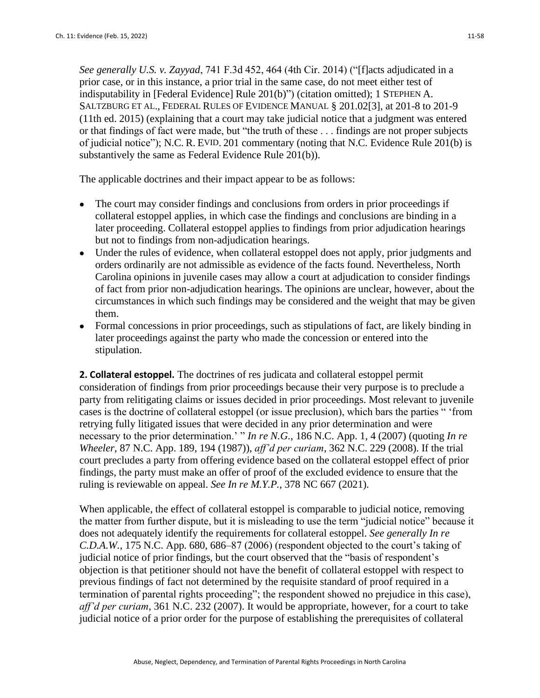*See generally U.S. v. Zayyad*, 741 F.3d 452, 464 (4th Cir. 2014) ("[f]acts adjudicated in a prior case, or in this instance, a prior trial in the same case, do not meet either test of indisputability in [Federal Evidence] Rule 201(b)") (citation omitted); 1 STEPHEN A. SALTZBURG ET AL., FEDERAL RULES OF EVIDENCE MANUAL § 201.02[3], at 201-8 to 201-9 (11th ed. 2015) (explaining that a court may take judicial notice that a judgment was entered or that findings of fact were made, but "the truth of these . . . findings are not proper subjects of judicial notice"); N.C. R. EVID. 201 commentary (noting that N.C. Evidence Rule 201(b) is substantively the same as Federal Evidence Rule 201(b)).

The applicable doctrines and their impact appear to be as follows:

- The court may consider findings and conclusions from orders in prior proceedings if collateral estoppel applies, in which case the findings and conclusions are binding in a later proceeding. Collateral estoppel applies to findings from prior adjudication hearings but not to findings from non-adjudication hearings.
- Under the rules of evidence, when collateral estoppel does not apply, prior judgments and orders ordinarily are not admissible as evidence of the facts found. Nevertheless, North Carolina opinions in juvenile cases may allow a court at adjudication to consider findings of fact from prior non-adjudication hearings. The opinions are unclear, however, about the circumstances in which such findings may be considered and the weight that may be given them.
- Formal concessions in prior proceedings, such as stipulations of fact, are likely binding in later proceedings against the party who made the concession or entered into the stipulation.

**2. Collateral estoppel.** The doctrines of res judicata and collateral estoppel permit consideration of findings from prior proceedings because their very purpose is to preclude a party from relitigating claims or issues decided in prior proceedings. Most relevant to juvenile cases is the doctrine of collateral estoppel (or issue preclusion), which bars the parties " 'from retrying fully litigated issues that were decided in any prior determination and were necessary to the prior determination.' " *In re N.G.*, 186 N.C. App. 1, 4 (2007) (quoting *In re Wheeler*, 87 N.C. App. 189, 194 (1987)), *aff'd per curiam*, 362 N.C. 229 (2008). If the trial court precludes a party from offering evidence based on the collateral estoppel effect of prior findings, the party must make an offer of proof of the excluded evidence to ensure that the ruling is reviewable on appeal. *See In re M.Y.P.*, 378 NC 667 (2021).

When applicable, the effect of collateral estoppel is comparable to judicial notice, removing the matter from further dispute, but it is misleading to use the term "judicial notice" because it does not adequately identify the requirements for collateral estoppel. *See generally In re C.D.A.W.*, 175 N.C. App. 680, 686–87 (2006) (respondent objected to the court's taking of judicial notice of prior findings, but the court observed that the "basis of respondent's objection is that petitioner should not have the benefit of collateral estoppel with respect to previous findings of fact not determined by the requisite standard of proof required in a termination of parental rights proceeding"; the respondent showed no prejudice in this case), *aff'd per curiam*, 361 N.C. 232 (2007). It would be appropriate, however, for a court to take judicial notice of a prior order for the purpose of establishing the prerequisites of collateral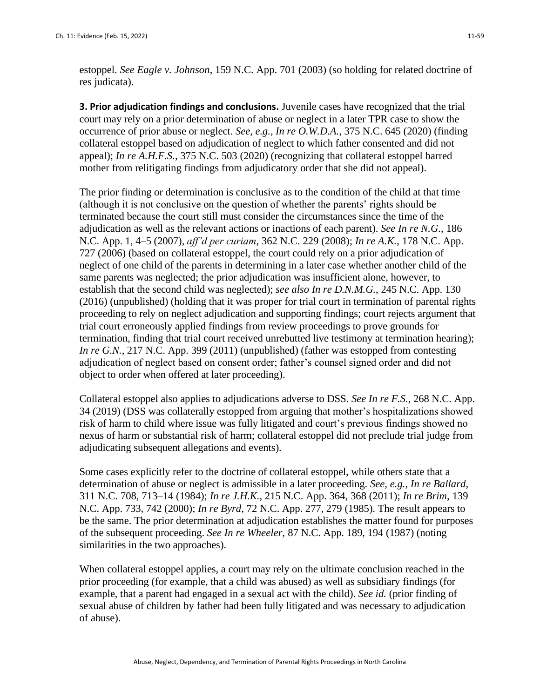estoppel. *See Eagle v. Johnson*, 159 N.C. App. 701 (2003) (so holding for related doctrine of res judicata).

**3. Prior adjudication findings and conclusions.** Juvenile cases have recognized that the trial court may rely on a prior determination of abuse or neglect in a later TPR case to show the occurrence of prior abuse or neglect. *See, e.g., In re O.W.D.A.*, 375 N.C. 645 (2020) (finding collateral estoppel based on adjudication of neglect to which father consented and did not appeal); *In re A.H.F.S.*, 375 N.C. 503 (2020) (recognizing that collateral estoppel barred mother from relitigating findings from adjudicatory order that she did not appeal).

The prior finding or determination is conclusive as to the condition of the child at that time (although it is not conclusive on the question of whether the parents' rights should be terminated because the court still must consider the circumstances since the time of the adjudication as well as the relevant actions or inactions of each parent). *See In re N.G.*, 186 N.C. App. 1, 4–5 (2007), *aff'd per curiam*, 362 N.C. 229 (2008); *In re A.K.*, 178 N.C. App. 727 (2006) (based on collateral estoppel, the court could rely on a prior adjudication of neglect of one child of the parents in determining in a later case whether another child of the same parents was neglected; the prior adjudication was insufficient alone, however, to establish that the second child was neglected); *see also In re D.N.M.G.*, 245 N.C. App. 130 (2016) (unpublished) (holding that it was proper for trial court in termination of parental rights proceeding to rely on neglect adjudication and supporting findings; court rejects argument that trial court erroneously applied findings from review proceedings to prove grounds for termination, finding that trial court received unrebutted live testimony at termination hearing); *In re G.N.*, 217 N.C. App. 399 (2011) (unpublished) (father was estopped from contesting adjudication of neglect based on consent order; father's counsel signed order and did not object to order when offered at later proceeding).

Collateral estoppel also applies to adjudications adverse to DSS. *See In re F.S.*, 268 N.C. App. 34 (2019) (DSS was collaterally estopped from arguing that mother's hospitalizations showed risk of harm to child where issue was fully litigated and court's previous findings showed no nexus of harm or substantial risk of harm; collateral estoppel did not preclude trial judge from adjudicating subsequent allegations and events).

Some cases explicitly refer to the doctrine of collateral estoppel, while others state that a determination of abuse or neglect is admissible in a later proceeding. *See, e.g., In re Ballard*, 311 N.C. 708, 713–14 (1984); *In re J.H.K.*, 215 N.C. App. 364, 368 (2011); *In re Brim*, 139 N.C. App. 733, 742 (2000); *In re Byrd*, 72 N.C. App. 277, 279 (1985). The result appears to be the same. The prior determination at adjudication establishes the matter found for purposes of the subsequent proceeding. *See In re Wheeler*, 87 N.C. App. 189, 194 (1987) (noting similarities in the two approaches).

When collateral estoppel applies, a court may rely on the ultimate conclusion reached in the prior proceeding (for example, that a child was abused) as well as subsidiary findings (for example, that a parent had engaged in a sexual act with the child). *See id.* (prior finding of sexual abuse of children by father had been fully litigated and was necessary to adjudication of abuse).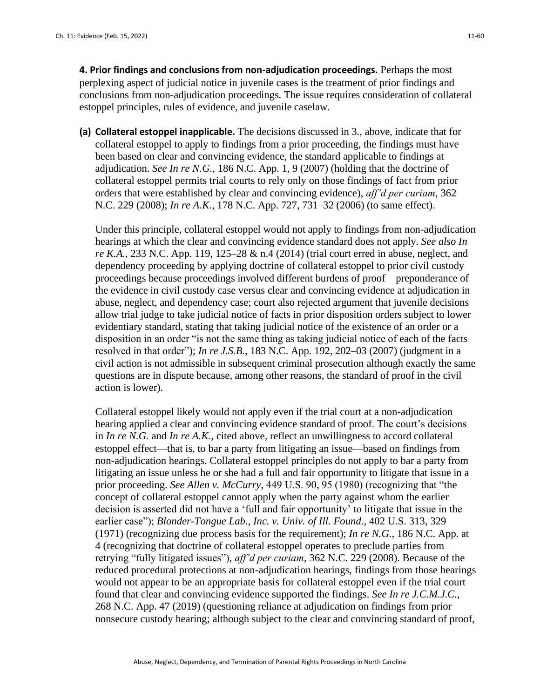**4. Prior findings and conclusions from non-adjudication proceedings.** Perhaps the most perplexing aspect of judicial notice in juvenile cases is the treatment of prior findings and conclusions from non-adjudication proceedings. The issue requires consideration of collateral estoppel principles, rules of evidence, and juvenile caselaw.

**(a) Collateral estoppel inapplicable.** The decisions discussed in 3., above, indicate that for collateral estoppel to apply to findings from a prior proceeding, the findings must have been based on clear and convincing evidence, the standard applicable to findings at adjudication. *See In re N.G.*, 186 N.C. App. 1, 9 (2007) (holding that the doctrine of collateral estoppel permits trial courts to rely only on those findings of fact from prior orders that were established by clear and convincing evidence), *aff'd per curiam*, 362 N.C. 229 (2008); *In re A.K.*, 178 N.C. App. 727, 731–32 (2006) (to same effect).

Under this principle, collateral estoppel would not apply to findings from non-adjudication hearings at which the clear and convincing evidence standard does not apply. *See also In re K.A.*, 233 N.C. App. 119, 125–28 & n.4 (2014) (trial court erred in abuse, neglect, and dependency proceeding by applying doctrine of collateral estoppel to prior civil custody proceedings because proceedings involved different burdens of proof—preponderance of the evidence in civil custody case versus clear and convincing evidence at adjudication in abuse, neglect, and dependency case; court also rejected argument that juvenile decisions allow trial judge to take judicial notice of facts in prior disposition orders subject to lower evidentiary standard, stating that taking judicial notice of the existence of an order or a disposition in an order "is not the same thing as taking judicial notice of each of the facts resolved in that order"); *In re J.S.B.*, 183 N.C. App. 192, 202–03 (2007) (judgment in a civil action is not admissible in subsequent criminal prosecution although exactly the same questions are in dispute because, among other reasons, the standard of proof in the civil action is lower).

Collateral estoppel likely would not apply even if the trial court at a non-adjudication hearing applied a clear and convincing evidence standard of proof. The court's decisions in *In re N.G.* and *In re A.K.,* cited above*,* reflect an unwillingness to accord collateral estoppel effect—that is, to bar a party from litigating an issue—based on findings from non-adjudication hearings. Collateral estoppel principles do not apply to bar a party from litigating an issue unless he or she had a full and fair opportunity to litigate that issue in a prior proceeding. *See Allen v. McCurry*, 449 U.S. 90, 95 (1980) (recognizing that "the concept of collateral estoppel cannot apply when the party against whom the earlier decision is asserted did not have a 'full and fair opportunity' to litigate that issue in the earlier case"); *Blonder-Tongue Lab., Inc. v. Univ. of Ill. Found.*, 402 U.S. 313, 329 (1971) (recognizing due process basis for the requirement); *In re N.G.*, 186 N.C. App. at 4 (recognizing that doctrine of collateral estoppel operates to preclude parties from retrying "fully litigated issues"), *aff'd per curiam*, 362 N.C. 229 (2008). Because of the reduced procedural protections at non-adjudication hearings, findings from those hearings would not appear to be an appropriate basis for collateral estoppel even if the trial court found that clear and convincing evidence supported the findings. *See In re J.C.M.J.C.*, 268 N.C. App. 47 (2019) (questioning reliance at adjudication on findings from prior nonsecure custody hearing; although subject to the clear and convincing standard of proof,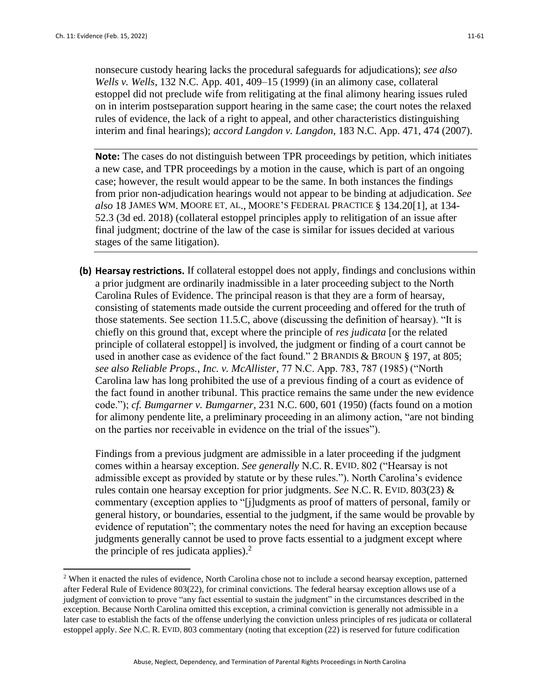nonsecure custody hearing lacks the procedural safeguards for adjudications); *see also Wells v. Wells*, 132 N.C. App. 401, 409–15 (1999) (in an alimony case, collateral estoppel did not preclude wife from relitigating at the final alimony hearing issues ruled on in interim postseparation support hearing in the same case; the court notes the relaxed rules of evidence, the lack of a right to appeal, and other characteristics distinguishing interim and final hearings); *accord Langdon v. Langdon*, 183 N.C. App. 471, 474 (2007).

**Note:** The cases do not distinguish between TPR proceedings by petition, which initiates a new case, and TPR proceedings by a motion in the cause, which is part of an ongoing case; however, the result would appear to be the same. In both instances the findings from prior non-adjudication hearings would not appear to be binding at adjudication. *See also* 18 JAMES WM. MOORE ET. AL., MOORE'S FEDERAL PRACTICE § 134.20[1], at 134- 52.3 (3d ed. 2018) (collateral estoppel principles apply to relitigation of an issue after final judgment; doctrine of the law of the case is similar for issues decided at various stages of the same litigation).

**(b) Hearsay restrictions.** If collateral estoppel does not apply, findings and conclusions within a prior judgment are ordinarily inadmissible in a later proceeding subject to the North Carolina Rules of Evidence. The principal reason is that they are a form of hearsay, consisting of statements made outside the current proceeding and offered for the truth of those statements. See section 11.5.C, above (discussing the definition of hearsay). "It is chiefly on this ground that, except where the principle of *res judicata* [or the related principle of collateral estoppel] is involved, the judgment or finding of a court cannot be used in another case as evidence of the fact found." 2 BRANDIS & BROUN § 197, at 805; *see also Reliable Props., Inc. v. McAllister*, 77 N.C. App. 783, 787 (1985) ("North Carolina law has long prohibited the use of a previous finding of a court as evidence of the fact found in another tribunal. This practice remains the same under the new evidence code."); *cf. Bumgarner v. Bumgarner*, 231 N.C. 600, 601 (1950) (facts found on a motion for alimony pendente lite, a preliminary proceeding in an alimony action, "are not binding on the parties nor receivable in evidence on the trial of the issues").

Findings from a previous judgment are admissible in a later proceeding if the judgment comes within a hearsay exception. *See generally* N.C. R. EVID. 802 ("Hearsay is not admissible except as provided by statute or by these rules."). North Carolina's evidence rules contain one hearsay exception for prior judgments. *See* N.C. R. EVID. 803(23) & commentary (exception applies to "[j]udgments as proof of matters of personal, family or general history, or boundaries, essential to the judgment, if the same would be provable by evidence of reputation"; the commentary notes the need for having an exception because judgments generally cannot be used to prove facts essential to a judgment except where the principle of res judicata applies).<sup>2</sup>

<sup>&</sup>lt;sup>2</sup> When it enacted the rules of evidence, North Carolina chose not to include a second hearsay exception, patterned after Federal Rule of Evidence 803(22), for criminal convictions. The federal hearsay exception allows use of a judgment of conviction to prove "any fact essential to sustain the judgment" in the circumstances described in the exception. Because North Carolina omitted this exception, a criminal conviction is generally not admissible in a later case to establish the facts of the offense underlying the conviction unless principles of res judicata or collateral estoppel apply. *See* N.C. R. EVID. 803 commentary (noting that exception (22) is reserved for future codification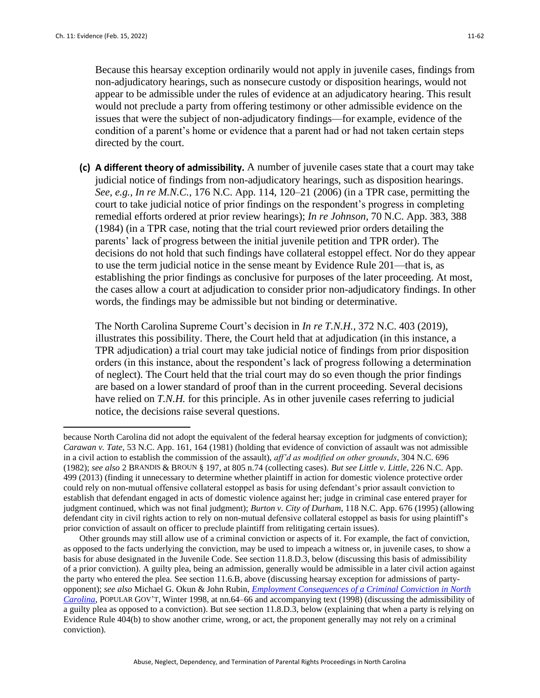Because this hearsay exception ordinarily would not apply in juvenile cases, findings from non-adjudicatory hearings, such as nonsecure custody or disposition hearings, would not appear to be admissible under the rules of evidence at an adjudicatory hearing. This result would not preclude a party from offering testimony or other admissible evidence on the issues that were the subject of non-adjudicatory findings—for example, evidence of the condition of a parent's home or evidence that a parent had or had not taken certain steps directed by the court.

**(c) A different theory of admissibility.** A number of juvenile cases state that a court may take judicial notice of findings from non-adjudicatory hearings, such as disposition hearings. *See, e.g., In re M.N.C.*, 176 N.C. App. 114, 120–21 (2006) (in a TPR case, permitting the court to take judicial notice of prior findings on the respondent's progress in completing remedial efforts ordered at prior review hearings); *In re Johnson*, 70 N.C. App. 383, 388 (1984) (in a TPR case, noting that the trial court reviewed prior orders detailing the parents' lack of progress between the initial juvenile petition and TPR order). The decisions do not hold that such findings have collateral estoppel effect. Nor do they appear to use the term judicial notice in the sense meant by Evidence Rule 201—that is, as establishing the prior findings as conclusive for purposes of the later proceeding. At most, the cases allow a court at adjudication to consider prior non-adjudicatory findings. In other words, the findings may be admissible but not binding or determinative.

The North Carolina Supreme Court's decision in *In re T.N.H.*, 372 N.C. 403 (2019), illustrates this possibility. There, the Court held that at adjudication (in this instance, a TPR adjudication) a trial court may take judicial notice of findings from prior disposition orders (in this instance, about the respondent's lack of progress following a determination of neglect). The Court held that the trial court may do so even though the prior findings are based on a lower standard of proof than in the current proceeding. Several decisions have relied on *T.N.H.* for this principle. As in other juvenile cases referring to judicial notice, the decisions raise several questions.

because North Carolina did not adopt the equivalent of the federal hearsay exception for judgments of conviction); *Carawan v. Tate*, 53 N.C. App. 161, 164 (1981) (holding that evidence of conviction of assault was not admissible in a civil action to establish the commission of the assault), *aff'd as modified on other grounds*, 304 N.C. 696 (1982); *see also* 2 BRANDIS & BROUN § 197, at 805 n.74 (collecting cases). *But see Little v. Little*, 226 N.C. App. 499 (2013) (finding it unnecessary to determine whether plaintiff in action for domestic violence protective order could rely on non-mutual offensive collateral estoppel as basis for using defendant's prior assault conviction to establish that defendant engaged in acts of domestic violence against her; judge in criminal case entered prayer for judgment continued, which was not final judgment); *Burton v. City of Durham*, 118 N.C. App. 676 (1995) (allowing defendant city in civil rights action to rely on non-mutual defensive collateral estoppel as basis for using plaintiff's prior conviction of assault on officer to preclude plaintiff from relitigating certain issues).

Other grounds may still allow use of a criminal conviction or aspects of it. For example, the fact of conviction, as opposed to the facts underlying the conviction, may be used to impeach a witness or, in juvenile cases, to show a basis for abuse designated in the Juvenile Code. See section 11.8.D.3, below (discussing this basis of admissibility of a prior conviction). A guilty plea, being an admission, generally would be admissible in a later civil action against the party who entered the plea. See section 11.6.B, above (discussing hearsay exception for admissions of partyopponent); *see also* Michael G. Okun & John Rubin, *[Employment Consequences of a Criminal Conviction in North](https://www.sog.unc.edu/sites/www.sog.unc.edu/files/reports/Popular%20Government.pdf)  [Carolina](https://www.sog.unc.edu/sites/www.sog.unc.edu/files/reports/Popular%20Government.pdf)*, POPULAR GOV'T, Winter 1998, at nn.64–66 and accompanying text (1998) (discussing the admissibility of a guilty plea as opposed to a conviction). But see section 11.8.D.3, below (explaining that when a party is relying on Evidence Rule 404(b) to show another crime, wrong, or act, the proponent generally may not rely on a criminal conviction).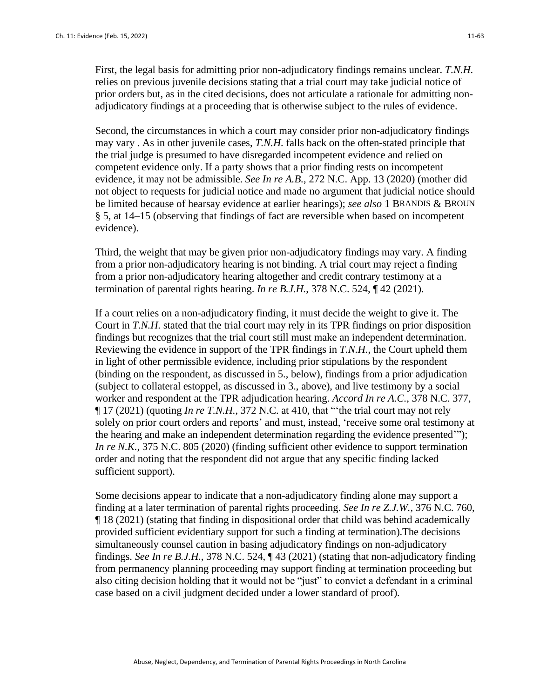Second, the circumstances in which a court may consider prior non-adjudicatory findings may vary . As in other juvenile cases, *T.N.H.* falls back on the often-stated principle that the trial judge is presumed to have disregarded incompetent evidence and relied on competent evidence only. If a party shows that a prior finding rests on incompetent evidence, it may not be admissible. *See In re A.B.*, 272 N.C. App. 13 (2020) (mother did not object to requests for judicial notice and made no argument that judicial notice should be limited because of hearsay evidence at earlier hearings); *see also* 1 BRANDIS & BROUN § 5, at 14–15 (observing that findings of fact are reversible when based on incompetent evidence).

Third, the weight that may be given prior non-adjudicatory findings may vary. A finding from a prior non-adjudicatory hearing is not binding. A trial court may reject a finding from a prior non-adjudicatory hearing altogether and credit contrary testimony at a termination of parental rights hearing. *In re B.J.H.*, 378 N.C. 524, ¶ 42 (2021).

If a court relies on a non-adjudicatory finding, it must decide the weight to give it. The Court in *T.N.H.* stated that the trial court may rely in its TPR findings on prior disposition findings but recognizes that the trial court still must make an independent determination. Reviewing the evidence in support of the TPR findings in *T.N.H.*, the Court upheld them in light of other permissible evidence, including prior stipulations by the respondent (binding on the respondent, as discussed in 5., below), findings from a prior adjudication (subject to collateral estoppel, as discussed in 3., above), and live testimony by a social worker and respondent at the TPR adjudication hearing. *Accord In re A.C.*, 378 N.C. 377, ¶ 17 (2021) (quoting *In re T.N.H.*, 372 N.C. at 410, that "'the trial court may not rely solely on prior court orders and reports' and must, instead, 'receive some oral testimony at the hearing and make an independent determination regarding the evidence presented'"); *In re N.K.*, 375 N.C. 805 (2020) (finding sufficient other evidence to support termination order and noting that the respondent did not argue that any specific finding lacked sufficient support).

Some decisions appear to indicate that a non-adjudicatory finding alone may support a finding at a later termination of parental rights proceeding. *See In re Z.J.W.*, 376 N.C. 760, ¶ 18 (2021) (stating that finding in dispositional order that child was behind academically provided sufficient evidentiary support for such a finding at termination).The decisions simultaneously counsel caution in basing adjudicatory findings on non-adjudicatory findings. *See In re B.J.H.*, 378 N.C. 524, ¶ 43 (2021) (stating that non-adjudicatory finding from permanency planning proceeding may support finding at termination proceeding but also citing decision holding that it would not be "just" to convict a defendant in a criminal case based on a civil judgment decided under a lower standard of proof).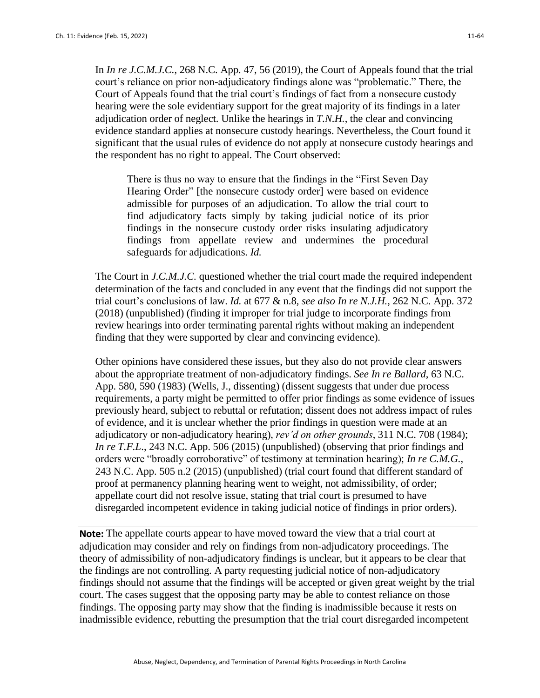In *In re J.C.M.J.C.*, 268 N.C. App. 47, 56 (2019), the Court of Appeals found that the trial court's reliance on prior non-adjudicatory findings alone was "problematic." There, the Court of Appeals found that the trial court's findings of fact from a nonsecure custody hearing were the sole evidentiary support for the great majority of its findings in a later adjudication order of neglect. Unlike the hearings in *T.N.H.*, the clear and convincing evidence standard applies at nonsecure custody hearings. Nevertheless, the Court found it significant that the usual rules of evidence do not apply at nonsecure custody hearings and the respondent has no right to appeal. The Court observed:

There is thus no way to ensure that the findings in the "First Seven Day Hearing Order" [the nonsecure custody order] were based on evidence admissible for purposes of an adjudication. To allow the trial court to find adjudicatory facts simply by taking judicial notice of its prior findings in the nonsecure custody order risks insulating adjudicatory findings from appellate review and undermines the procedural safeguards for adjudications. *Id.*

The Court in *J.C.M.J.C.* questioned whether the trial court made the required independent determination of the facts and concluded in any event that the findings did not support the trial court's conclusions of law. *Id.* at 677 & n.8, *see also In re N.J.H.*, 262 N.C. App. 372 (2018) (unpublished) (finding it improper for trial judge to incorporate findings from review hearings into order terminating parental rights without making an independent finding that they were supported by clear and convincing evidence).

Other opinions have considered these issues, but they also do not provide clear answers about the appropriate treatment of non-adjudicatory findings. *See In re Ballard*, 63 N.C. App. 580, 590 (1983) (Wells, J., dissenting) (dissent suggests that under due process requirements, a party might be permitted to offer prior findings as some evidence of issues previously heard, subject to rebuttal or refutation; dissent does not address impact of rules of evidence, and it is unclear whether the prior findings in question were made at an adjudicatory or non-adjudicatory hearing), *rev'd on other grounds*, 311 N.C. 708 (1984); *In re T.F.L.*, 243 N.C. App. 506 (2015) (unpublished) (observing that prior findings and orders were "broadly corroborative" of testimony at termination hearing); *In re C.M.G.*, 243 N.C. App. 505 n.2 (2015) (unpublished) (trial court found that different standard of proof at permanency planning hearing went to weight, not admissibility, of order; appellate court did not resolve issue, stating that trial court is presumed to have disregarded incompetent evidence in taking judicial notice of findings in prior orders).

**Note:** The appellate courts appear to have moved toward the view that a trial court at adjudication may consider and rely on findings from non-adjudicatory proceedings. The theory of admissibility of non-adjudicatory findings is unclear, but it appears to be clear that the findings are not controlling. A party requesting judicial notice of non-adjudicatory findings should not assume that the findings will be accepted or given great weight by the trial court. The cases suggest that the opposing party may be able to contest reliance on those findings. The opposing party may show that the finding is inadmissible because it rests on inadmissible evidence, rebutting the presumption that the trial court disregarded incompetent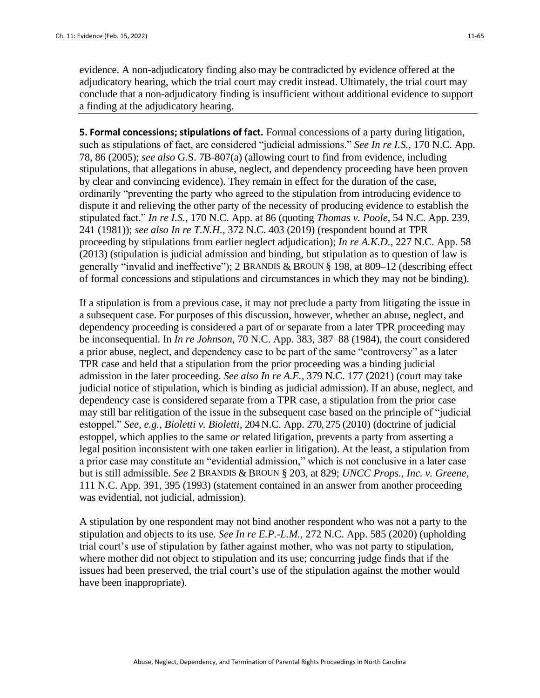evidence. A non-adjudicatory finding also may be contradicted by evidence offered at the adjudicatory hearing, which the trial court may credit instead. Ultimately, the trial court may conclude that a non-adjudicatory finding is insufficient without additional evidence to support a finding at the adjudicatory hearing.

**5. Formal concessions; stipulations of fact.** Formal concessions of a party during litigation, such as stipulations of fact, are considered "judicial admissions." *See In re I.S.*, 170 N.C. App. 78, 86 (2005); *see also* G.S. 7B-807(a) (allowing court to find from evidence, including stipulations, that allegations in abuse, neglect, and dependency proceeding have been proven by clear and convincing evidence). They remain in effect for the duration of the case, ordinarily "preventing the party who agreed to the stipulation from introducing evidence to dispute it and relieving the other party of the necessity of producing evidence to establish the stipulated fact." *In re I.S.*, 170 N.C. App. at 86 (quoting *Thomas v. Poole*, 54 N.C. App. 239, 241 (1981)); *see also In re T.N.H.*, 372 N.C. 403 (2019) (respondent bound at TPR proceeding by stipulations from earlier neglect adjudication); *In re A.K.D.*, 227 N.C. App. 58 (2013) (stipulation is judicial admission and binding, but stipulation as to question of law is generally "invalid and ineffective"); 2 BRANDIS & BROUN § 198, at 809–12 (describing effect of formal concessions and stipulations and circumstances in which they may not be binding).

If a stipulation is from a previous case, it may not preclude a party from litigating the issue in a subsequent case. For purposes of this discussion, however, whether an abuse, neglect, and dependency proceeding is considered a part of or separate from a later TPR proceeding may be inconsequential. In *In re Johnson*, 70 N.C. App. 383, 387–88 (1984), the court considered a prior abuse, neglect, and dependency case to be part of the same "controversy" as a later TPR case and held that a stipulation from the prior proceeding was a binding judicial admission in the later proceeding. *See also In re A.E.*, 379 N.C. 177 (2021) (court may take judicial notice of stipulation, which is binding as judicial admission). If an abuse, neglect, and dependency case is considered separate from a TPR case, a stipulation from the prior case may still bar relitigation of the issue in the subsequent case based on the principle of "judicial estoppel." *See, e.g., Bioletti v. Bioletti*, 204 N.C. App. 270, 275 (2010) (doctrine of judicial estoppel, which applies to the same *or* related litigation, prevents a party from asserting a legal position inconsistent with one taken earlier in litigation). At the least, a stipulation from a prior case may constitute an "evidential admission," which is not conclusive in a later case but is still admissible. *See* 2 BRANDIS & BROUN § 203, at 829; *UNCC Props., Inc. v. Greene*, 111 N.C. App. 391, 395 (1993) (statement contained in an answer from another proceeding was evidential, not judicial, admission).

A stipulation by one respondent may not bind another respondent who was not a party to the stipulation and objects to its use. *See In re E.P.-L.M.*, 272 N.C. App. 585 (2020) (upholding trial court's use of stipulation by father against mother, who was not party to stipulation, where mother did not object to stipulation and its use; concurring judge finds that if the issues had been preserved, the trial court's use of the stipulation against the mother would have been inappropriate).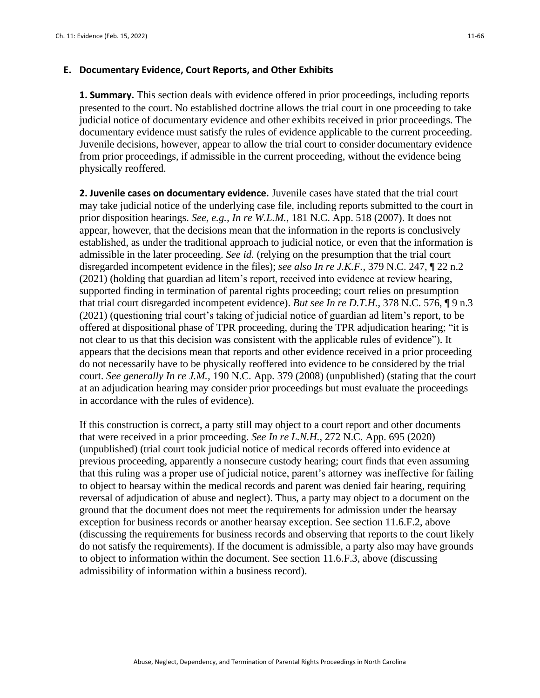#### **E. Documentary Evidence, Court Reports, and Other Exhibits**

**1. Summary.** This section deals with evidence offered in prior proceedings, including reports presented to the court. No established doctrine allows the trial court in one proceeding to take judicial notice of documentary evidence and other exhibits received in prior proceedings. The documentary evidence must satisfy the rules of evidence applicable to the current proceeding. Juvenile decisions, however, appear to allow the trial court to consider documentary evidence from prior proceedings, if admissible in the current proceeding, without the evidence being physically reoffered.

**2. Juvenile cases on documentary evidence.** Juvenile cases have stated that the trial court may take judicial notice of the underlying case file, including reports submitted to the court in prior disposition hearings. *See, e.g., In re W.L.M.*, 181 N.C. App. 518 (2007). It does not appear, however, that the decisions mean that the information in the reports is conclusively established, as under the traditional approach to judicial notice, or even that the information is admissible in the later proceeding. *See id.* (relying on the presumption that the trial court disregarded incompetent evidence in the files); *see also In re J.K.F.*, 379 N.C. 247, ¶ 22 n.2 (2021) (holding that guardian ad litem's report, received into evidence at review hearing, supported finding in termination of parental rights proceeding; court relies on presumption that trial court disregarded incompetent evidence). *But see In re D.T.H.*, 378 N.C. 576, ¶ 9 n.3 (2021) (questioning trial court's taking of judicial notice of guardian ad litem's report, to be offered at dispositional phase of TPR proceeding, during the TPR adjudication hearing; "it is not clear to us that this decision was consistent with the applicable rules of evidence"). It appears that the decisions mean that reports and other evidence received in a prior proceeding do not necessarily have to be physically reoffered into evidence to be considered by the trial court. *See generally In re J.M.,* 190 N.C. App. 379 (2008) (unpublished) (stating that the court at an adjudication hearing may consider prior proceedings but must evaluate the proceedings in accordance with the rules of evidence).

If this construction is correct, a party still may object to a court report and other documents that were received in a prior proceeding. *See In re L.N.H.*, 272 N.C. App. 695 (2020) (unpublished) (trial court took judicial notice of medical records offered into evidence at previous proceeding, apparently a nonsecure custody hearing; court finds that even assuming that this ruling was a proper use of judicial notice, parent's attorney was ineffective for failing to object to hearsay within the medical records and parent was denied fair hearing, requiring reversal of adjudication of abuse and neglect). Thus, a party may object to a document on the ground that the document does not meet the requirements for admission under the hearsay exception for business records or another hearsay exception. See section 11.6.F.2, above (discussing the requirements for business records and observing that reports to the court likely do not satisfy the requirements). If the document is admissible, a party also may have grounds to object to information within the document. See section 11.6.F.3, above (discussing admissibility of information within a business record).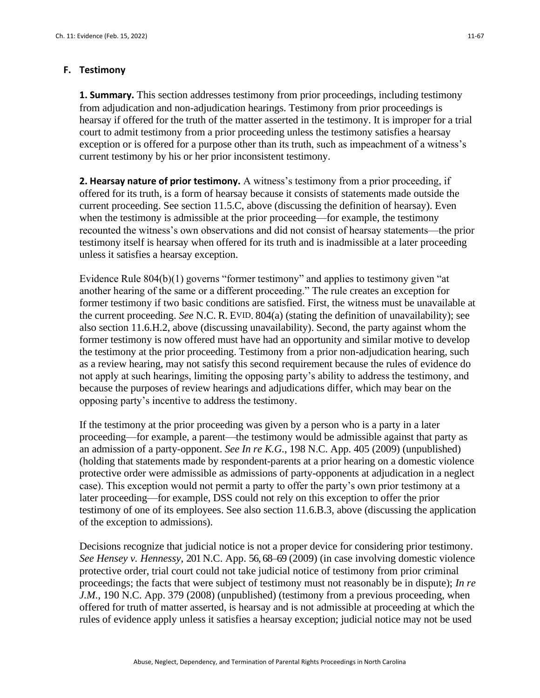#### **F. Testimony**

**1. Summary.** This section addresses testimony from prior proceedings, including testimony from adjudication and non-adjudication hearings. Testimony from prior proceedings is hearsay if offered for the truth of the matter asserted in the testimony. It is improper for a trial court to admit testimony from a prior proceeding unless the testimony satisfies a hearsay exception or is offered for a purpose other than its truth, such as impeachment of a witness's current testimony by his or her prior inconsistent testimony.

**2. Hearsay nature of prior testimony.** A witness's testimony from a prior proceeding, if offered for its truth, is a form of hearsay because it consists of statements made outside the current proceeding. See section 11.5.C, above (discussing the definition of hearsay). Even when the testimony is admissible at the prior proceeding—for example, the testimony recounted the witness's own observations and did not consist of hearsay statements—the prior testimony itself is hearsay when offered for its truth and is inadmissible at a later proceeding unless it satisfies a hearsay exception.

Evidence Rule 804(b)(1) governs "former testimony" and applies to testimony given "at another hearing of the same or a different proceeding." The rule creates an exception for former testimony if two basic conditions are satisfied. First, the witness must be unavailable at the current proceeding. *See* N.C. R. EVID. 804(a) (stating the definition of unavailability); see also section 11.6.H.2, above (discussing unavailability). Second, the party against whom the former testimony is now offered must have had an opportunity and similar motive to develop the testimony at the prior proceeding. Testimony from a prior non-adjudication hearing, such as a review hearing, may not satisfy this second requirement because the rules of evidence do not apply at such hearings, limiting the opposing party's ability to address the testimony, and because the purposes of review hearings and adjudications differ, which may bear on the opposing party's incentive to address the testimony.

If the testimony at the prior proceeding was given by a person who is a party in a later proceeding—for example, a parent—the testimony would be admissible against that party as an admission of a party-opponent. *See In re K.G.*, 198 N.C. App. 405 (2009) (unpublished) (holding that statements made by respondent-parents at a prior hearing on a domestic violence protective order were admissible as admissions of party-opponents at adjudication in a neglect case). This exception would not permit a party to offer the party's own prior testimony at a later proceeding—for example, DSS could not rely on this exception to offer the prior testimony of one of its employees. See also section 11.6.B.3, above (discussing the application of the exception to admissions).

Decisions recognize that judicial notice is not a proper device for considering prior testimony. *See Hensey v. Hennessy*, 201 N.C. App. 56, 68–69 (2009) (in case involving domestic violence protective order, trial court could not take judicial notice of testimony from prior criminal proceedings; the facts that were subject of testimony must not reasonably be in dispute); *In re J.M.*, 190 N.C. App. 379 (2008) (unpublished) (testimony from a previous proceeding, when offered for truth of matter asserted, is hearsay and is not admissible at proceeding at which the rules of evidence apply unless it satisfies a hearsay exception; judicial notice may not be used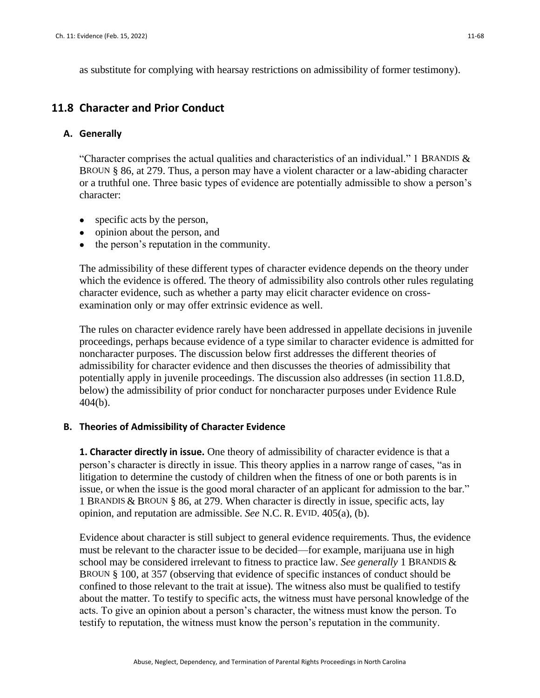as substitute for complying with hearsay restrictions on admissibility of former testimony).

## **11.8 Character and Prior Conduct**

#### **A. Generally**

"Character comprises the actual qualities and characteristics of an individual." 1 BRANDIS  $\&$ BROUN § 86, at 279. Thus, a person may have a violent character or a law-abiding character or a truthful one. Three basic types of evidence are potentially admissible to show a person's character:

- specific acts by the person,
- opinion about the person, and
- the person's reputation in the community.

The admissibility of these different types of character evidence depends on the theory under which the evidence is offered. The theory of admissibility also controls other rules regulating character evidence, such as whether a party may elicit character evidence on crossexamination only or may offer extrinsic evidence as well.

The rules on character evidence rarely have been addressed in appellate decisions in juvenile proceedings, perhaps because evidence of a type similar to character evidence is admitted for noncharacter purposes. The discussion below first addresses the different theories of admissibility for character evidence and then discusses the theories of admissibility that potentially apply in juvenile proceedings. The discussion also addresses (in section 11.8.D, below) the admissibility of prior conduct for noncharacter purposes under Evidence Rule 404(b).

## **B. Theories of Admissibility of Character Evidence**

**1. Character directly in issue.** One theory of admissibility of character evidence is that a person's character is directly in issue. This theory applies in a narrow range of cases, "as in litigation to determine the custody of children when the fitness of one or both parents is in issue, or when the issue is the good moral character of an applicant for admission to the bar." 1 BRANDIS & BROUN § 86, at 279. When character is directly in issue, specific acts, lay opinion, and reputation are admissible. *See* N.C. R. EVID. 405(a), (b).

Evidence about character is still subject to general evidence requirements. Thus, the evidence must be relevant to the character issue to be decided—for example, marijuana use in high school may be considered irrelevant to fitness to practice law. *See generally* 1 BRANDIS & BROUN § 100, at 357 (observing that evidence of specific instances of conduct should be confined to those relevant to the trait at issue). The witness also must be qualified to testify about the matter. To testify to specific acts, the witness must have personal knowledge of the acts. To give an opinion about a person's character, the witness must know the person. To testify to reputation, the witness must know the person's reputation in the community.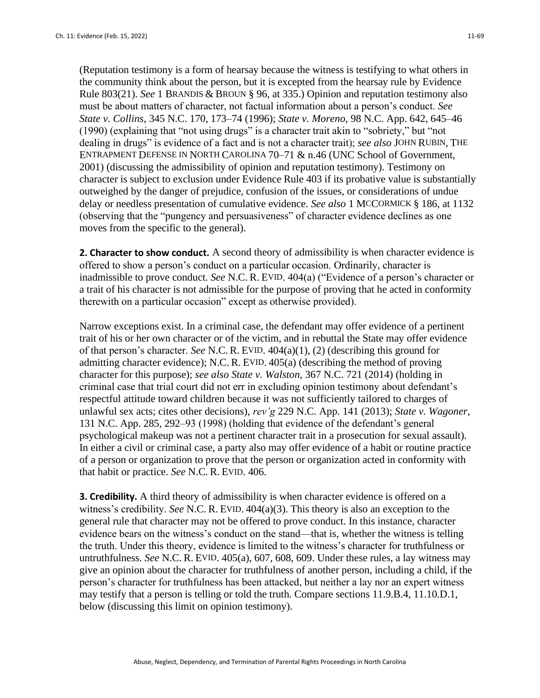(Reputation testimony is a form of hearsay because the witness is testifying to what others in the community think about the person, but it is excepted from the hearsay rule by Evidence Rule 803(21). *See* 1 BRANDIS & BROUN § 96, at 335.) Opinion and reputation testimony also must be about matters of character, not factual information about a person's conduct. *See State v. Collins*, 345 N.C. 170, 173–74 (1996); *State v. Moreno,* 98 N.C. App. 642, 645–46 (1990) (explaining that "not using drugs" is a character trait akin to "sobriety," but "not dealing in drugs" is evidence of a fact and is not a character trait); *see also* JOHN RUBIN, THE ENTRAPMENT DEFENSE IN NORTH CAROLINA 70–71 & n.46 (UNC School of Government, 2001) (discussing the admissibility of opinion and reputation testimony). Testimony on character is subject to exclusion under Evidence Rule 403 if its probative value is substantially outweighed by the danger of prejudice, confusion of the issues, or considerations of undue delay or needless presentation of cumulative evidence. *See also* 1 MCCORMICK § 186, at 1132 (observing that the "pungency and persuasiveness" of character evidence declines as one moves from the specific to the general).

**2. Character to show conduct.** A second theory of admissibility is when character evidence is offered to show a person's conduct on a particular occasion. Ordinarily, character is inadmissible to prove conduct. *See* N.C. R. EVID. 404(a) ("Evidence of a person's character or a trait of his character is not admissible for the purpose of proving that he acted in conformity therewith on a particular occasion" except as otherwise provided).

Narrow exceptions exist. In a criminal case, the defendant may offer evidence of a pertinent trait of his or her own character or of the victim, and in rebuttal the State may offer evidence of that person's character. *See* N.C. R. EVID. 404(a)(1), (2) (describing this ground for admitting character evidence); N.C. R. EVID. 405(a) (describing the method of proving character for this purpose); *see also State v. Walston*, 367 N.C. 721 (2014) (holding in criminal case that trial court did not err in excluding opinion testimony about defendant's respectful attitude toward children because it was not sufficiently tailored to charges of unlawful sex acts; cites other decisions), *rev'g* 229 N.C. App. 141 (2013); *State v. Wagoner*, 131 N.C. App. 285, 292–93 (1998) (holding that evidence of the defendant's general psychological makeup was not a pertinent character trait in a prosecution for sexual assault). In either a civil or criminal case, a party also may offer evidence of a habit or routine practice of a person or organization to prove that the person or organization acted in conformity with that habit or practice. *See* N.C. R. EVID. 406.

**3. Credibility.** A third theory of admissibility is when character evidence is offered on a witness's credibility. *See* N.C. R. EVID. 404(a)(3). This theory is also an exception to the general rule that character may not be offered to prove conduct. In this instance, character evidence bears on the witness's conduct on the stand—that is, whether the witness is telling the truth. Under this theory, evidence is limited to the witness's character for truthfulness or untruthfulness. *See* N.C. R. EVID. 405(a), 607, 608, 609. Under these rules, a lay witness may give an opinion about the character for truthfulness of another person, including a child, if the person's character for truthfulness has been attacked, but neither a lay nor an expert witness may testify that a person is telling or told the truth. Compare sections 11.9.B.4, 11.10.D.1, below (discussing this limit on opinion testimony).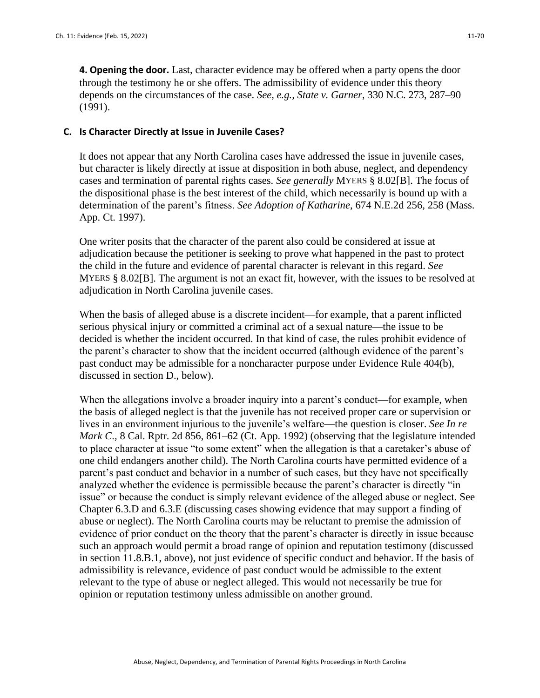**4. Opening the door.** Last, character evidence may be offered when a party opens the door through the testimony he or she offers. The admissibility of evidence under this theory depends on the circumstances of the case. *See, e.g., State v. Garner*, 330 N.C. 273, 287–90 (1991).

#### **C. Is Character Directly at Issue in Juvenile Cases?**

It does not appear that any North Carolina cases have addressed the issue in juvenile cases, but character is likely directly at issue at disposition in both abuse, neglect, and dependency cases and termination of parental rights cases. *See generally* MYERS § 8.02[B]. The focus of the dispositional phase is the best interest of the child, which necessarily is bound up with a determination of the parent's fitness. *See Adoption of Katharine*, 674 N.E.2d 256, 258 (Mass. App. Ct. 1997).

One writer posits that the character of the parent also could be considered at issue at adjudication because the petitioner is seeking to prove what happened in the past to protect the child in the future and evidence of parental character is relevant in this regard. *See* MYERS § 8.02[B]. The argument is not an exact fit, however, with the issues to be resolved at adjudication in North Carolina juvenile cases.

When the basis of alleged abuse is a discrete incident—for example, that a parent inflicted serious physical injury or committed a criminal act of a sexual nature—the issue to be decided is whether the incident occurred. In that kind of case, the rules prohibit evidence of the parent's character to show that the incident occurred (although evidence of the parent's past conduct may be admissible for a noncharacter purpose under Evidence Rule 404(b), discussed in section D., below).

When the allegations involve a broader inquiry into a parent's conduct—for example, when the basis of alleged neglect is that the juvenile has not received proper care or supervision or lives in an environment injurious to the juvenile's welfare—the question is closer. *See In re Mark C*., 8 Cal. Rptr. 2d 856, 861–62 (Ct. App. 1992) (observing that the legislature intended to place character at issue "to some extent" when the allegation is that a caretaker's abuse of one child endangers another child). The North Carolina courts have permitted evidence of a parent's past conduct and behavior in a number of such cases, but they have not specifically analyzed whether the evidence is permissible because the parent's character is directly "in issue" or because the conduct is simply relevant evidence of the alleged abuse or neglect. See Chapter 6.3.D and 6.3.E (discussing cases showing evidence that may support a finding of abuse or neglect). The North Carolina courts may be reluctant to premise the admission of evidence of prior conduct on the theory that the parent's character is directly in issue because such an approach would permit a broad range of opinion and reputation testimony (discussed in section 11.8.B.1, above), not just evidence of specific conduct and behavior. If the basis of admissibility is relevance, evidence of past conduct would be admissible to the extent relevant to the type of abuse or neglect alleged. This would not necessarily be true for opinion or reputation testimony unless admissible on another ground.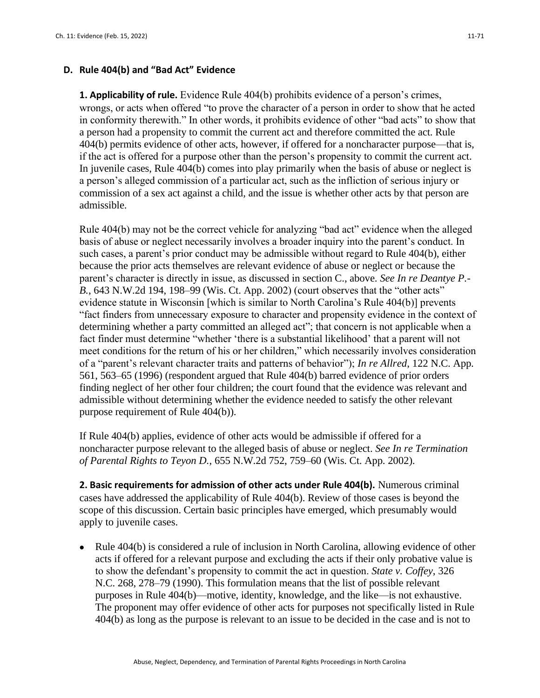## **D. Rule 404(b) and "Bad Act" Evidence**

**1. Applicability of rule.** Evidence Rule 404(b) prohibits evidence of a person's crimes, wrongs, or acts when offered "to prove the character of a person in order to show that he acted in conformity therewith." In other words, it prohibits evidence of other "bad acts" to show that a person had a propensity to commit the current act and therefore committed the act. Rule 404(b) permits evidence of other acts, however, if offered for a noncharacter purpose—that is, if the act is offered for a purpose other than the person's propensity to commit the current act. In juvenile cases, Rule 404(b) comes into play primarily when the basis of abuse or neglect is a person's alleged commission of a particular act, such as the infliction of serious injury or commission of a sex act against a child, and the issue is whether other acts by that person are admissible.

Rule 404(b) may not be the correct vehicle for analyzing "bad act" evidence when the alleged basis of abuse or neglect necessarily involves a broader inquiry into the parent's conduct. In such cases, a parent's prior conduct may be admissible without regard to Rule 404(b), either because the prior acts themselves are relevant evidence of abuse or neglect or because the parent's character is directly in issue, as discussed in section C., above. *See In re Deantye P.- B.*, 643 N.W.2d 194, 198–99 (Wis. Ct. App. 2002) (court observes that the "other acts" evidence statute in Wisconsin [which is similar to North Carolina's Rule 404(b)] prevents "fact finders from unnecessary exposure to character and propensity evidence in the context of determining whether a party committed an alleged act"; that concern is not applicable when a fact finder must determine "whether 'there is a substantial likelihood' that a parent will not meet conditions for the return of his or her children," which necessarily involves consideration of a "parent's relevant character traits and patterns of behavior"); *In re Allred*, 122 N.C. App. 561, 563–65 (1996) (respondent argued that Rule 404(b) barred evidence of prior orders finding neglect of her other four children; the court found that the evidence was relevant and admissible without determining whether the evidence needed to satisfy the other relevant purpose requirement of Rule 404(b)).

If Rule 404(b) applies, evidence of other acts would be admissible if offered for a noncharacter purpose relevant to the alleged basis of abuse or neglect. *See In re Termination of Parental Rights to Teyon D.*, 655 N.W.2d 752, 759–60 (Wis. Ct. App. 2002).

**2. Basic requirements for admission of other acts under Rule 404(b).** Numerous criminal cases have addressed the applicability of Rule 404(b). Review of those cases is beyond the scope of this discussion. Certain basic principles have emerged, which presumably would apply to juvenile cases.

• Rule 404(b) is considered a rule of inclusion in North Carolina, allowing evidence of other acts if offered for a relevant purpose and excluding the acts if their only probative value is to show the defendant's propensity to commit the act in question. *State v. Coffey*, 326 N.C. 268, 278–79 (1990). This formulation means that the list of possible relevant purposes in Rule 404(b)—motive, identity, knowledge, and the like—is not exhaustive. The proponent may offer evidence of other acts for purposes not specifically listed in Rule 404(b) as long as the purpose is relevant to an issue to be decided in the case and is not to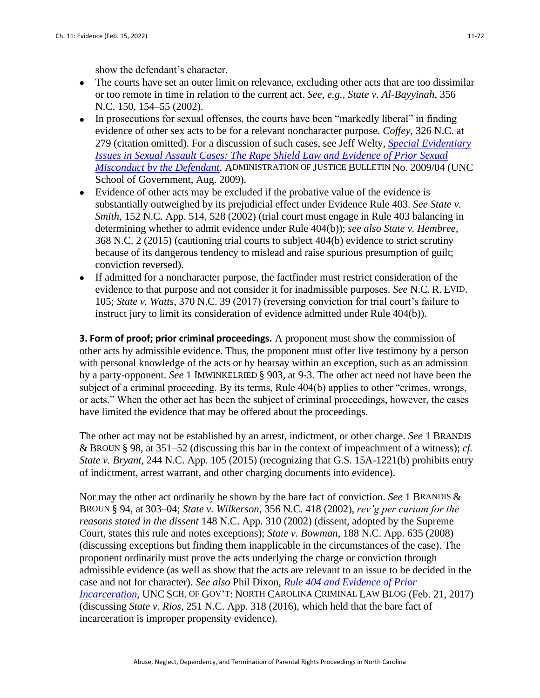show the defendant's character.

- The courts have set an outer limit on relevance, excluding other acts that are too dissimilar or too remote in time in relation to the current act. *See, e.g., State v. Al-Bayyinah*, 356 N.C. 150, 154–55 (2002).
- In prosecutions for sexual offenses, the courts have been "markedly liberal" in finding evidence of other sex acts to be for a relevant noncharacter purpose. *Coffey*, 326 N.C. at 279 (citation omitted). For a discussion of such cases, see Jeff Welty, *[Special Evidentiary](https://www.sog.unc.edu/sites/www.sog.unc.edu/files/reports/aojb0904.pdf)  [Issues in Sexual Assault Cases: The Rape Shield Law and Evidence of Prior Sexual](https://www.sog.unc.edu/sites/www.sog.unc.edu/files/reports/aojb0904.pdf)  [Misconduct by the Defendant](https://www.sog.unc.edu/sites/www.sog.unc.edu/files/reports/aojb0904.pdf)*, ADMINISTRATION OF JUSTICE BULLETIN No. 2009/04 (UNC School of Government, Aug. 2009).
- Evidence of other acts may be excluded if the probative value of the evidence is substantially outweighed by its prejudicial effect under Evidence Rule 403. *See State v. Smith*, 152 N.C. App. 514, 528 (2002) (trial court must engage in Rule 403 balancing in determining whether to admit evidence under Rule 404(b)); *see also State v. Hembree*, 368 N.C. 2 (2015) (cautioning trial courts to subject 404(b) evidence to strict scrutiny because of its dangerous tendency to mislead and raise spurious presumption of guilt; conviction reversed).
- If admitted for a noncharacter purpose, the factfinder must restrict consideration of the evidence to that purpose and not consider it for inadmissible purposes. *See* N.C. R. EVID. 105; *State v. Watts*, 370 N.C. 39 (2017) (reversing conviction for trial court's failure to instruct jury to limit its consideration of evidence admitted under Rule 404(b)).

**3. Form of proof; prior criminal proceedings.** A proponent must show the commission of other acts by admissible evidence. Thus, the proponent must offer live testimony by a person with personal knowledge of the acts or by hearsay within an exception, such as an admission by a party-opponent. *See* 1 IMWINKELRIED § 903, at 9-3. The other act need not have been the subject of a criminal proceeding. By its terms, Rule 404(b) applies to other "crimes, wrongs, or acts." When the other act has been the subject of criminal proceedings, however, the cases have limited the evidence that may be offered about the proceedings.

The other act may not be established by an arrest, indictment, or other charge. *See* 1 BRANDIS & BROUN § 98, at 351–52 (discussing this bar in the context of impeachment of a witness); *cf. State v. Bryant*, 244 N.C. App. 105 (2015) (recognizing that G.S. 15A-1221(b) prohibits entry of indictment, arrest warrant, and other charging documents into evidence).

Nor may the other act ordinarily be shown by the bare fact of conviction. *See* 1 BRANDIS & BROUN § 94, at 303–04; *State v. Wilkerson*, 356 N.C. 418 (2002), *rev'g per curiam for the reasons stated in the dissent* 148 N.C. App. 310 (2002) (dissent, adopted by the Supreme Court, states this rule and notes exceptions); *State v. Bowman*, 188 N.C. App. 635 (2008) (discussing exceptions but finding them inapplicable in the circumstances of the case). The proponent ordinarily must prove the acts underlying the charge or conviction through admissible evidence (as well as show that the acts are relevant to an issue to be decided in the case and not for character). *See also* Phil Dixon, *[Rule 404 and Evidence of Prior](https://nccriminallaw.sog.unc.edu/rule-404-evidence-prior-incarceration/)  [Incarceration](https://nccriminallaw.sog.unc.edu/rule-404-evidence-prior-incarceration/)*, UNC SCH. OF GOV'T: NORTH CAROLINA CRIMINAL LAW BLOG (Feb. 21, 2017) (discussing *State v. Rios,* 251 N.C. App. 318 (2016), which held that the bare fact of incarceration is improper propensity evidence).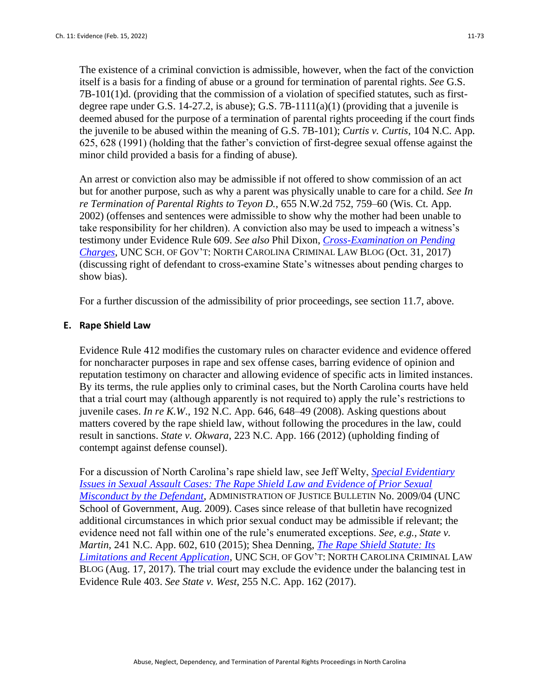The existence of a criminal conviction is admissible, however, when the fact of the conviction itself is a basis for a finding of abuse or a ground for termination of parental rights. *See* G.S. 7B-101(1)d. (providing that the commission of a violation of specified statutes, such as firstdegree rape under G.S.  $14-27.2$ , is abuse); G.S.  $7B-1111(a)(1)$  (providing that a juvenile is deemed abused for the purpose of a termination of parental rights proceeding if the court finds the juvenile to be abused within the meaning of G.S. 7B-101); *Curtis v. Curtis,* 104 N.C. App. 625, 628 (1991) (holding that the father's conviction of first-degree sexual offense against the minor child provided a basis for a finding of abuse).

An arrest or conviction also may be admissible if not offered to show commission of an act but for another purpose, such as why a parent was physically unable to care for a child. *See In re Termination of Parental Rights to Teyon D.*, 655 N.W.2d 752, 759–60 (Wis. Ct. App. 2002) (offenses and sentences were admissible to show why the mother had been unable to take responsibility for her children). A conviction also may be used to impeach a witness's testimony under Evidence Rule 609. *See also* Phil Dixon, *[Cross-Examination on Pending](https://nccriminallaw.sog.unc.edu/cross-examination-pending-charges/)  [Charges](https://nccriminallaw.sog.unc.edu/cross-examination-pending-charges/)*, UNC SCH. OF GOV'T: NORTH CAROLINA CRIMINAL LAW BLOG (Oct. 31, 2017) (discussing right of defendant to cross-examine State's witnesses about pending charges to show bias).

For a further discussion of the admissibility of prior proceedings, see section 11.7, above.

#### **E. Rape Shield Law**

Evidence Rule 412 modifies the customary rules on character evidence and evidence offered for noncharacter purposes in rape and sex offense cases, barring evidence of opinion and reputation testimony on character and allowing evidence of specific acts in limited instances. By its terms, the rule applies only to criminal cases, but the North Carolina courts have held that a trial court may (although apparently is not required to) apply the rule's restrictions to juvenile cases. *In re K.W*., 192 N.C. App. 646, 648–49 (2008). Asking questions about matters covered by the rape shield law, without following the procedures in the law, could result in sanctions. *State v. Okwara*, 223 N.C. App. 166 (2012) (upholding finding of contempt against defense counsel).

For a discussion of North Carolina's rape shield law, see Jeff Welty, *[Special Evidentiary](https://www.sog.unc.edu/publications/bulletins/special-evidentiary-issues-sexual-assault-cases-rape-shield-law-and-evidence-prior-sexual-misconduct)  [Issues in Sexual Assault Cases: The Rape Shield Law and Evidence of Prior Sexual](https://www.sog.unc.edu/publications/bulletins/special-evidentiary-issues-sexual-assault-cases-rape-shield-law-and-evidence-prior-sexual-misconduct)  [Misconduct by the Defendant](https://www.sog.unc.edu/publications/bulletins/special-evidentiary-issues-sexual-assault-cases-rape-shield-law-and-evidence-prior-sexual-misconduct)*, ADMINISTRATION OF JUSTICE BULLETIN No. 2009/04 (UNC School of Government, Aug. 2009). Cases since release of that bulletin have recognized additional circumstances in which prior sexual conduct may be admissible if relevant; the evidence need not fall within one of the rule's enumerated exceptions. *See, e.g., State v. Martin*, 241 N.C. App. 602, 610 (2015); Shea Denning, *[The Rape Shield Statute: Its](https://nccriminallaw.sog.unc.edu/rape-shield-statute-limitations-recent-application/)  [Limitations and Recent Application](https://nccriminallaw.sog.unc.edu/rape-shield-statute-limitations-recent-application/)*, UNC SCH. OF GOV'T: NORTH CAROLINA CRIMINAL LAW BLOG (Aug. 17, 2017). The trial court may exclude the evidence under the balancing test in Evidence Rule 403. *See State v. West*, 255 N.C. App. 162 (2017).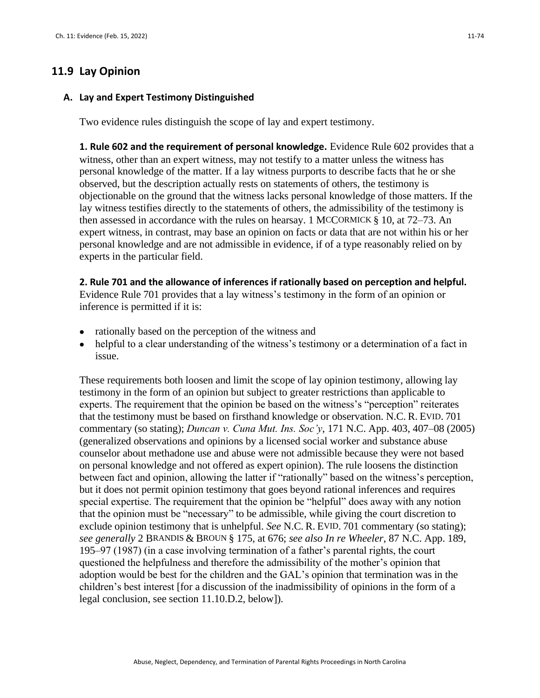## **11.9 Lay Opinion**

#### **A. Lay and Expert Testimony Distinguished**

Two evidence rules distinguish the scope of lay and expert testimony.

**1. Rule 602 and the requirement of personal knowledge.** Evidence Rule 602 provides that a witness, other than an expert witness, may not testify to a matter unless the witness has personal knowledge of the matter. If a lay witness purports to describe facts that he or she observed, but the description actually rests on statements of others, the testimony is objectionable on the ground that the witness lacks personal knowledge of those matters. If the lay witness testifies directly to the statements of others, the admissibility of the testimony is then assessed in accordance with the rules on hearsay. 1 MCCORMICK § 10, at 72–73. An expert witness, in contrast, may base an opinion on facts or data that are not within his or her personal knowledge and are not admissible in evidence, if of a type reasonably relied on by experts in the particular field.

**2. Rule 701 and the allowance of inferences if rationally based on perception and helpful.** 

Evidence Rule 701 provides that a lay witness's testimony in the form of an opinion or inference is permitted if it is:

- rationally based on the perception of the witness and
- helpful to a clear understanding of the witness's testimony or a determination of a fact in issue.

These requirements both loosen and limit the scope of lay opinion testimony, allowing lay testimony in the form of an opinion but subject to greater restrictions than applicable to experts. The requirement that the opinion be based on the witness's "perception" reiterates that the testimony must be based on firsthand knowledge or observation. N.C. R. EVID. 701 commentary (so stating); *Duncan v. Cuna Mut. Ins. Soc'y*, 171 N.C. App. 403, 407–08 (2005) (generalized observations and opinions by a licensed social worker and substance abuse counselor about methadone use and abuse were not admissible because they were not based on personal knowledge and not offered as expert opinion). The rule loosens the distinction between fact and opinion, allowing the latter if "rationally" based on the witness's perception, but it does not permit opinion testimony that goes beyond rational inferences and requires special expertise. The requirement that the opinion be "helpful" does away with any notion that the opinion must be "necessary" to be admissible, while giving the court discretion to exclude opinion testimony that is unhelpful. *See* N.C. R. EVID. 701 commentary (so stating); *see generally* 2 BRANDIS & BROUN § 175, at 676; *see also In re Wheeler*, 87 N.C. App. 189, 195–97 (1987) (in a case involving termination of a father's parental rights, the court questioned the helpfulness and therefore the admissibility of the mother's opinion that adoption would be best for the children and the GAL's opinion that termination was in the children's best interest [for a discussion of the inadmissibility of opinions in the form of a legal conclusion, see section 11.10.D.2, below]).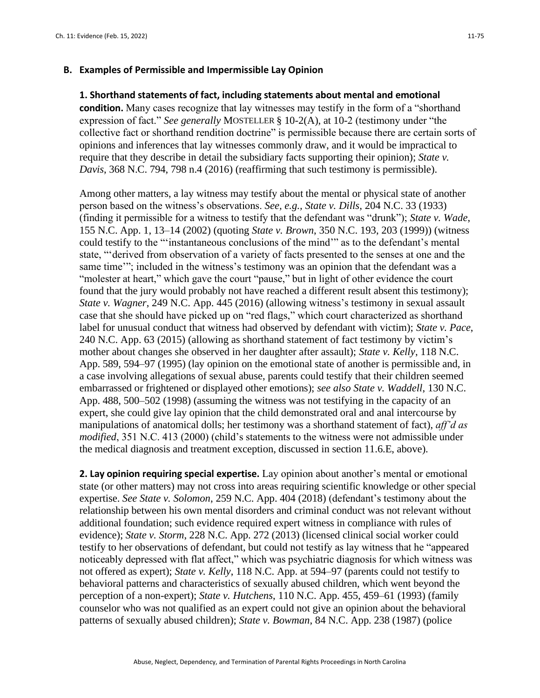#### **B. Examples of Permissible and Impermissible Lay Opinion**

#### **1. Shorthand statements of fact, including statements about mental and emotional**

**condition.** Many cases recognize that lay witnesses may testify in the form of a "shorthand expression of fact." *See generally* MOSTELLER § 10-2(A), at 10-2 (testimony under "the collective fact or shorthand rendition doctrine" is permissible because there are certain sorts of opinions and inferences that lay witnesses commonly draw, and it would be impractical to require that they describe in detail the subsidiary facts supporting their opinion); *State v. Davis*, 368 N.C. 794, 798 n.4 (2016) (reaffirming that such testimony is permissible).

Among other matters, a lay witness may testify about the mental or physical state of another person based on the witness's observations. *See, e.g., State v. Dills*, 204 N.C. 33 (1933) (finding it permissible for a witness to testify that the defendant was "drunk"); *State v. Wade*, 155 N.C. App. 1, 13–14 (2002) (quoting *State v. Brown*, 350 N.C. 193, 203 (1999)) (witness could testify to the "'instantaneous conclusions of the mind'" as to the defendant's mental state, "'derived from observation of a variety of facts presented to the senses at one and the same time"; included in the witness's testimony was an opinion that the defendant was a "molester at heart," which gave the court "pause," but in light of other evidence the court found that the jury would probably not have reached a different result absent this testimony); *State v. Wagner*, 249 N.C. App. 445 (2016) (allowing witness's testimony in sexual assault case that she should have picked up on "red flags," which court characterized as shorthand label for unusual conduct that witness had observed by defendant with victim); *State v. Pace*, 240 N.C. App. 63 (2015) (allowing as shorthand statement of fact testimony by victim's mother about changes she observed in her daughter after assault); *State v. Kelly*, 118 N.C. App. 589, 594–97 (1995) (lay opinion on the emotional state of another is permissible and, in a case involving allegations of sexual abuse, parents could testify that their children seemed embarrassed or frightened or displayed other emotions); *see also State v. Waddell*, 130 N.C. App. 488, 500–502 (1998) (assuming the witness was not testifying in the capacity of an expert, she could give lay opinion that the child demonstrated oral and anal intercourse by manipulations of anatomical dolls; her testimony was a shorthand statement of fact), *aff'd as modified*, 351 N.C. 413 (2000) (child's statements to the witness were not admissible under the medical diagnosis and treatment exception, discussed in section 11.6.E, above).

**2. Lay opinion requiring special expertise.** Lay opinion about another's mental or emotional state (or other matters) may not cross into areas requiring scientific knowledge or other special expertise. *See State v. Solomon*, 259 N.C. App. 404 (2018) (defendant's testimony about the relationship between his own mental disorders and criminal conduct was not relevant without additional foundation; such evidence required expert witness in compliance with rules of evidence); *State v. Storm*, 228 N.C. App. 272 (2013) (licensed clinical social worker could testify to her observations of defendant, but could not testify as lay witness that he "appeared noticeably depressed with flat affect," which was psychiatric diagnosis for which witness was not offered as expert); *State v. Kelly*, 118 N.C. App. at 594–97 (parents could not testify to behavioral patterns and characteristics of sexually abused children, which went beyond the perception of a non-expert); *State v. Hutchens*, 110 N.C. App. 455, 459–61 (1993) (family counselor who was not qualified as an expert could not give an opinion about the behavioral patterns of sexually abused children); *State v. Bowman*, 84 N.C. App. 238 (1987) (police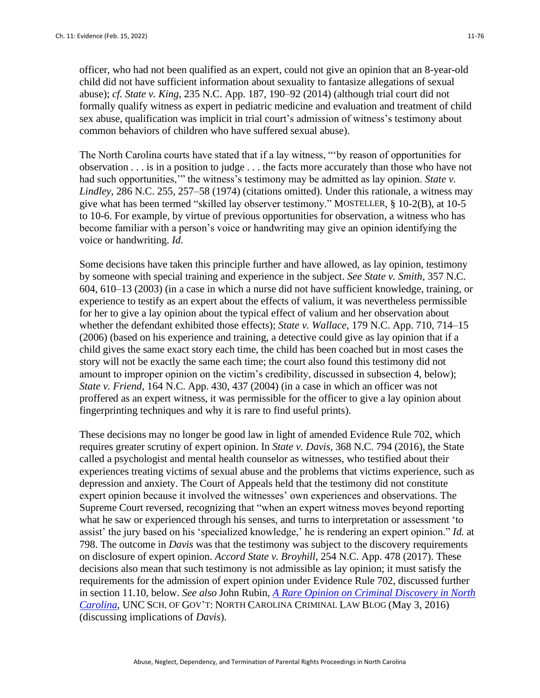officer, who had not been qualified as an expert, could not give an opinion that an 8-year-old child did not have sufficient information about sexuality to fantasize allegations of sexual abuse); *cf. State v. King*, 235 N.C. App. 187, 190–92 (2014) (although trial court did not formally qualify witness as expert in pediatric medicine and evaluation and treatment of child sex abuse, qualification was implicit in trial court's admission of witness's testimony about common behaviors of children who have suffered sexual abuse).

The North Carolina courts have stated that if a lay witness, "'by reason of opportunities for observation . . . is in a position to judge . . . the facts more accurately than those who have not had such opportunities," the witness's testimony may be admitted as lay opinion. *State v*. *Lindley*, 286 N.C. 255, 257–58 (1974) (citations omitted). Under this rationale, a witness may give what has been termed "skilled lay observer testimony." MOSTELLER, § 10-2(B), at 10-5 to 10-6. For example, by virtue of previous opportunities for observation, a witness who has become familiar with a person's voice or handwriting may give an opinion identifying the voice or handwriting. *Id.*

Some decisions have taken this principle further and have allowed, as lay opinion, testimony by someone with special training and experience in the subject. *See State v. Smith*, 357 N.C. 604, 610–13 (2003) (in a case in which a nurse did not have sufficient knowledge, training, or experience to testify as an expert about the effects of valium, it was nevertheless permissible for her to give a lay opinion about the typical effect of valium and her observation about whether the defendant exhibited those effects); *State v. Wallace*, 179 N.C. App. 710, 714–15 (2006) (based on his experience and training, a detective could give as lay opinion that if a child gives the same exact story each time, the child has been coached but in most cases the story will not be exactly the same each time; the court also found this testimony did not amount to improper opinion on the victim's credibility, discussed in subsection 4, below); *State v. Friend*, 164 N.C. App. 430, 437 (2004) (in a case in which an officer was not proffered as an expert witness, it was permissible for the officer to give a lay opinion about fingerprinting techniques and why it is rare to find useful prints).

These decisions may no longer be good law in light of amended Evidence Rule 702, which requires greater scrutiny of expert opinion. In *State v. Davis*, 368 N.C. 794 (2016), the State called a psychologist and mental health counselor as witnesses, who testified about their experiences treating victims of sexual abuse and the problems that victims experience, such as depression and anxiety. The Court of Appeals held that the testimony did not constitute expert opinion because it involved the witnesses' own experiences and observations. The Supreme Court reversed, recognizing that "when an expert witness moves beyond reporting what he saw or experienced through his senses, and turns to interpretation or assessment 'to assist' the jury based on his 'specialized knowledge,' he is rendering an expert opinion." *Id.* at 798. The outcome in *Davis* was that the testimony was subject to the discovery requirements on disclosure of expert opinion. *Accord State v. Broyhill*, 254 N.C. App. 478 (2017). These decisions also mean that such testimony is not admissible as lay opinion; it must satisfy the requirements for the admission of expert opinion under Evidence Rule 702, discussed further in section 11.10, below. *See also* John Rubin, *[A Rare Opinion on Criminal Discovery in North](https://nccriminallaw.sog.unc.edu/rare-opinion-criminal-discovery-north-carolina/)  [Carolina](https://nccriminallaw.sog.unc.edu/rare-opinion-criminal-discovery-north-carolina/)*, UNC SCH. OF GOV'T: NORTH CAROLINA CRIMINAL LAW BLOG (May 3, 2016) (discussing implications of *Davis*).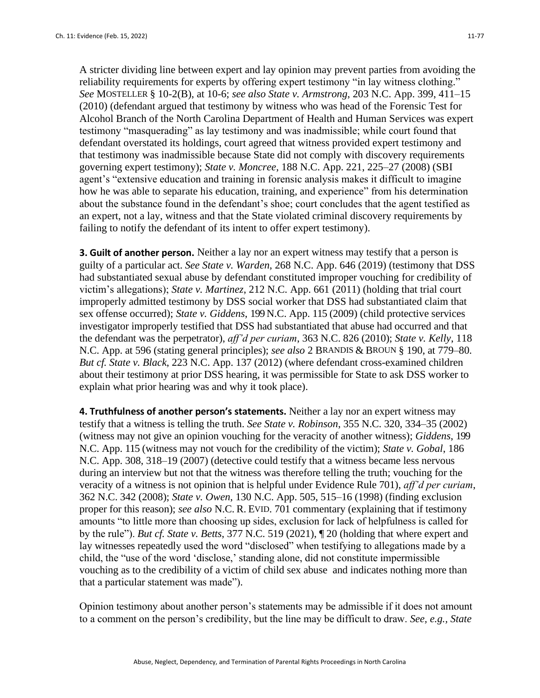A stricter dividing line between expert and lay opinion may prevent parties from avoiding the reliability requirements for experts by offering expert testimony "in lay witness clothing." *See* MOSTELLER § 10-2(B), at 10-6; *see also State v. Armstrong*, 203 N.C. App. 399, 411–15 (2010) (defendant argued that testimony by witness who was head of the Forensic Test for Alcohol Branch of the North Carolina Department of Health and Human Services was expert testimony "masquerading" as lay testimony and was inadmissible; while court found that defendant overstated its holdings, court agreed that witness provided expert testimony and that testimony was inadmissible because State did not comply with discovery requirements governing expert testimony); *State v. Moncree*, 188 N.C. App. 221, 225–27 (2008) (SBI agent's "extensive education and training in forensic analysis makes it difficult to imagine how he was able to separate his education, training, and experience" from his determination about the substance found in the defendant's shoe; court concludes that the agent testified as an expert, not a lay, witness and that the State violated criminal discovery requirements by failing to notify the defendant of its intent to offer expert testimony).

**3. Guilt of another person.** Neither a lay nor an expert witness may testify that a person is guilty of a particular act. *See State v. Warden*, 268 N.C. App. 646 (2019) (testimony that DSS had substantiated sexual abuse by defendant constituted improper vouching for credibility of victim's allegations); *State v. Martinez*, 212 N.C. App. 661 (2011) (holding that trial court improperly admitted testimony by DSS social worker that DSS had substantiated claim that sex offense occurred); *State v. Giddens*, 199 N.C. App. 115 (2009) (child protective services investigator improperly testified that DSS had substantiated that abuse had occurred and that the defendant was the perpetrator), *aff'd per curiam*, 363 N.C. 826 (2010); *State v. Kelly*, 118 N.C. App. at 596 (stating general principles); *see also* 2 BRANDIS & BROUN § 190, at 779–80. *But cf. State v. Black*, 223 N.C. App. 137 (2012) (where defendant cross-examined children about their testimony at prior DSS hearing, it was permissible for State to ask DSS worker to explain what prior hearing was and why it took place).

**4. Truthfulness of another person's statements.** Neither a lay nor an expert witness may testify that a witness is telling the truth. *See State v. Robinson*, 355 N.C. 320, 334–35 (2002) (witness may not give an opinion vouching for the veracity of another witness); *Giddens*, 199 N.C. App. 115 (witness may not vouch for the credibility of the victim); *State v. Gobal*, 186 N.C. App. 308, 318–19 (2007) (detective could testify that a witness became less nervous during an interview but not that the witness was therefore telling the truth; vouching for the veracity of a witness is not opinion that is helpful under Evidence Rule 701), *aff'd per curiam*, 362 N.C. 342 (2008); *State v. Owen*, 130 N.C. App. 505, 515–16 (1998) (finding exclusion proper for this reason); *see also* N.C. R. EVID. 701 commentary (explaining that if testimony amounts "to little more than choosing up sides, exclusion for lack of helpfulness is called for by the rule"). *But cf. State v. Betts*, 377 N.C. 519 (2021), ¶ 20 (holding that where expert and lay witnesses repeatedly used the word "disclosed" when testifying to allegations made by a child, the "use of the word 'disclose,' standing alone, did not constitute impermissible vouching as to the credibility of a victim of child sex abuse and indicates nothing more than that a particular statement was made").

Opinion testimony about another person's statements may be admissible if it does not amount to a comment on the person's credibility, but the line may be difficult to draw. *See, e.g., State*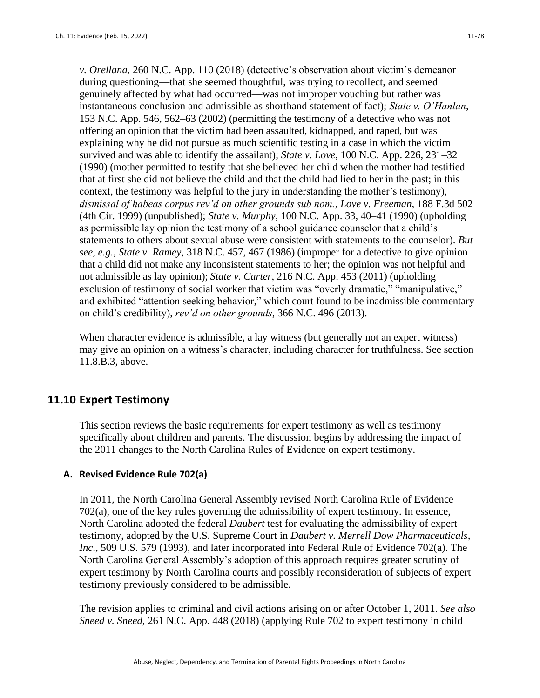*v. Orellana,* 260 N.C. App. 110 (2018) (detective's observation about victim's demeanor during questioning—that she seemed thoughtful, was trying to recollect, and seemed genuinely affected by what had occurred—was not improper vouching but rather was instantaneous conclusion and admissible as shorthand statement of fact); *State v. O'Hanlan*, 153 N.C. App. 546, 562–63 (2002) (permitting the testimony of a detective who was not offering an opinion that the victim had been assaulted, kidnapped, and raped, but was explaining why he did not pursue as much scientific testing in a case in which the victim survived and was able to identify the assailant); *State v. Love*, 100 N.C. App. 226, 231–32 (1990) (mother permitted to testify that she believed her child when the mother had testified that at first she did not believe the child and that the child had lied to her in the past; in this context, the testimony was helpful to the jury in understanding the mother's testimony), *dismissal of habeas corpus rev'd on other grounds sub nom.*, *Love v. Freeman*, 188 F.3d 502 (4th Cir. 1999) (unpublished); *State v. Murphy*, 100 N.C. App. 33, 40–41 (1990) (upholding as permissible lay opinion the testimony of a school guidance counselor that a child's statements to others about sexual abuse were consistent with statements to the counselor). *But see, e.g., State v. Ramey,* 318 N.C. 457, 467 (1986) (improper for a detective to give opinion that a child did not make any inconsistent statements to her; the opinion was not helpful and not admissible as lay opinion); *State v. Carter*, 216 N.C. App. 453 (2011) (upholding exclusion of testimony of social worker that victim was "overly dramatic," "manipulative," and exhibited "attention seeking behavior," which court found to be inadmissible commentary on child's credibility), *rev'd on other grounds*, 366 N.C. 496 (2013).

When character evidence is admissible, a lay witness (but generally not an expert witness) may give an opinion on a witness's character, including character for truthfulness. See section 11.8.B.3, above.

## **11.10 Expert Testimony**

This section reviews the basic requirements for expert testimony as well as testimony specifically about children and parents. The discussion begins by addressing the impact of the 2011 changes to the North Carolina Rules of Evidence on expert testimony.

## **A. Revised Evidence Rule 702(a)**

In 2011, the North Carolina General Assembly revised North Carolina Rule of Evidence 702(a), one of the key rules governing the admissibility of expert testimony. In essence, North Carolina adopted the federal *Daubert* test for evaluating the admissibility of expert testimony, adopted by the U.S. Supreme Court in *Daubert v. Merrell Dow Pharmaceuticals, Inc*., 509 U.S. 579 (1993), and later incorporated into Federal Rule of Evidence 702(a). The North Carolina General Assembly's adoption of this approach requires greater scrutiny of expert testimony by North Carolina courts and possibly reconsideration of subjects of expert testimony previously considered to be admissible.

The revision applies to criminal and civil actions arising on or after October 1, 2011. *See also Sneed v. Sneed*, 261 N.C. App. 448 (2018) (applying Rule 702 to expert testimony in child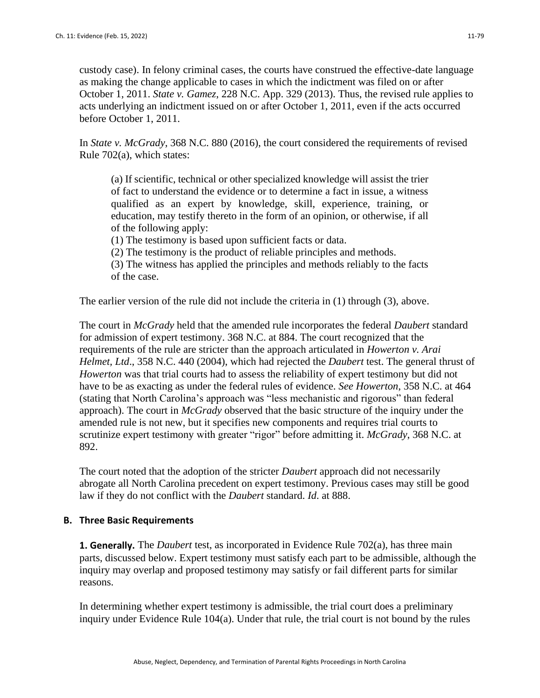custody case). In felony criminal cases, the courts have construed the effective-date language as making the change applicable to cases in which the indictment was filed on or after October 1, 2011. *State v. Gamez*, 228 N.C. App. 329 (2013). Thus, the revised rule applies to acts underlying an indictment issued on or after October 1, 2011, even if the acts occurred before October 1, 2011.

In *State v. McGrady*, 368 N.C. 880 (2016), the court considered the requirements of revised Rule 702(a), which states:

(a) If scientific, technical or other specialized knowledge will assist the trier of fact to understand the evidence or to determine a fact in issue, a witness qualified as an expert by knowledge, skill, experience, training, or education, may testify thereto in the form of an opinion, or otherwise, if all of the following apply:

(1) The testimony is based upon sufficient facts or data.

(2) The testimony is the product of reliable principles and methods.

(3) The witness has applied the principles and methods reliably to the facts of the case.

The earlier version of the rule did not include the criteria in (1) through (3), above.

The court in *McGrady* held that the amended rule incorporates the federal *Daubert* standard for admission of expert testimony. 368 N.C. at 884. The court recognized that the requirements of the rule are stricter than the approach articulated in *Howerton v. Arai Helmet, Ltd*., 358 N.C. 440 (2004), which had rejected the *Daubert* test. The general thrust of *Howerton* was that trial courts had to assess the reliability of expert testimony but did not have to be as exacting as under the federal rules of evidence. *See Howerton*, 358 N.C. at 464 (stating that North Carolina's approach was "less mechanistic and rigorous" than federal approach). The court in *McGrady* observed that the basic structure of the inquiry under the amended rule is not new, but it specifies new components and requires trial courts to scrutinize expert testimony with greater "rigor" before admitting it. *McGrady*, 368 N.C. at 892.

The court noted that the adoption of the stricter *Daubert* approach did not necessarily abrogate all North Carolina precedent on expert testimony. Previous cases may still be good law if they do not conflict with the *Daubert* standard. *Id*. at 888.

## **B. Three Basic Requirements**

**1. Generally.** The *Daubert* test, as incorporated in Evidence Rule 702(a), has three main parts, discussed below. Expert testimony must satisfy each part to be admissible, although the inquiry may overlap and proposed testimony may satisfy or fail different parts for similar reasons.

In determining whether expert testimony is admissible, the trial court does a preliminary inquiry under Evidence Rule 104(a). Under that rule, the trial court is not bound by the rules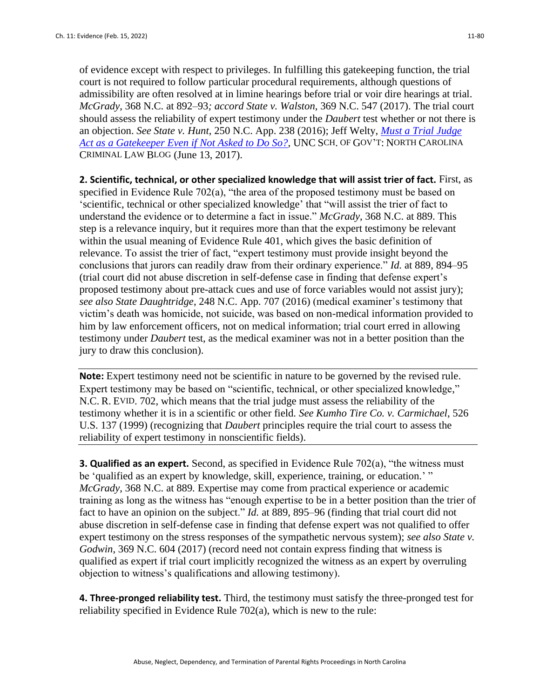of evidence except with respect to privileges. In fulfilling this gatekeeping function, the trial court is not required to follow particular procedural requirements, although questions of admissibility are often resolved at in limine hearings before trial or voir dire hearings at trial. *McGrady*, 368 N.C. at 892–93*; accord State v. Walston*, 369 N.C. 547 (2017). The trial court should assess the reliability of expert testimony under the *Daubert* test whether or not there is an objection. *See State v. Hunt*, 250 N.C. App. 238 (2016); Jeff Welty, *[Must a Trial Judge](https://nccriminallaw.sog.unc.edu/must-trial-judge-act-gatekeeper-even-not-asked/)  [Act as a Gatekeeper Even if Not Asked to Do So?](https://nccriminallaw.sog.unc.edu/must-trial-judge-act-gatekeeper-even-not-asked/)*, UNC SCH. OF GOV'T: NORTH CAROLINA CRIMINAL LAW BLOG (June 13, 2017).

**2. Scientific, technical, or other specialized knowledge that will assist trier of fact.** First, as specified in Evidence Rule 702(a), "the area of the proposed testimony must be based on 'scientific, technical or other specialized knowledge' that "will assist the trier of fact to understand the evidence or to determine a fact in issue." *McGrady*, 368 N.C. at 889. This step is a relevance inquiry, but it requires more than that the expert testimony be relevant within the usual meaning of Evidence Rule 401, which gives the basic definition of relevance. To assist the trier of fact, "expert testimony must provide insight beyond the conclusions that jurors can readily draw from their ordinary experience." *Id.* at 889, 894–95 (trial court did not abuse discretion in self-defense case in finding that defense expert's proposed testimony about pre-attack cues and use of force variables would not assist jury); *see also State Daughtridge*, 248 N.C. App. 707 (2016) (medical examiner's testimony that victim's death was homicide, not suicide, was based on non-medical information provided to him by law enforcement officers, not on medical information; trial court erred in allowing testimony under *Daubert* test, as the medical examiner was not in a better position than the jury to draw this conclusion).

**Note:** Expert testimony need not be scientific in nature to be governed by the revised rule. Expert testimony may be based on "scientific, technical, or other specialized knowledge," N.C. R. EVID. 702, which means that the trial judge must assess the reliability of the testimony whether it is in a scientific or other field*. See Kumho Tire Co. v. Carmichael*, 526 U.S. 137 (1999) (recognizing that *Daubert* principles require the trial court to assess the reliability of expert testimony in nonscientific fields).

**3. Qualified as an expert.** Second, as specified in Evidence Rule 702(a), "the witness must be 'qualified as an expert by knowledge, skill, experience, training, or education.' " *McGrady*, 368 N.C. at 889*.* Expertise may come from practical experience or academic training as long as the witness has "enough expertise to be in a better position than the trier of fact to have an opinion on the subject." *Id.* at 889, 895–96 (finding that trial court did not abuse discretion in self-defense case in finding that defense expert was not qualified to offer expert testimony on the stress responses of the sympathetic nervous system); *see also State v. Godwin*, 369 N.C. 604 (2017) (record need not contain express finding that witness is qualified as expert if trial court implicitly recognized the witness as an expert by overruling objection to witness's qualifications and allowing testimony).

**4. Three-pronged reliability test.** Third, the testimony must satisfy the three-pronged test for reliability specified in Evidence Rule 702(a), which is new to the rule: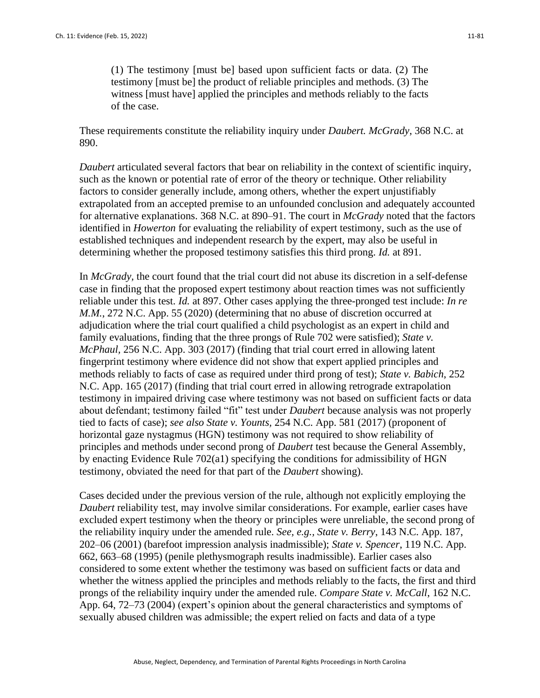(1) The testimony [must be] based upon sufficient facts or data. (2) The testimony [must be] the product of reliable principles and methods. (3) The witness [must have] applied the principles and methods reliably to the facts of the case.

These requirements constitute the reliability inquiry under *Daubert. McGrady*, 368 N.C. at 890.

*Daubert* articulated several factors that bear on reliability in the context of scientific inquiry, such as the known or potential rate of error of the theory or technique. Other reliability factors to consider generally include, among others, whether the expert unjustifiably extrapolated from an accepted premise to an unfounded conclusion and adequately accounted for alternative explanations. 368 N.C. at 890–91. The court in *McGrady* noted that the factors identified in *Howerton* for evaluating the reliability of expert testimony, such as the use of established techniques and independent research by the expert, may also be useful in determining whether the proposed testimony satisfies this third prong. *Id.* at 891.

In *McGrady,* the court found that the trial court did not abuse its discretion in a self-defense case in finding that the proposed expert testimony about reaction times was not sufficiently reliable under this test. *Id.* at 897. Other cases applying the three-pronged test include: *In re M.M.*, 272 N.C. App. 55 (2020) (determining that no abuse of discretion occurred at adjudication where the trial court qualified a child psychologist as an expert in child and family evaluations, finding that the three prongs of Rule 702 were satisfied); *State v. McPhaul,* 256 N.C. App. 303 (2017) (finding that trial court erred in allowing latent fingerprint testimony where evidence did not show that expert applied principles and methods reliably to facts of case as required under third prong of test); *State v. Babich*, 252 N.C. App. 165 (2017) (finding that trial court erred in allowing retrograde extrapolation testimony in impaired driving case where testimony was not based on sufficient facts or data about defendant; testimony failed "fit" test under *Daubert* because analysis was not properly tied to facts of case); *see also State v. Younts,* 254 N.C. App. 581 (2017) (proponent of horizontal gaze nystagmus (HGN) testimony was not required to show reliability of principles and methods under second prong of *Daubert* test because the General Assembly, by enacting Evidence Rule 702(a1) specifying the conditions for admissibility of HGN testimony, obviated the need for that part of the *Daubert* showing).

Cases decided under the previous version of the rule, although not explicitly employing the *Daubert* reliability test, may involve similar considerations. For example, earlier cases have excluded expert testimony when the theory or principles were unreliable, the second prong of the reliability inquiry under the amended rule. *See, e.g., State v. Berry*, 143 N.C. App. 187, 202–06 (2001) (barefoot impression analysis inadmissible); *State v. Spencer*, 119 N.C. App. 662, 663–68 (1995) (penile plethysmograph results inadmissible). Earlier cases also considered to some extent whether the testimony was based on sufficient facts or data and whether the witness applied the principles and methods reliably to the facts, the first and third prongs of the reliability inquiry under the amended rule. *Compare State v. McCall*, 162 N.C. App. 64, 72–73 (2004) (expert's opinion about the general characteristics and symptoms of sexually abused children was admissible; the expert relied on facts and data of a type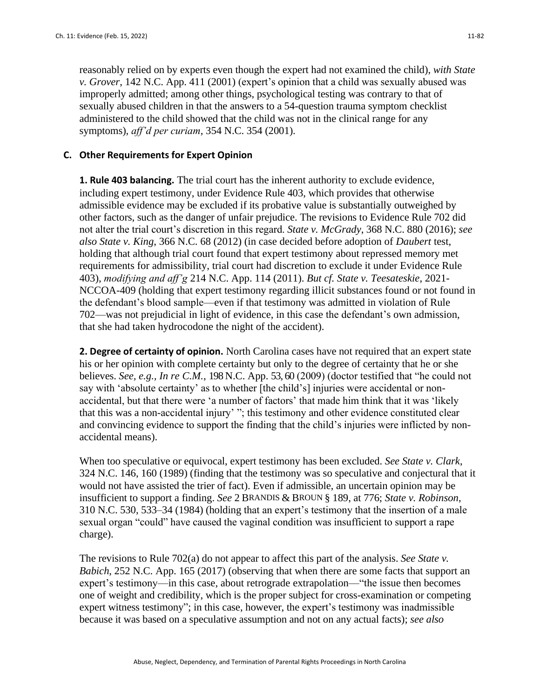reasonably relied on by experts even though the expert had not examined the child), *with State v. Grover*, 142 N.C. App. 411 (2001) (expert's opinion that a child was sexually abused was improperly admitted; among other things, psychological testing was contrary to that of sexually abused children in that the answers to a 54-question trauma symptom checklist administered to the child showed that the child was not in the clinical range for any symptoms), *aff'd per curiam*, 354 N.C. 354 (2001).

### **C. Other Requirements for Expert Opinion**

**1. Rule 403 balancing.** The trial court has the inherent authority to exclude evidence, including expert testimony, under Evidence Rule 403, which provides that otherwise admissible evidence may be excluded if its probative value is substantially outweighed by other factors, such as the danger of unfair prejudice. The revisions to Evidence Rule 702 did not alter the trial court's discretion in this regard. *State v. McGrady*, 368 N.C. 880 (2016); *see also State v. King*, 366 N.C. 68 (2012) (in case decided before adoption of *Daubert* test, holding that although trial court found that expert testimony about repressed memory met requirements for admissibility, trial court had discretion to exclude it under Evidence Rule 403), *modifying and aff'g* 214 N.C. App. 114 (2011). *But cf. State v. Teesateskie*, 2021- NCCOA-409 (holding that expert testimony regarding illicit substances found or not found in the defendant's blood sample—even if that testimony was admitted in violation of Rule 702—was not prejudicial in light of evidence, in this case the defendant's own admission, that she had taken hydrocodone the night of the accident).

**2. Degree of certainty of opinion.** North Carolina cases have not required that an expert state his or her opinion with complete certainty but only to the degree of certainty that he or she believes. *See, e.g., In re C.M.*, 198 N.C. App. 53, 60 (2009) (doctor testified that "he could not say with 'absolute certainty' as to whether [the child's] injuries were accidental or nonaccidental, but that there were 'a number of factors' that made him think that it was 'likely that this was a non-accidental injury' "; this testimony and other evidence constituted clear and convincing evidence to support the finding that the child's injuries were inflicted by nonaccidental means).

When too speculative or equivocal, expert testimony has been excluded. *See State v. Clark*, 324 N.C. 146, 160 (1989) (finding that the testimony was so speculative and conjectural that it would not have assisted the trier of fact). Even if admissible, an uncertain opinion may be insufficient to support a finding. *See* 2 BRANDIS & BROUN § 189, at 776; *State v. Robinson*, 310 N.C. 530, 533–34 (1984) (holding that an expert's testimony that the insertion of a male sexual organ "could" have caused the vaginal condition was insufficient to support a rape charge).

The revisions to Rule 702(a) do not appear to affect this part of the analysis. *See State v. Babich*, 252 N.C. App. 165 (2017) (observing that when there are some facts that support an expert's testimony—in this case, about retrograde extrapolation—"the issue then becomes one of weight and credibility, which is the proper subject for cross-examination or competing expert witness testimony"; in this case, however, the expert's testimony was inadmissible because it was based on a speculative assumption and not on any actual facts); *see also*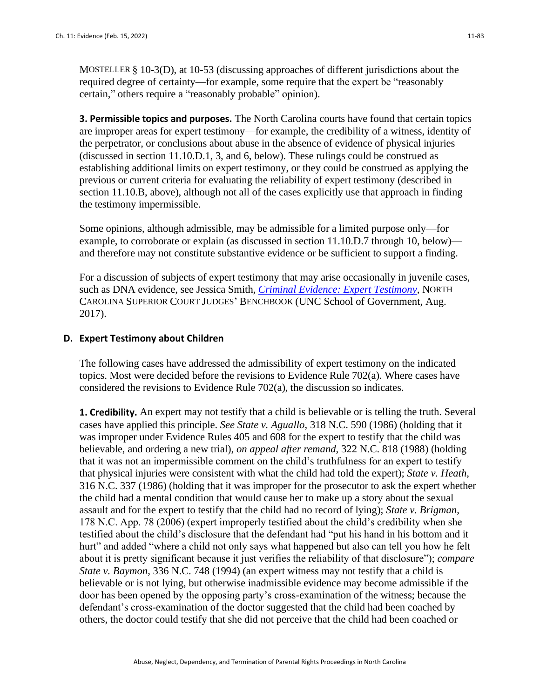MOSTELLER § 10-3(D), at 10-53 (discussing approaches of different jurisdictions about the required degree of certainty—for example, some require that the expert be "reasonably certain," others require a "reasonably probable" opinion).

**3. Permissible topics and purposes.** The North Carolina courts have found that certain topics are improper areas for expert testimony—for example, the credibility of a witness, identity of the perpetrator, or conclusions about abuse in the absence of evidence of physical injuries (discussed in section 11.10.D.1, 3, and 6, below). These rulings could be construed as establishing additional limits on expert testimony, or they could be construed as applying the previous or current criteria for evaluating the reliability of expert testimony (described in section 11.10.B, above), although not all of the cases explicitly use that approach in finding the testimony impermissible.

Some opinions, although admissible, may be admissible for a limited purpose only—for example, to corroborate or explain (as discussed in section 11.10.D.7 through 10, below) and therefore may not constitute substantive evidence or be sufficient to support a finding.

For a discussion of subjects of expert testimony that may arise occasionally in juvenile cases, such as DNA evidence, see Jessica Smith, *[Criminal Evidence: Expert Testimony](http://benchbook.sog.unc.edu/evidence/expert-testimony)*, NORTH CAROLINA SUPERIOR COURT JUDGES' BENCHBOOK (UNC School of Government, Aug. 2017).

#### **D. Expert Testimony about Children**

The following cases have addressed the admissibility of expert testimony on the indicated topics. Most were decided before the revisions to Evidence Rule 702(a). Where cases have considered the revisions to Evidence Rule 702(a), the discussion so indicates.

**1. Credibility.** An expert may not testify that a child is believable or is telling the truth. Several cases have applied this principle. *See State v. Aguallo*, 318 N.C. 590 (1986) (holding that it was improper under Evidence Rules 405 and 608 for the expert to testify that the child was believable, and ordering a new trial), *on appeal after remand*, 322 N.C. 818 (1988) (holding that it was not an impermissible comment on the child's truthfulness for an expert to testify that physical injuries were consistent with what the child had told the expert); *State v. Heath*, 316 N.C. 337 (1986) (holding that it was improper for the prosecutor to ask the expert whether the child had a mental condition that would cause her to make up a story about the sexual assault and for the expert to testify that the child had no record of lying); *State v. Brigman*, 178 N.C. App. 78 (2006) (expert improperly testified about the child's credibility when she testified about the child's disclosure that the defendant had "put his hand in his bottom and it hurt" and added "where a child not only says what happened but also can tell you how he felt about it is pretty significant because it just verifies the reliability of that disclosure"); *compare State v. Baymon*, 336 N.C. 748 (1994) (an expert witness may not testify that a child is believable or is not lying, but otherwise inadmissible evidence may become admissible if the door has been opened by the opposing party's cross-examination of the witness; because the defendant's cross-examination of the doctor suggested that the child had been coached by others, the doctor could testify that she did not perceive that the child had been coached or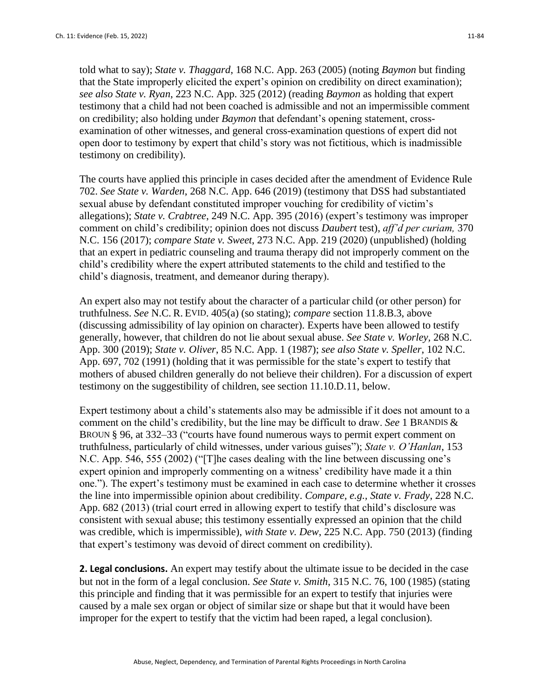told what to say); *State v. Thaggard*, 168 N.C. App. 263 (2005) (noting *Baymon* but finding that the State improperly elicited the expert's opinion on credibility on direct examination); *see also State v. Ryan*, 223 N.C. App. 325 (2012) (reading *Baymon* as holding that expert testimony that a child had not been coached is admissible and not an impermissible comment on credibility; also holding under *Baymon* that defendant's opening statement, crossexamination of other witnesses, and general cross-examination questions of expert did not open door to testimony by expert that child's story was not fictitious, which is inadmissible testimony on credibility).

The courts have applied this principle in cases decided after the amendment of Evidence Rule 702. *See State v. Warden*, 268 N.C. App. 646 (2019) (testimony that DSS had substantiated sexual abuse by defendant constituted improper vouching for credibility of victim's allegations); *State v. Crabtree*, 249 N.C. App. 395 (2016) (expert's testimony was improper comment on child's credibility; opinion does not discuss *Daubert* test), *aff'd per curiam,* 370 N.C. 156 (2017); *compare State v. Sweet*, 273 N.C. App. 219 (2020) (unpublished) (holding that an expert in pediatric counseling and trauma therapy did not improperly comment on the child's credibility where the expert attributed statements to the child and testified to the child's diagnosis, treatment, and demeanor during therapy).

An expert also may not testify about the character of a particular child (or other person) for truthfulness. *See* N.C. R. EVID. 405(a) (so stating); *compare* section 11.8.B.3, above (discussing admissibility of lay opinion on character). Experts have been allowed to testify generally, however, that children do not lie about sexual abuse. *See State v. Worley,* 268 N.C. App. 300 (2019); *State v. Oliver*, 85 N.C. App. 1 (1987); *see also State v. Speller*, 102 N.C. App. 697, 702 (1991) (holding that it was permissible for the state's expert to testify that mothers of abused children generally do not believe their children). For a discussion of expert testimony on the suggestibility of children, see section 11.10.D.11, below.

Expert testimony about a child's statements also may be admissible if it does not amount to a comment on the child's credibility, but the line may be difficult to draw. *See* 1 BRANDIS & BROUN § 96, at 332–33 ("courts have found numerous ways to permit expert comment on truthfulness, particularly of child witnesses, under various guises"); *State v. O'Hanlan*, 153 N.C. App. 546, 555 (2002) ("[T]he cases dealing with the line between discussing one's expert opinion and improperly commenting on a witness' credibility have made it a thin one."). The expert's testimony must be examined in each case to determine whether it crosses the line into impermissible opinion about credibility. *Compare, e.g., State v. Frady*, 228 N.C. App. 682 (2013) (trial court erred in allowing expert to testify that child's disclosure was consistent with sexual abuse; this testimony essentially expressed an opinion that the child was credible, which is impermissible), *with State v. Dew*, 225 N.C. App. 750 (2013) (finding that expert's testimony was devoid of direct comment on credibility).

**2. Legal conclusions.** An expert may testify about the ultimate issue to be decided in the case but not in the form of a legal conclusion. *See State v. Smith*, 315 N.C. 76, 100 (1985) (stating this principle and finding that it was permissible for an expert to testify that injuries were caused by a male sex organ or object of similar size or shape but that it would have been improper for the expert to testify that the victim had been raped, a legal conclusion).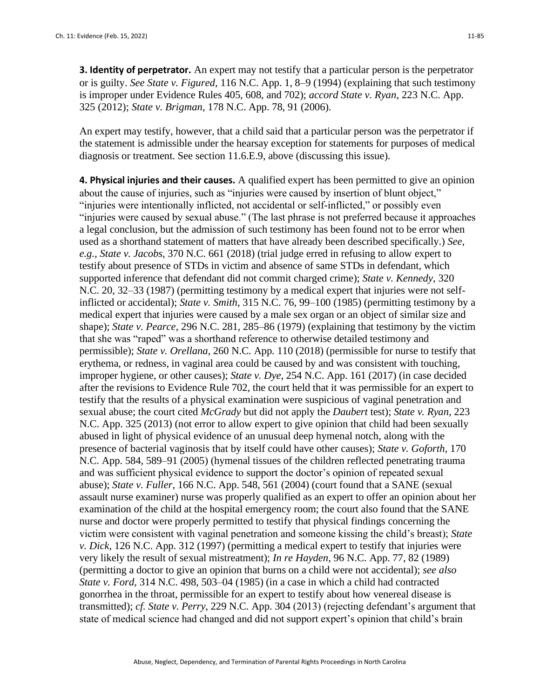**3. Identity of perpetrator.** An expert may not testify that a particular person is the perpetrator or is guilty. *See State v. Figured*, 116 N.C. App. 1, 8–9 (1994) (explaining that such testimony is improper under Evidence Rules 405, 608, and 702); *accord State v. Ryan*, 223 N.C. App. 325 (2012); *State v. Brigman*, 178 N.C. App. 78, 91 (2006).

An expert may testify, however, that a child said that a particular person was the perpetrator if the statement is admissible under the hearsay exception for statements for purposes of medical diagnosis or treatment. See section 11.6.E.9, above (discussing this issue).

**4. Physical injuries and their causes.** A qualified expert has been permitted to give an opinion about the cause of injuries, such as "injuries were caused by insertion of blunt object," "injuries were intentionally inflicted, not accidental or self-inflicted," or possibly even "injuries were caused by sexual abuse." (The last phrase is not preferred because it approaches a legal conclusion, but the admission of such testimony has been found not to be error when used as a shorthand statement of matters that have already been described specifically.) *See, e.g., State v. Jacobs,* 370 N.C. 661 (2018) (trial judge erred in refusing to allow expert to testify about presence of STDs in victim and absence of same STDs in defendant, which supported inference that defendant did not commit charged crime); *State v. Kennedy*, 320 N.C. 20, 32–33 (1987) (permitting testimony by a medical expert that injuries were not selfinflicted or accidental); *State v. Smith*, 315 N.C. 76, 99–100 (1985) (permitting testimony by a medical expert that injuries were caused by a male sex organ or an object of similar size and shape); *State v. Pearce*, 296 N.C. 281, 285–86 (1979) (explaining that testimony by the victim that she was "raped" was a shorthand reference to otherwise detailed testimony and permissible); *State v. Orellana,* 260 N.C. App. 110 (2018) (permissible for nurse to testify that erythema, or redness, in vaginal area could be caused by and was consistent with touching, improper hygiene, or other causes); *State v. Dye*, 254 N.C. App. 161 (2017) (in case decided after the revisions to Evidence Rule 702, the court held that it was permissible for an expert to testify that the results of a physical examination were suspicious of vaginal penetration and sexual abuse; the court cited *McGrady* but did not apply the *Daubert* test); *State v. Ryan*, 223 N.C. App. 325 (2013) (not error to allow expert to give opinion that child had been sexually abused in light of physical evidence of an unusual deep hymenal notch, along with the presence of bacterial vaginosis that by itself could have other causes); *State v. Goforth*, 170 N.C. App. 584, 589–91 (2005) (hymenal tissues of the children reflected penetrating trauma and was sufficient physical evidence to support the doctor's opinion of repeated sexual abuse); *State v. Fuller*, 166 N.C. App. 548, 561 (2004) (court found that a SANE (sexual assault nurse examiner) nurse was properly qualified as an expert to offer an opinion about her examination of the child at the hospital emergency room; the court also found that the SANE nurse and doctor were properly permitted to testify that physical findings concerning the victim were consistent with vaginal penetration and someone kissing the child's breast); *State v. Dick*, 126 N.C. App. 312 (1997) (permitting a medical expert to testify that injuries were very likely the result of sexual mistreatment); *In re Hayden*, 96 N.C. App. 77, 82 (1989) (permitting a doctor to give an opinion that burns on a child were not accidental); *see also State v. Ford*, 314 N.C. 498, 503–04 (1985) (in a case in which a child had contracted gonorrhea in the throat, permissible for an expert to testify about how venereal disease is transmitted); *cf. State v. Perry*, 229 N.C. App. 304 (2013) (rejecting defendant's argument that state of medical science had changed and did not support expert's opinion that child's brain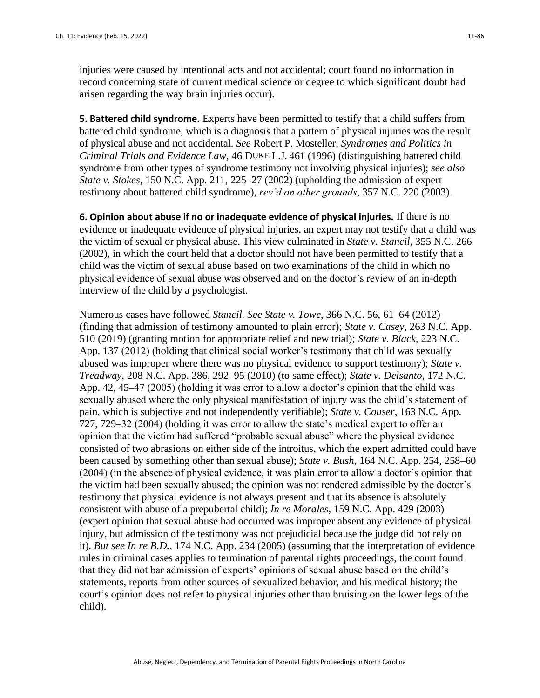injuries were caused by intentional acts and not accidental; court found no information in record concerning state of current medical science or degree to which significant doubt had arisen regarding the way brain injuries occur).

**5. Battered child syndrome.** Experts have been permitted to testify that a child suffers from battered child syndrome, which is a diagnosis that a pattern of physical injuries was the result of physical abuse and not accidental. *See* Robert P. Mosteller, *Syndromes and Politics in Criminal Trials and Evidence Law*, 46 DUKE L.J. 461 (1996) (distinguishing battered child syndrome from other types of syndrome testimony not involving physical injuries); *see also State v. Stokes*, 150 N.C. App. 211, 225–27 (2002) (upholding the admission of expert testimony about battered child syndrome), *rev'd on other grounds*, 357 N.C. 220 (2003).

**6. Opinion about abuse if no or inadequate evidence of physical injuries.** If there is no evidence or inadequate evidence of physical injuries, an expert may not testify that a child was the victim of sexual or physical abuse. This view culminated in *State v. Stancil*, 355 N.C. 266 (2002), in which the court held that a doctor should not have been permitted to testify that a child was the victim of sexual abuse based on two examinations of the child in which no physical evidence of sexual abuse was observed and on the doctor's review of an in-depth interview of the child by a psychologist.

Numerous cases have followed *Stancil. See State v. Towe*, 366 N.C. 56, 61–64 (2012) (finding that admission of testimony amounted to plain error); *State v. Casey*, 263 N.C. App. 510 (2019) (granting motion for appropriate relief and new trial); *State v. Black*, 223 N.C. App. 137 (2012) (holding that clinical social worker's testimony that child was sexually abused was improper where there was no physical evidence to support testimony); *State v. Treadway*, 208 N.C. App. 286, 292–95 (2010) (to same effect); *State v. Delsanto*, 172 N.C. App. 42, 45–47 (2005) (holding it was error to allow a doctor's opinion that the child was sexually abused where the only physical manifestation of injury was the child's statement of pain, which is subjective and not independently verifiable); *State v. Couser*, 163 N.C. App. 727, 729–32 (2004) (holding it was error to allow the state's medical expert to offer an opinion that the victim had suffered "probable sexual abuse" where the physical evidence consisted of two abrasions on either side of the introitus, which the expert admitted could have been caused by something other than sexual abuse); *State v. Bush*, 164 N.C. App. 254, 258–60 (2004) (in the absence of physical evidence, it was plain error to allow a doctor's opinion that the victim had been sexually abused; the opinion was not rendered admissible by the doctor's testimony that physical evidence is not always present and that its absence is absolutely consistent with abuse of a prepubertal child); *In re Morales*, 159 N.C. App. 429 (2003) (expert opinion that sexual abuse had occurred was improper absent any evidence of physical injury, but admission of the testimony was not prejudicial because the judge did not rely on it). *But see In re B.D.*, 174 N.C. App. 234 (2005) (assuming that the interpretation of evidence rules in criminal cases applies to termination of parental rights proceedings, the court found that they did not bar admission of experts' opinions of sexual abuse based on the child's statements, reports from other sources of sexualized behavior, and his medical history; the court's opinion does not refer to physical injuries other than bruising on the lower legs of the child).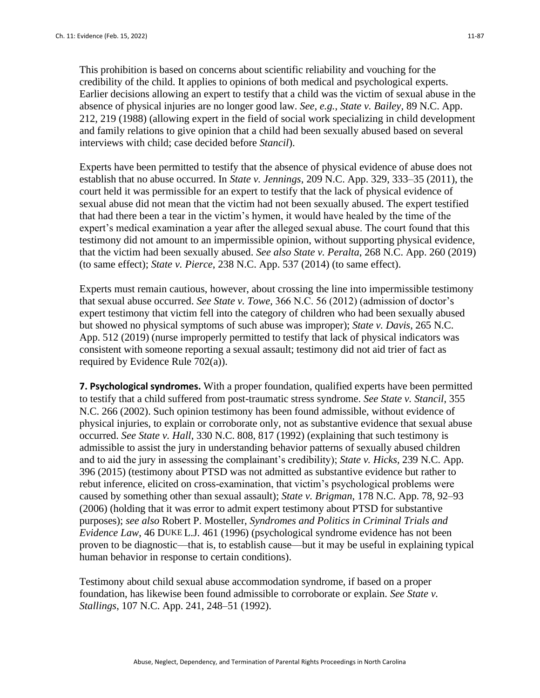This prohibition is based on concerns about scientific reliability and vouching for the credibility of the child. It applies to opinions of both medical and psychological experts. Earlier decisions allowing an expert to testify that a child was the victim of sexual abuse in the absence of physical injuries are no longer good law. *See, e.g.*, *State v. Bailey,* 89 N.C. App. 212, 219 (1988) (allowing expert in the field of social work specializing in child development and family relations to give opinion that a child had been sexually abused based on several interviews with child; case decided before *Stancil*).

Experts have been permitted to testify that the absence of physical evidence of abuse does not establish that no abuse occurred. In *State v. Jennings*, 209 N.C. App. 329, 333–35 (2011), the court held it was permissible for an expert to testify that the lack of physical evidence of sexual abuse did not mean that the victim had not been sexually abused. The expert testified that had there been a tear in the victim's hymen, it would have healed by the time of the expert's medical examination a year after the alleged sexual abuse. The court found that this testimony did not amount to an impermissible opinion, without supporting physical evidence, that the victim had been sexually abused. *See also State v. Peralta*, 268 N.C. App. 260 (2019) (to same effect); *State v. Pierce*, 238 N.C. App. 537 (2014) (to same effect).

Experts must remain cautious, however, about crossing the line into impermissible testimony that sexual abuse occurred. *See State v. Towe*, 366 N.C. 56 (2012) (admission of doctor's expert testimony that victim fell into the category of children who had been sexually abused but showed no physical symptoms of such abuse was improper); *State v. Davis*, 265 N.C. App. 512 (2019) (nurse improperly permitted to testify that lack of physical indicators was consistent with someone reporting a sexual assault; testimony did not aid trier of fact as required by Evidence Rule 702(a)).

**7. Psychological syndromes.** With a proper foundation, qualified experts have been permitted to testify that a child suffered from post-traumatic stress syndrome. *See State v. Stancil*, 355 N.C. 266 (2002). Such opinion testimony has been found admissible, without evidence of physical injuries, to explain or corroborate only, not as substantive evidence that sexual abuse occurred. *See State v. Hall*, 330 N.C. 808, 817 (1992) (explaining that such testimony is admissible to assist the jury in understanding behavior patterns of sexually abused children and to aid the jury in assessing the complainant's credibility); *State v. Hicks,* 239 N.C. App. 396 (2015) (testimony about PTSD was not admitted as substantive evidence but rather to rebut inference, elicited on cross-examination, that victim's psychological problems were caused by something other than sexual assault); *State v. Brigman*, 178 N.C. App. 78, 92–93 (2006) (holding that it was error to admit expert testimony about PTSD for substantive purposes); *see also* Robert P. Mosteller, *Syndromes and Politics in Criminal Trials and Evidence Law*, 46 DUKE L.J. 461 (1996) (psychological syndrome evidence has not been proven to be diagnostic—that is, to establish cause—but it may be useful in explaining typical human behavior in response to certain conditions).

Testimony about child sexual abuse accommodation syndrome, if based on a proper foundation, has likewise been found admissible to corroborate or explain. *See State v. Stallings*, 107 N.C. App. 241, 248–51 (1992).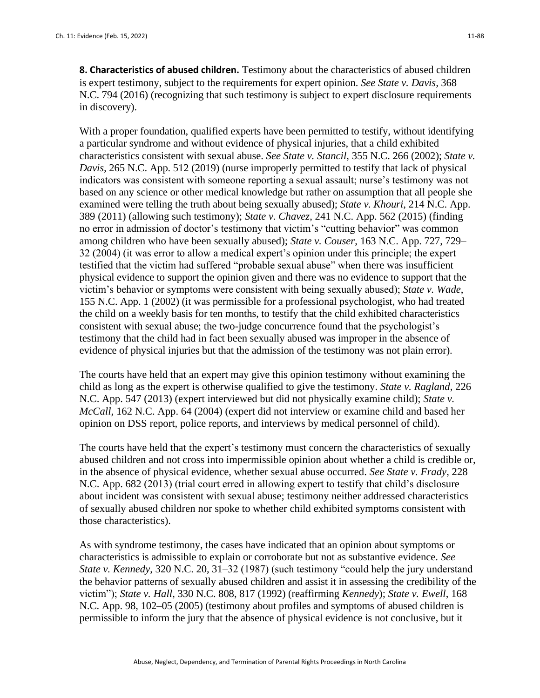**8. Characteristics of abused children.** Testimony about the characteristics of abused children is expert testimony, subject to the requirements for expert opinion. *See State v. Davis,* 368 N.C. 794 (2016) (recognizing that such testimony is subject to expert disclosure requirements in discovery).

With a proper foundation, qualified experts have been permitted to testify, without identifying a particular syndrome and without evidence of physical injuries, that a child exhibited characteristics consistent with sexual abuse. *See State v. Stancil*, 355 N.C. 266 (2002); *State v. Davis,* 265 N.C. App. 512 (2019) (nurse improperly permitted to testify that lack of physical indicators was consistent with someone reporting a sexual assault; nurse's testimony was not based on any science or other medical knowledge but rather on assumption that all people she examined were telling the truth about being sexually abused); *State v. Khouri*, 214 N.C. App. 389 (2011) (allowing such testimony); *State v. Chavez*, 241 N.C. App. 562 (2015) (finding no error in admission of doctor's testimony that victim's "cutting behavior" was common among children who have been sexually abused); *State v. Couser*, 163 N.C. App. 727, 729– 32 (2004) (it was error to allow a medical expert's opinion under this principle; the expert testified that the victim had suffered "probable sexual abuse" when there was insufficient physical evidence to support the opinion given and there was no evidence to support that the victim's behavior or symptoms were consistent with being sexually abused); *State v. Wade*, 155 N.C. App. 1 (2002) (it was permissible for a professional psychologist, who had treated the child on a weekly basis for ten months, to testify that the child exhibited characteristics consistent with sexual abuse; the two-judge concurrence found that the psychologist's testimony that the child had in fact been sexually abused was improper in the absence of evidence of physical injuries but that the admission of the testimony was not plain error).

The courts have held that an expert may give this opinion testimony without examining the child as long as the expert is otherwise qualified to give the testimony. *State v. Ragland*, 226 N.C. App. 547 (2013) (expert interviewed but did not physically examine child); *State v. McCall*, 162 N.C. App. 64 (2004) (expert did not interview or examine child and based her opinion on DSS report, police reports, and interviews by medical personnel of child).

The courts have held that the expert's testimony must concern the characteristics of sexually abused children and not cross into impermissible opinion about whether a child is credible or, in the absence of physical evidence, whether sexual abuse occurred. *See State v. Frady*, 228 N.C. App. 682 (2013) (trial court erred in allowing expert to testify that child's disclosure about incident was consistent with sexual abuse; testimony neither addressed characteristics of sexually abused children nor spoke to whether child exhibited symptoms consistent with those characteristics).

As with syndrome testimony, the cases have indicated that an opinion about symptoms or characteristics is admissible to explain or corroborate but not as substantive evidence. *See State v. Kennedy*, 320 N.C. 20, 31–32 (1987) (such testimony "could help the jury understand the behavior patterns of sexually abused children and assist it in assessing the credibility of the victim"); *State v. Hall*, 330 N.C. 808, 817 (1992) (reaffirming *Kennedy*); *State v. Ewell*, 168 N.C. App. 98, 102–05 (2005) (testimony about profiles and symptoms of abused children is permissible to inform the jury that the absence of physical evidence is not conclusive, but it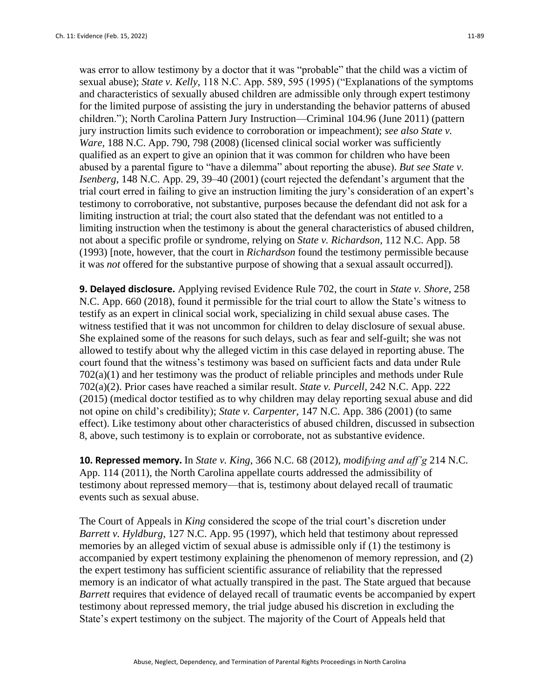was error to allow testimony by a doctor that it was "probable" that the child was a victim of sexual abuse); *State v. Kelly*, 118 N.C. App. 589, 595 (1995) ("Explanations of the symptoms and characteristics of sexually abused children are admissible only through expert testimony for the limited purpose of assisting the jury in understanding the behavior patterns of abused children."); North Carolina Pattern Jury Instruction—Criminal 104.96 (June 2011) (pattern jury instruction limits such evidence to corroboration or impeachment); *see also State v. Ware*, 188 N.C. App. 790, 798 (2008) (licensed clinical social worker was sufficiently qualified as an expert to give an opinion that it was common for children who have been abused by a parental figure to "have a dilemma" about reporting the abuse). *But see State v. Isenberg*, 148 N.C. App. 29, 39–40 (2001) (court rejected the defendant's argument that the trial court erred in failing to give an instruction limiting the jury's consideration of an expert's testimony to corroborative, not substantive, purposes because the defendant did not ask for a limiting instruction at trial; the court also stated that the defendant was not entitled to a limiting instruction when the testimony is about the general characteristics of abused children, not about a specific profile or syndrome, relying on *State v. Richardson*, 112 N.C. App. 58 (1993) [note, however, that the court in *Richardson* found the testimony permissible because it was *not* offered for the substantive purpose of showing that a sexual assault occurred]).

**9. Delayed disclosure.** Applying revised Evidence Rule 702, the court in *State v. Shore*, 258 N.C. App. 660 (2018), found it permissible for the trial court to allow the State's witness to testify as an expert in clinical social work, specializing in child sexual abuse cases. The witness testified that it was not uncommon for children to delay disclosure of sexual abuse. She explained some of the reasons for such delays, such as fear and self-guilt; she was not allowed to testify about why the alleged victim in this case delayed in reporting abuse. The court found that the witness's testimony was based on sufficient facts and data under Rule 702(a)(1) and her testimony was the product of reliable principles and methods under Rule 702(a)(2). Prior cases have reached a similar result. *State v. Purcell*, 242 N.C. App. 222 (2015) (medical doctor testified as to why children may delay reporting sexual abuse and did not opine on child's credibility); *State v. Carpenter*, 147 N.C. App. 386 (2001) (to same effect). Like testimony about other characteristics of abused children, discussed in subsection 8, above, such testimony is to explain or corroborate, not as substantive evidence.

**10. Repressed memory.** In *State v. King*, 366 N.C. 68 (2012), *modifying and aff'g* 214 N.C. App. 114 (2011), the North Carolina appellate courts addressed the admissibility of testimony about repressed memory—that is, testimony about delayed recall of traumatic events such as sexual abuse.

The Court of Appeals in *King* considered the scope of the trial court's discretion under *Barrett v. Hyldburg*, 127 N.C. App. 95 (1997), which held that testimony about repressed memories by an alleged victim of sexual abuse is admissible only if (1) the testimony is accompanied by expert testimony explaining the phenomenon of memory repression, and (2) the expert testimony has sufficient scientific assurance of reliability that the repressed memory is an indicator of what actually transpired in the past. The State argued that because *Barrett* requires that evidence of delayed recall of traumatic events be accompanied by expert testimony about repressed memory, the trial judge abused his discretion in excluding the State's expert testimony on the subject. The majority of the Court of Appeals held that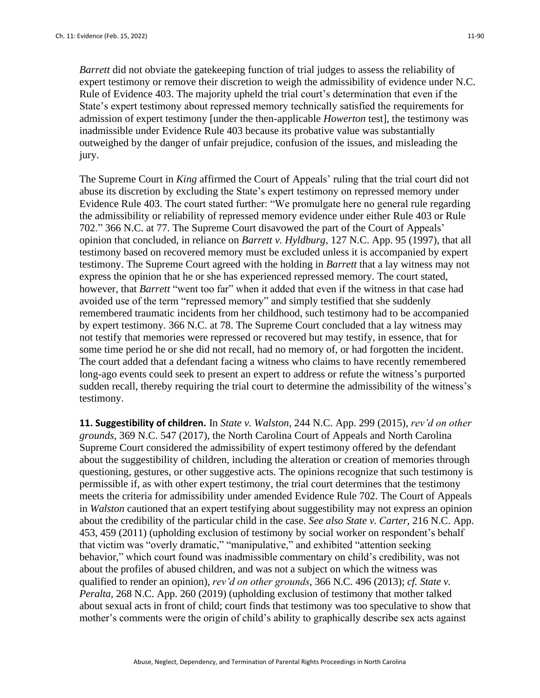*Barrett* did not obviate the gatekeeping function of trial judges to assess the reliability of expert testimony or remove their discretion to weigh the admissibility of evidence under N.C. Rule of Evidence 403. The majority upheld the trial court's determination that even if the State's expert testimony about repressed memory technically satisfied the requirements for admission of expert testimony [under the then-applicable *Howerton* test], the testimony was inadmissible under Evidence Rule 403 because its probative value was substantially outweighed by the danger of unfair prejudice, confusion of the issues, and misleading the jury.

The Supreme Court in *King* affirmed the Court of Appeals' ruling that the trial court did not abuse its discretion by excluding the State's expert testimony on repressed memory under Evidence Rule 403. The court stated further: "We promulgate here no general rule regarding the admissibility or reliability of repressed memory evidence under either Rule 403 or Rule 702." 366 N.C. at 77. The Supreme Court disavowed the part of the Court of Appeals' opinion that concluded, in reliance on *Barrett v. Hyldburg*, 127 N.C. App. 95 (1997), that all testimony based on recovered memory must be excluded unless it is accompanied by expert testimony. The Supreme Court agreed with the holding in *Barrett* that a lay witness may not express the opinion that he or she has experienced repressed memory. The court stated, however, that *Barrett* "went too far" when it added that even if the witness in that case had avoided use of the term "repressed memory" and simply testified that she suddenly remembered traumatic incidents from her childhood, such testimony had to be accompanied by expert testimony. 366 N.C. at 78. The Supreme Court concluded that a lay witness may not testify that memories were repressed or recovered but may testify, in essence, that for some time period he or she did not recall, had no memory of, or had forgotten the incident. The court added that a defendant facing a witness who claims to have recently remembered long-ago events could seek to present an expert to address or refute the witness's purported sudden recall, thereby requiring the trial court to determine the admissibility of the witness's testimony.

**11. Suggestibility of children.** In *State v. Walston,* 244 N.C. App. 299 (2015), *rev'd on other grounds*, 369 N.C. 547 (2017), the North Carolina Court of Appeals and North Carolina Supreme Court considered the admissibility of expert testimony offered by the defendant about the suggestibility of children, including the alteration or creation of memories through questioning, gestures, or other suggestive acts. The opinions recognize that such testimony is permissible if, as with other expert testimony, the trial court determines that the testimony meets the criteria for admissibility under amended Evidence Rule 702. The Court of Appeals in *Walston* cautioned that an expert testifying about suggestibility may not express an opinion about the credibility of the particular child in the case. *See also State v. Carter*, 216 N.C. App. 453, 459 (2011) (upholding exclusion of testimony by social worker on respondent's behalf that victim was "overly dramatic," "manipulative," and exhibited "attention seeking behavior," which court found was inadmissible commentary on child's credibility, was not about the profiles of abused children, and was not a subject on which the witness was qualified to render an opinion), *rev'd on other grounds*, 366 N.C. 496 (2013); *cf. State v. Peralta,* 268 N.C. App. 260 (2019) (upholding exclusion of testimony that mother talked about sexual acts in front of child; court finds that testimony was too speculative to show that mother's comments were the origin of child's ability to graphically describe sex acts against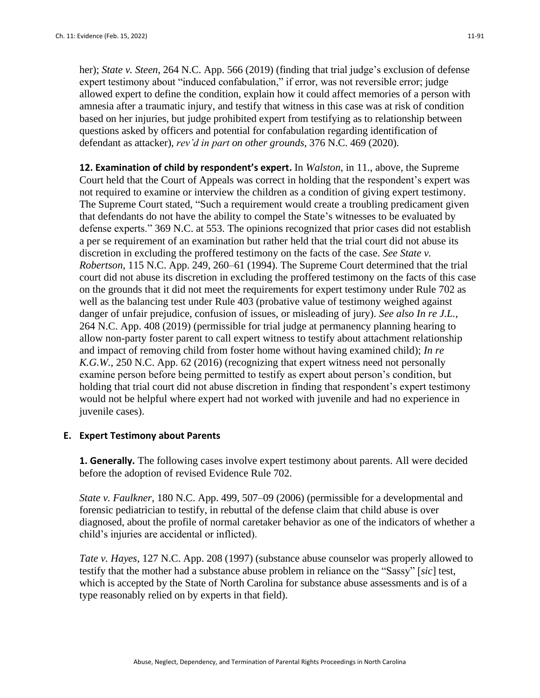her); *State v. Steen*, 264 N.C. App. 566 (2019) (finding that trial judge's exclusion of defense expert testimony about "induced confabulation," if error, was not reversible error; judge allowed expert to define the condition, explain how it could affect memories of a person with amnesia after a traumatic injury, and testify that witness in this case was at risk of condition based on her injuries, but judge prohibited expert from testifying as to relationship between questions asked by officers and potential for confabulation regarding identification of defendant as attacker), *rev'd in part on other grounds*, 376 N.C. 469 (2020).

**12. Examination of child by respondent's expert.** In *Walston*, in 11., above, the Supreme Court held that the Court of Appeals was correct in holding that the respondent's expert was not required to examine or interview the children as a condition of giving expert testimony. The Supreme Court stated, "Such a requirement would create a troubling predicament given that defendants do not have the ability to compel the State's witnesses to be evaluated by defense experts." 369 N.C. at 553. The opinions recognized that prior cases did not establish a per se requirement of an examination but rather held that the trial court did not abuse its discretion in excluding the proffered testimony on the facts of the case. *See State v. Robertson*, 115 N.C. App. 249, 260–61 (1994). The Supreme Court determined that the trial court did not abuse its discretion in excluding the proffered testimony on the facts of this case on the grounds that it did not meet the requirements for expert testimony under Rule 702 as well as the balancing test under Rule 403 (probative value of testimony weighed against danger of unfair prejudice, confusion of issues, or misleading of jury). *See also In re J.L.*, 264 N.C. App. 408 (2019) (permissible for trial judge at permanency planning hearing to allow non-party foster parent to call expert witness to testify about attachment relationship and impact of removing child from foster home without having examined child); *In re K.G.W.*, 250 N.C. App. 62 (2016) (recognizing that expert witness need not personally examine person before being permitted to testify as expert about person's condition, but holding that trial court did not abuse discretion in finding that respondent's expert testimony would not be helpful where expert had not worked with juvenile and had no experience in juvenile cases).

## **E. Expert Testimony about Parents**

**1. Generally.** The following cases involve expert testimony about parents. All were decided before the adoption of revised Evidence Rule 702.

*State v. Faulkner*, 180 N.C. App. 499, 507–09 (2006) (permissible for a developmental and forensic pediatrician to testify, in rebuttal of the defense claim that child abuse is over diagnosed, about the profile of normal caretaker behavior as one of the indicators of whether a child's injuries are accidental or inflicted).

*Tate v. Hayes*, 127 N.C. App. 208 (1997) (substance abuse counselor was properly allowed to testify that the mother had a substance abuse problem in reliance on the "Sassy" [*sic*] test, which is accepted by the State of North Carolina for substance abuse assessments and is of a type reasonably relied on by experts in that field).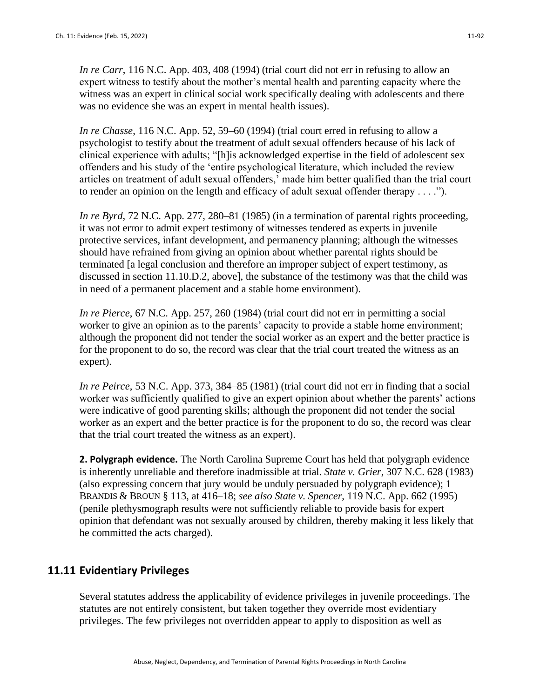*In re Carr*, 116 N.C. App. 403, 408 (1994) (trial court did not err in refusing to allow an expert witness to testify about the mother's mental health and parenting capacity where the witness was an expert in clinical social work specifically dealing with adolescents and there was no evidence she was an expert in mental health issues).

*In re Chasse*, 116 N.C. App. 52, 59–60 (1994) (trial court erred in refusing to allow a psychologist to testify about the treatment of adult sexual offenders because of his lack of clinical experience with adults; "[h]is acknowledged expertise in the field of adolescent sex offenders and his study of the 'entire psychological literature, which included the review articles on treatment of adult sexual offenders,' made him better qualified than the trial court to render an opinion on the length and efficacy of adult sexual offender therapy . . . .").

*In re Byrd*, 72 N.C. App. 277, 280–81 (1985) (in a termination of parental rights proceeding, it was not error to admit expert testimony of witnesses tendered as experts in juvenile protective services, infant development, and permanency planning; although the witnesses should have refrained from giving an opinion about whether parental rights should be terminated [a legal conclusion and therefore an improper subject of expert testimony, as discussed in section 11.10.D.2, above], the substance of the testimony was that the child was in need of a permanent placement and a stable home environment).

*In re Pierce*, 67 N.C. App. 257, 260 (1984) (trial court did not err in permitting a social worker to give an opinion as to the parents' capacity to provide a stable home environment; although the proponent did not tender the social worker as an expert and the better practice is for the proponent to do so, the record was clear that the trial court treated the witness as an expert).

*In re Peirce*, 53 N.C. App. 373, 384–85 (1981) (trial court did not err in finding that a social worker was sufficiently qualified to give an expert opinion about whether the parents' actions were indicative of good parenting skills; although the proponent did not tender the social worker as an expert and the better practice is for the proponent to do so, the record was clear that the trial court treated the witness as an expert).

**2. Polygraph evidence.** The North Carolina Supreme Court has held that polygraph evidence is inherently unreliable and therefore inadmissible at trial. *State v. Grier*, 307 N.C. 628 (1983) (also expressing concern that jury would be unduly persuaded by polygraph evidence); 1 BRANDIS & BROUN § 113, at 416–18; *see also State v. Spencer*, 119 N.C. App. 662 (1995) (penile plethysmograph results were not sufficiently reliable to provide basis for expert opinion that defendant was not sexually aroused by children, thereby making it less likely that he committed the acts charged).

# **11.11 Evidentiary Privileges**

Several statutes address the applicability of evidence privileges in juvenile proceedings. The statutes are not entirely consistent, but taken together they override most evidentiary privileges. The few privileges not overridden appear to apply to disposition as well as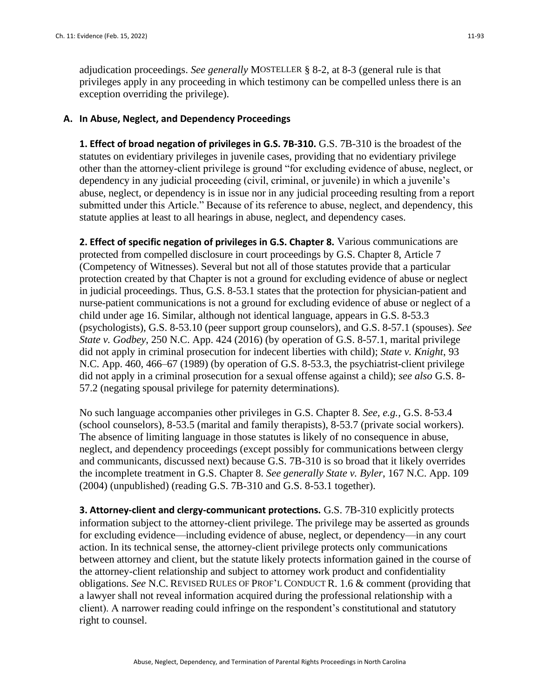adjudication proceedings. *See generally* MOSTELLER § 8-2, at 8-3 (general rule is that privileges apply in any proceeding in which testimony can be compelled unless there is an exception overriding the privilege).

#### **A. In Abuse, Neglect, and Dependency Proceedings**

**1. Effect of broad negation of privileges in G.S. 7B-310.** G.S. 7B-310 is the broadest of the statutes on evidentiary privileges in juvenile cases, providing that no evidentiary privilege other than the attorney-client privilege is ground "for excluding evidence of abuse, neglect, or dependency in any judicial proceeding (civil, criminal, or juvenile) in which a juvenile's abuse, neglect, or dependency is in issue nor in any judicial proceeding resulting from a report submitted under this Article." Because of its reference to abuse, neglect, and dependency, this statute applies at least to all hearings in abuse, neglect, and dependency cases.

**2. Effect of specific negation of privileges in G.S. Chapter 8.** Various communications are protected from compelled disclosure in court proceedings by G.S. Chapter 8, Article 7 (Competency of Witnesses). Several but not all of those statutes provide that a particular protection created by that Chapter is not a ground for excluding evidence of abuse or neglect in judicial proceedings. Thus, G.S. 8-53.1 states that the protection for physician-patient and nurse-patient communications is not a ground for excluding evidence of abuse or neglect of a child under age 16. Similar, although not identical language, appears in G.S. 8-53.3 (psychologists), G.S. 8-53.10 (peer support group counselors), and G.S. 8-57.1 (spouses). *See State v. Godbey*, 250 N.C. App. 424 (2016) (by operation of G.S. 8-57.1, marital privilege did not apply in criminal prosecution for indecent liberties with child); *State v. Knight*, 93 N.C. App. 460, 466–67 (1989) (by operation of G.S. 8-53.3, the psychiatrist-client privilege did not apply in a criminal prosecution for a sexual offense against a child); *see also* G.S. 8- 57.2 (negating spousal privilege for paternity determinations).

No such language accompanies other privileges in G.S. Chapter 8. *See, e.g.,* G.S. 8-53.4 (school counselors), 8-53.5 (marital and family therapists), 8-53.7 (private social workers). The absence of limiting language in those statutes is likely of no consequence in abuse, neglect, and dependency proceedings (except possibly for communications between clergy and communicants, discussed next) because G.S. 7B-310 is so broad that it likely overrides the incomplete treatment in G.S. Chapter 8. *See generally State v. Byler*, 167 N.C. App. 109 (2004) (unpublished) (reading G.S. 7B-310 and G.S. 8-53.1 together).

**3. Attorney-client and clergy-communicant protections.** G.S. 7B-310 explicitly protects information subject to the attorney-client privilege. The privilege may be asserted as grounds for excluding evidence—including evidence of abuse, neglect, or dependency—in any court action. In its technical sense, the attorney-client privilege protects only communications between attorney and client, but the statute likely protects information gained in the course of the attorney-client relationship and subject to attorney work product and confidentiality obligations. *See* N.C. REVISED RULES OF PROF'L CONDUCT R. 1.6 & comment (providing that a lawyer shall not reveal information acquired during the professional relationship with a client). A narrower reading could infringe on the respondent's constitutional and statutory right to counsel.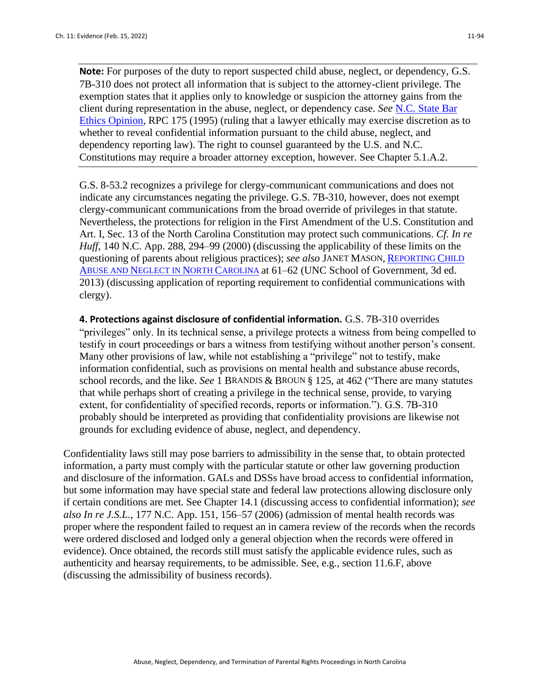**Note:** For purposes of the duty to report suspected child abuse, neglect, or dependency, G.S. 7B-310 does not protect all information that is subject to the attorney-client privilege. The exemption states that it applies only to knowledge or suspicion the attorney gains from the client during representation in the abuse, neglect, or dependency case. *See* [N.C. State Bar](http://www.ncbar.com/ethics/)  [Ethics Opinion,](http://www.ncbar.com/ethics/) RPC 175 (1995) (ruling that a lawyer ethically may exercise discretion as to whether to reveal confidential information pursuant to the child abuse, neglect, and dependency reporting law). The right to counsel guaranteed by the U.S. and N.C. Constitutions may require a broader attorney exception, however. See Chapter 5.1.A.2.

G.S. 8-53.2 recognizes a privilege for clergy-communicant communications and does not indicate any circumstances negating the privilege. G.S. 7B-310, however, does not exempt clergy-communicant communications from the broad override of privileges in that statute. Nevertheless, the protections for religion in the First Amendment of the U.S. Constitution and Art. I, Sec. 13 of the North Carolina Constitution may protect such communications. *Cf. In re Huff*, 140 N.C. App. 288, 294–99 (2000) (discussing the applicability of these limits on the questioning of parents about religious practices); *see also* JANET MASON, R[EPORTING](http://www.sog.unc.edu/node/31116) CHILD ABUSE AND N[EGLECT IN](http://www.sog.unc.edu/node/31116) NORTH CAROLINA at 61–62 (UNC School of Government, 3d ed. 2013) (discussing application of reporting requirement to confidential communications with clergy).

**4. Protections against disclosure of confidential information.** G.S. 7B-310 overrides "privileges" only. In its technical sense, a privilege protects a witness from being compelled to testify in court proceedings or bars a witness from testifying without another person's consent. Many other provisions of law, while not establishing a "privilege" not to testify, make information confidential, such as provisions on mental health and substance abuse records, school records, and the like. *See* 1 BRANDIS & BROUN § 125, at 462 ("There are many statutes that while perhaps short of creating a privilege in the technical sense, provide, to varying extent, for confidentiality of specified records, reports or information."). G.S. 7B-310 probably should be interpreted as providing that confidentiality provisions are likewise not grounds for excluding evidence of abuse, neglect, and dependency.

Confidentiality laws still may pose barriers to admissibility in the sense that, to obtain protected information, a party must comply with the particular statute or other law governing production and disclosure of the information. GALs and DSSs have broad access to confidential information, but some information may have special state and federal law protections allowing disclosure only if certain conditions are met. See Chapter 14.1 (discussing access to confidential information); *see also In re J.S.L.*, 177 N.C. App. 151, 156–57 (2006) (admission of mental health records was proper where the respondent failed to request an in camera review of the records when the records were ordered disclosed and lodged only a general objection when the records were offered in evidence). Once obtained, the records still must satisfy the applicable evidence rules, such as authenticity and hearsay requirements, to be admissible. See, e.g*.,* section 11.6.F, above (discussing the admissibility of business records).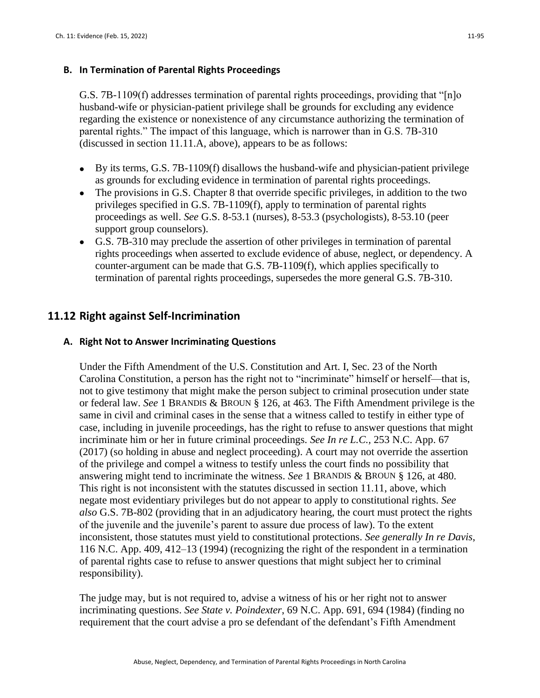## **B. In Termination of Parental Rights Proceedings**

G.S. 7B-1109(f) addresses termination of parental rights proceedings, providing that "[n]o husband-wife or physician-patient privilege shall be grounds for excluding any evidence regarding the existence or nonexistence of any circumstance authorizing the termination of parental rights." The impact of this language, which is narrower than in G.S. 7B-310 (discussed in section 11.11.A, above), appears to be as follows:

- By its terms, G.S. 7B-1109(f) disallows the husband-wife and physician-patient privilege as grounds for excluding evidence in termination of parental rights proceedings.
- The provisions in G.S. Chapter 8 that override specific privileges, in addition to the two privileges specified in G.S. 7B-1109(f), apply to termination of parental rights proceedings as well. *See* G.S. 8-53.1 (nurses), 8-53.3 (psychologists), 8-53.10 (peer support group counselors).
- G.S. 7B-310 may preclude the assertion of other privileges in termination of parental rights proceedings when asserted to exclude evidence of abuse, neglect, or dependency. A counter-argument can be made that G.S. 7B-1109(f), which applies specifically to termination of parental rights proceedings, supersedes the more general G.S. 7B-310.

## **11.12 Right against Self-Incrimination**

## **A. Right Not to Answer Incriminating Questions**

Under the Fifth Amendment of the U.S. Constitution and Art. I, Sec. 23 of the North Carolina Constitution, a person has the right not to "incriminate" himself or herself—that is, not to give testimony that might make the person subject to criminal prosecution under state or federal law. *See* 1 BRANDIS & BROUN § 126, at 463. The Fifth Amendment privilege is the same in civil and criminal cases in the sense that a witness called to testify in either type of case, including in juvenile proceedings, has the right to refuse to answer questions that might incriminate him or her in future criminal proceedings. *See In re L.C.,* 253 N.C. App. 67 (2017) (so holding in abuse and neglect proceeding). A court may not override the assertion of the privilege and compel a witness to testify unless the court finds no possibility that answering might tend to incriminate the witness. *See* 1 BRANDIS & BROUN § 126, at 480. This right is not inconsistent with the statutes discussed in section 11.11, above, which negate most evidentiary privileges but do not appear to apply to constitutional rights. *See also* G.S. 7B-802 (providing that in an adjudicatory hearing, the court must protect the rights of the juvenile and the juvenile's parent to assure due process of law). To the extent inconsistent, those statutes must yield to constitutional protections. *See generally In re Davis*, 116 N.C. App. 409, 412–13 (1994) (recognizing the right of the respondent in a termination of parental rights case to refuse to answer questions that might subject her to criminal responsibility).

The judge may, but is not required to, advise a witness of his or her right not to answer incriminating questions. *See State v. Poindexter*, 69 N.C. App. 691, 694 (1984) (finding no requirement that the court advise a pro se defendant of the defendant's Fifth Amendment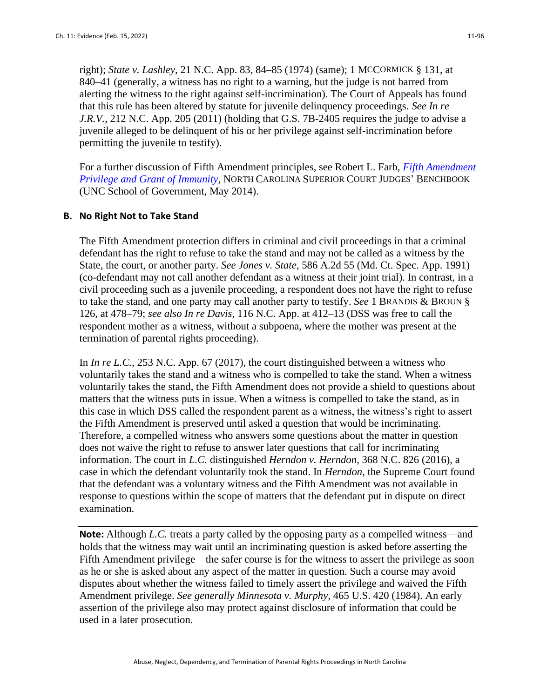right); *State v. Lashley*, 21 N.C. App. 83, 84–85 (1974) (same); 1 MCCORMICK § 131, at 840–41 (generally, a witness has no right to a warning, but the judge is not barred from alerting the witness to the right against self-incrimination). The Court of Appeals has found that this rule has been altered by statute for juvenile delinquency proceedings. *See In re J.R.V.*, 212 N.C. App. 205 (2011) (holding that G.S. 7B-2405 requires the judge to advise a juvenile alleged to be delinquent of his or her privilege against self-incrimination before permitting the juvenile to testify).

For a further discussion of Fifth Amendment principles, see Robert L. Farb, *[Fifth Amendment](http://benchbook.sog.unc.edu/criminal/5th-amend-privilege-immunity)  [Privilege and Grant of Immunity](http://benchbook.sog.unc.edu/criminal/5th-amend-privilege-immunity)*, NORTH CAROLINA SUPERIOR COURT JUDGES' BENCHBOOK (UNC School of Government, May 2014).

#### **B. No Right Not to Take Stand**

The Fifth Amendment protection differs in criminal and civil proceedings in that a criminal defendant has the right to refuse to take the stand and may not be called as a witness by the State, the court, or another party. *See Jones v. State*, 586 A.2d 55 (Md. Ct. Spec. App. 1991) (co-defendant may not call another defendant as a witness at their joint trial). In contrast, in a civil proceeding such as a juvenile proceeding, a respondent does not have the right to refuse to take the stand, and one party may call another party to testify. *See* 1 BRANDIS & BROUN § 126, at 478–79; *see also In re Davis*, 116 N.C. App. at 412–13 (DSS was free to call the respondent mother as a witness, without a subpoena, where the mother was present at the termination of parental rights proceeding).

In *In re L.C.*, 253 N.C. App. 67 (2017), the court distinguished between a witness who voluntarily takes the stand and a witness who is compelled to take the stand. When a witness voluntarily takes the stand, the Fifth Amendment does not provide a shield to questions about matters that the witness puts in issue. When a witness is compelled to take the stand, as in this case in which DSS called the respondent parent as a witness, the witness's right to assert the Fifth Amendment is preserved until asked a question that would be incriminating. Therefore, a compelled witness who answers some questions about the matter in question does not waive the right to refuse to answer later questions that call for incriminating information. The court in *L.C.* distinguished *Herndon v. Herndon*, 368 N.C. 826 (2016), a case in which the defendant voluntarily took the stand. In *Herndon*, the Supreme Court found that the defendant was a voluntary witness and the Fifth Amendment was not available in response to questions within the scope of matters that the defendant put in dispute on direct examination.

**Note:** Although *L.C.* treats a party called by the opposing party as a compelled witness—and holds that the witness may wait until an incriminating question is asked before asserting the Fifth Amendment privilege—the safer course is for the witness to assert the privilege as soon as he or she is asked about any aspect of the matter in question. Such a course may avoid disputes about whether the witness failed to timely assert the privilege and waived the Fifth Amendment privilege. *See generally Minnesota v. Murphy,* 465 U.S. 420 (1984). An early assertion of the privilege also may protect against disclosure of information that could be used in a later prosecution.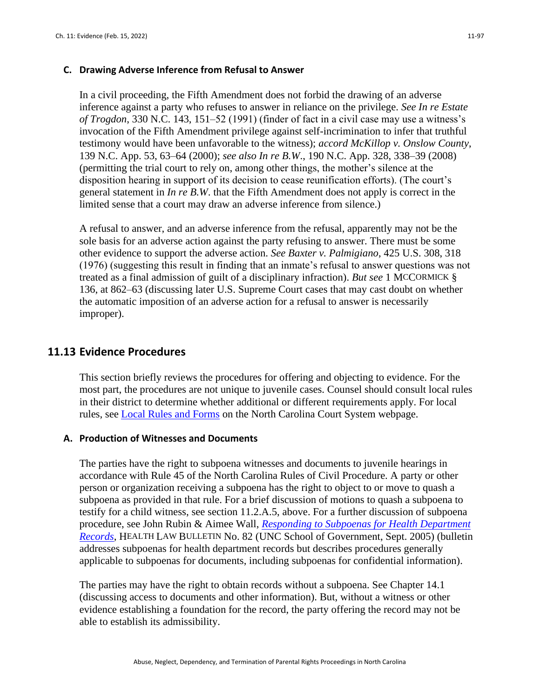#### **C. Drawing Adverse Inference from Refusal to Answer**

In a civil proceeding, the Fifth Amendment does not forbid the drawing of an adverse inference against a party who refuses to answer in reliance on the privilege. *See In re Estate of Trogdon*, 330 N.C. 143, 151–52 (1991) (finder of fact in a civil case may use a witness's invocation of the Fifth Amendment privilege against self-incrimination to infer that truthful testimony would have been unfavorable to the witness); *accord McKillop v. Onslow County*, 139 N.C. App. 53, 63–64 (2000); *see also In re B.W*., 190 N.C. App. 328, 338–39 (2008) (permitting the trial court to rely on, among other things, the mother's silence at the disposition hearing in support of its decision to cease reunification efforts). (The court's general statement in *In re B.W*. that the Fifth Amendment does not apply is correct in the limited sense that a court may draw an adverse inference from silence.)

A refusal to answer, and an adverse inference from the refusal, apparently may not be the sole basis for an adverse action against the party refusing to answer. There must be some other evidence to support the adverse action. *See Baxter v. Palmigiano*, 425 U.S. 308, 318 (1976) (suggesting this result in finding that an inmate's refusal to answer questions was not treated as a final admission of guilt of a disciplinary infraction). *But see* 1 MCCORMICK § 136, at 862–63 (discussing later U.S. Supreme Court cases that may cast doubt on whether the automatic imposition of an adverse action for a refusal to answer is necessarily improper).

## **11.13 Evidence Procedures**

This section briefly reviews the procedures for offering and objecting to evidence. For the most part, the procedures are not unique to juvenile cases. Counsel should consult local rules in their district to determine whether additional or different requirements apply. For local rules, see [Local Rules and Forms](https://www.nccourts.gov/documents/local-rules-and-forms) on the North Carolina Court System webpage.

#### **A. Production of Witnesses and Documents**

The parties have the right to subpoena witnesses and documents to juvenile hearings in accordance with Rule 45 of the North Carolina Rules of Civil Procedure. A party or other person or organization receiving a subpoena has the right to object to or move to quash a subpoena as provided in that rule. For a brief discussion of motions to quash a subpoena to testify for a child witness, see section 11.2.A.5, above. For a further discussion of subpoena procedure, see John Rubin & Aimee Wall, *[Responding to Subpoenas for Health Department](https://www.sog.unc.edu/sites/www.sog.unc.edu/files/reports/hlb82.pdf)  [Records](https://www.sog.unc.edu/sites/www.sog.unc.edu/files/reports/hlb82.pdf)*, HEALTH LAW BULLETIN No. 82 (UNC School of Government, Sept. 2005) (bulletin addresses subpoenas for health department records but describes procedures generally applicable to subpoenas for documents, including subpoenas for confidential information).

The parties may have the right to obtain records without a subpoena. See Chapter 14.1 (discussing access to documents and other information). But, without a witness or other evidence establishing a foundation for the record, the party offering the record may not be able to establish its admissibility.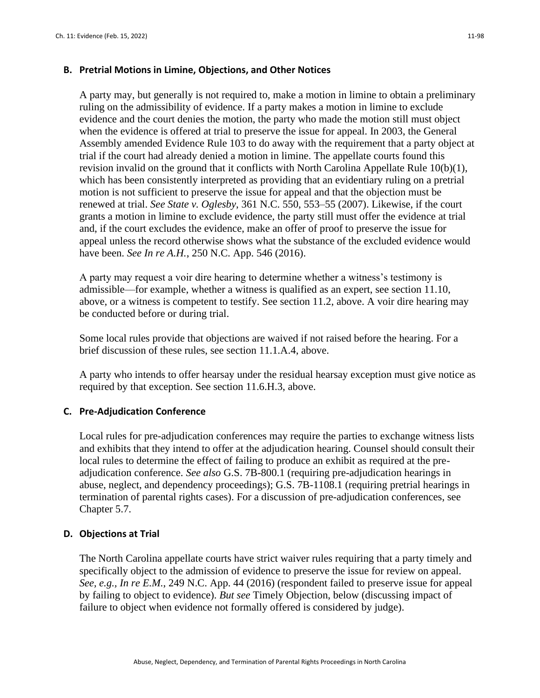#### **B. Pretrial Motions in Limine, Objections, and Other Notices**

A party may, but generally is not required to, make a motion in limine to obtain a preliminary ruling on the admissibility of evidence. If a party makes a motion in limine to exclude evidence and the court denies the motion, the party who made the motion still must object when the evidence is offered at trial to preserve the issue for appeal. In 2003, the General Assembly amended Evidence Rule 103 to do away with the requirement that a party object at trial if the court had already denied a motion in limine. The appellate courts found this revision invalid on the ground that it conflicts with North Carolina Appellate Rule 10(b)(1), which has been consistently interpreted as providing that an evidentiary ruling on a pretrial motion is not sufficient to preserve the issue for appeal and that the objection must be renewed at trial. *See State v. Oglesby*, 361 N.C. 550, 553–55 (2007). Likewise, if the court grants a motion in limine to exclude evidence, the party still must offer the evidence at trial and, if the court excludes the evidence, make an offer of proof to preserve the issue for appeal unless the record otherwise shows what the substance of the excluded evidence would have been. *See In re A.H.*, 250 N.C. App. 546 (2016).

A party may request a voir dire hearing to determine whether a witness's testimony is admissible—for example, whether a witness is qualified as an expert, see section 11.10, above, or a witness is competent to testify. See section 11.2, above. A voir dire hearing may be conducted before or during trial.

Some local rules provide that objections are waived if not raised before the hearing. For a brief discussion of these rules, see section 11.1.A.4, above.

A party who intends to offer hearsay under the residual hearsay exception must give notice as required by that exception. See section 11.6.H.3, above.

## **C. Pre-Adjudication Conference**

Local rules for pre-adjudication conferences may require the parties to exchange witness lists and exhibits that they intend to offer at the adjudication hearing. Counsel should consult their local rules to determine the effect of failing to produce an exhibit as required at the preadjudication conference. *See also* G.S. 7B-800.1 (requiring pre-adjudication hearings in abuse, neglect, and dependency proceedings); G.S. 7B-1108.1 (requiring pretrial hearings in termination of parental rights cases). For a discussion of pre-adjudication conferences, see Chapter 5.7.

#### **D. Objections at Trial**

The North Carolina appellate courts have strict waiver rules requiring that a party timely and specifically object to the admission of evidence to preserve the issue for review on appeal. *See, e.g., In re E.M.*, 249 N.C. App. 44 (2016) (respondent failed to preserve issue for appeal by failing to object to evidence). *But see* Timely Objection, below (discussing impact of failure to object when evidence not formally offered is considered by judge).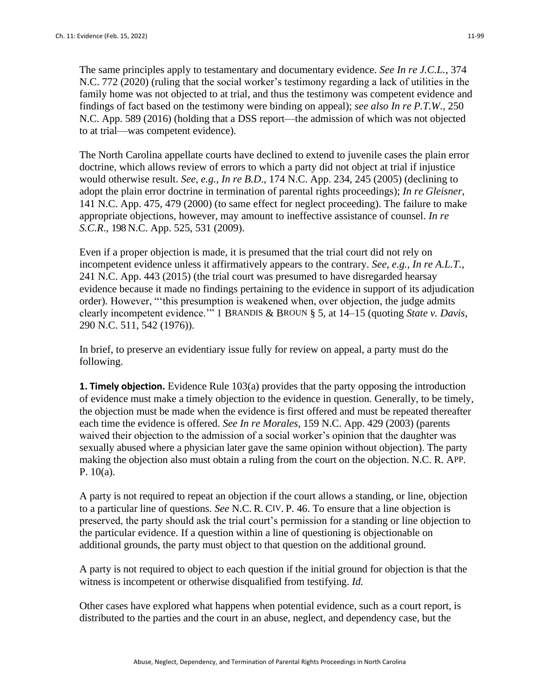The same principles apply to testamentary and documentary evidence. *See In re J.C.L.*, 374 N.C. 772 (2020) (ruling that the social worker's testimony regarding a lack of utilities in the family home was not objected to at trial, and thus the testimony was competent evidence and findings of fact based on the testimony were binding on appeal); *see also In re P.T.W.*, 250 N.C. App. 589 (2016) (holding that a DSS report—the admission of which was not objected to at trial—was competent evidence).

The North Carolina appellate courts have declined to extend to juvenile cases the plain error doctrine, which allows review of errors to which a party did not object at trial if injustice would otherwise result. *See, e.g., In re B.D*., 174 N.C. App. 234, 245 (2005) (declining to adopt the plain error doctrine in termination of parental rights proceedings); *In re Gleisner*, 141 N.C. App. 475, 479 (2000) (to same effect for neglect proceeding). The failure to make appropriate objections, however, may amount to ineffective assistance of counsel. *In re S.C.R*., 198 N.C. App. 525, 531 (2009).

Even if a proper objection is made, it is presumed that the trial court did not rely on incompetent evidence unless it affirmatively appears to the contrary. *See, e.g., In re A.L.T.*, 241 N.C. App. 443 (2015) (the trial court was presumed to have disregarded hearsay evidence because it made no findings pertaining to the evidence in support of its adjudication order). However, "'this presumption is weakened when, over objection, the judge admits clearly incompetent evidence.'" 1 BRANDIS & BROUN § 5, at 14–15 (quoting *State v. Davis*, 290 N.C. 511, 542 (1976)).

In brief, to preserve an evidentiary issue fully for review on appeal, a party must do the following.

**1. Timely objection.** Evidence Rule 103(a) provides that the party opposing the introduction of evidence must make a timely objection to the evidence in question. Generally, to be timely, the objection must be made when the evidence is first offered and must be repeated thereafter each time the evidence is offered. *See In re Morales*, 159 N.C. App. 429 (2003) (parents waived their objection to the admission of a social worker's opinion that the daughter was sexually abused where a physician later gave the same opinion without objection). The party making the objection also must obtain a ruling from the court on the objection. N.C. R. APP. P. 10(a).

A party is not required to repeat an objection if the court allows a standing, or line, objection to a particular line of questions. *See* N.C. R. CIV. P. 46. To ensure that a line objection is preserved, the party should ask the trial court's permission for a standing or line objection to the particular evidence. If a question within a line of questioning is objectionable on additional grounds, the party must object to that question on the additional ground.

A party is not required to object to each question if the initial ground for objection is that the witness is incompetent or otherwise disqualified from testifying. *Id.*

Other cases have explored what happens when potential evidence, such as a court report, is distributed to the parties and the court in an abuse, neglect, and dependency case, but the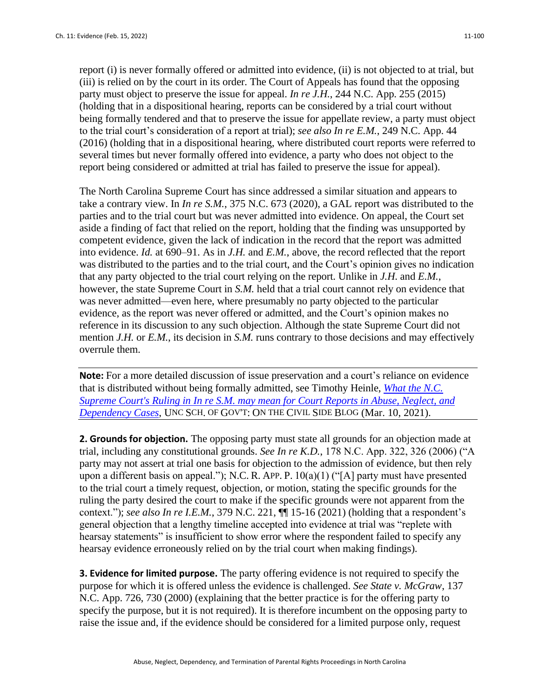report (i) is never formally offered or admitted into evidence, (ii) is not objected to at trial, but (iii) is relied on by the court in its order. The Court of Appeals has found that the opposing party must object to preserve the issue for appeal. *In re J.H.*, 244 N.C. App. 255 (2015) (holding that in a dispositional hearing, reports can be considered by a trial court without being formally tendered and that to preserve the issue for appellate review, a party must object to the trial court's consideration of a report at trial); *see also In re E.M.*, 249 N.C. App. 44 (2016) (holding that in a dispositional hearing, where distributed court reports were referred to several times but never formally offered into evidence, a party who does not object to the report being considered or admitted at trial has failed to preserve the issue for appeal).

The North Carolina Supreme Court has since addressed a similar situation and appears to take a contrary view. In *In re S.M.*, 375 N.C. 673 (2020), a GAL report was distributed to the parties and to the trial court but was never admitted into evidence. On appeal, the Court set aside a finding of fact that relied on the report, holding that the finding was unsupported by competent evidence, given the lack of indication in the record that the report was admitted into evidence. *Id.* at 690–91. As in *J.H.* and *E.M.*, above, the record reflected that the report was distributed to the parties and to the trial court, and the Court's opinion gives no indication that any party objected to the trial court relying on the report. Unlike in *J.H.* and *E.M.*, however, the state Supreme Court in *S.M.* held that a trial court cannot rely on evidence that was never admitted—even here, where presumably no party objected to the particular evidence, as the report was never offered or admitted, and the Court's opinion makes no reference in its discussion to any such objection. Although the state Supreme Court did not mention *J.H.* or *E.M.*, its decision in *S.M.* runs contrary to those decisions and may effectively overrule them.

**Note:** For a more detailed discussion of issue preservation and a court's reliance on evidence that is distributed without being formally admitted, see Timothy Heinle, *[What the N.C.](https://civil.sog.unc.edu/what-the-n-c-supreme-courts-ruling-in-in-re-s-m-may-mean-for-court-reports-in-abuse-neglect-and-dependency-cases/)  [Supreme Court's Ruling in In re S.M. may mean for Court Reports in Abuse, Neglect, and](https://civil.sog.unc.edu/what-the-n-c-supreme-courts-ruling-in-in-re-s-m-may-mean-for-court-reports-in-abuse-neglect-and-dependency-cases/)  [Dependency Cases](https://civil.sog.unc.edu/what-the-n-c-supreme-courts-ruling-in-in-re-s-m-may-mean-for-court-reports-in-abuse-neglect-and-dependency-cases/)*, UNC SCH. OF GOV'T: ON THE CIVIL SIDE BLOG (Mar. 10, 2021).

**2. Grounds for objection.** The opposing party must state all grounds for an objection made at trial, including any constitutional grounds. *See In re K.D.*, 178 N.C. App. 322, 326 (2006) ("A party may not assert at trial one basis for objection to the admission of evidence, but then rely upon a different basis on appeal."); N.C. R. APP. P.  $10(a)(1)$  ("[A] party must have presented to the trial court a timely request, objection, or motion, stating the specific grounds for the ruling the party desired the court to make if the specific grounds were not apparent from the context."); *see also In re I.E.M.*, 379 N.C. 221, ¶¶ 15-16 (2021) (holding that a respondent's general objection that a lengthy timeline accepted into evidence at trial was "replete with hearsay statements" is insufficient to show error where the respondent failed to specify any hearsay evidence erroneously relied on by the trial court when making findings).

**3. Evidence for limited purpose.** The party offering evidence is not required to specify the purpose for which it is offered unless the evidence is challenged. *See State v. McGraw*, 137 N.C. App. 726, 730 (2000) (explaining that the better practice is for the offering party to specify the purpose, but it is not required). It is therefore incumbent on the opposing party to raise the issue and, if the evidence should be considered for a limited purpose only, request